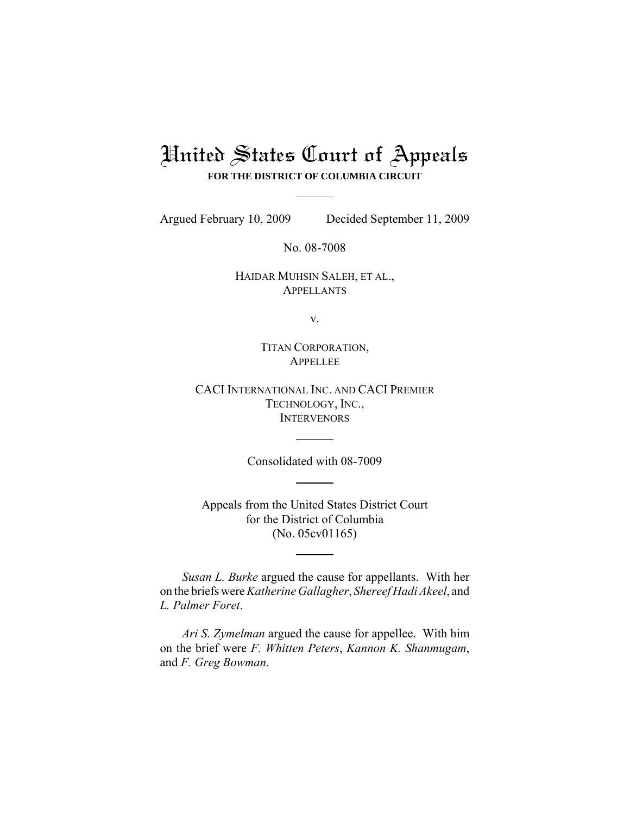# United States Court of Appeals **FOR THE DISTRICT OF COLUMBIA CIRCUIT**

Argued February 10, 2009 Decided September 11, 2009

No. 08-7008

HAIDAR MUHSIN SALEH, ET AL., APPELLANTS

v.

TITAN CORPORATION, APPELLEE

CACI INTERNATIONAL INC. AND CACI PREMIER TECHNOLOGY, INC., INTERVENORS

Consolidated with 08-7009

Appeals from the United States District Court for the District of Columbia (No. 05cv01165)

*Susan L. Burke* argued the cause for appellants. With her on the briefs were *Katherine Gallagher*, *Shereef Hadi Akeel*, and *L. Palmer Foret*.

*Ari S. Zymelman* argued the cause for appellee. With him on the brief were *F. Whitten Peters*, *Kannon K. Shanmugam*, and *F. Greg Bowman*.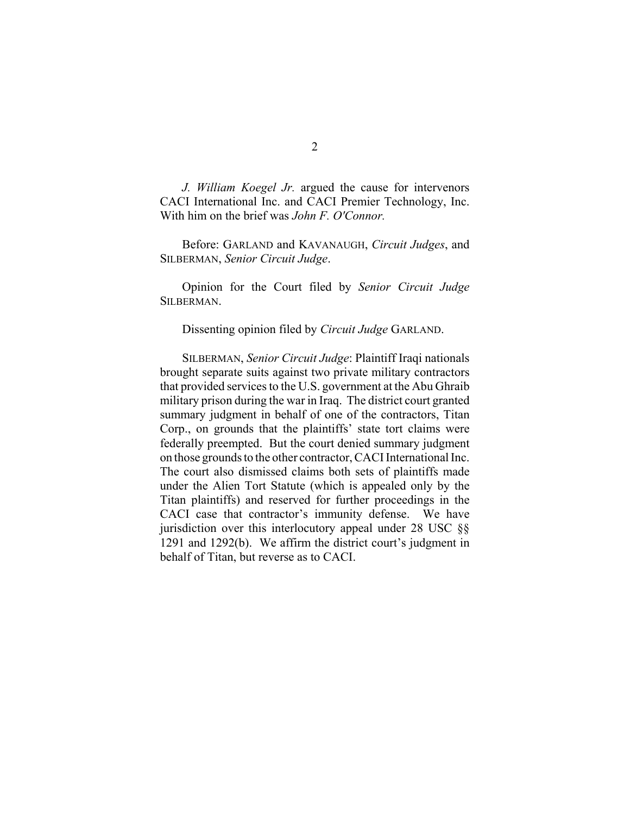*J. William Koegel Jr.* argued the cause for intervenors CACI International Inc. and CACI Premier Technology, Inc. With him on the brief was *John F. O'Connor.*

Before: GARLAND and KAVANAUGH, *Circuit Judges*, and SILBERMAN, *Senior Circuit Judge*.

Opinion for the Court filed by *Senior Circuit Judge* SILBERMAN.

Dissenting opinion filed by *Circuit Judge* GARLAND.

SILBERMAN, *Senior Circuit Judge*: Plaintiff Iraqi nationals brought separate suits against two private military contractors that provided services to the U.S. government at the Abu Ghraib military prison during the war in Iraq. The district court granted summary judgment in behalf of one of the contractors, Titan Corp., on grounds that the plaintiffs' state tort claims were federally preempted. But the court denied summary judgment on those grounds to the other contractor, CACI International Inc. The court also dismissed claims both sets of plaintiffs made under the Alien Tort Statute (which is appealed only by the Titan plaintiffs) and reserved for further proceedings in the CACI case that contractor's immunity defense. We have jurisdiction over this interlocutory appeal under 28 USC §§ 1291 and 1292(b). We affirm the district court's judgment in behalf of Titan, but reverse as to CACI.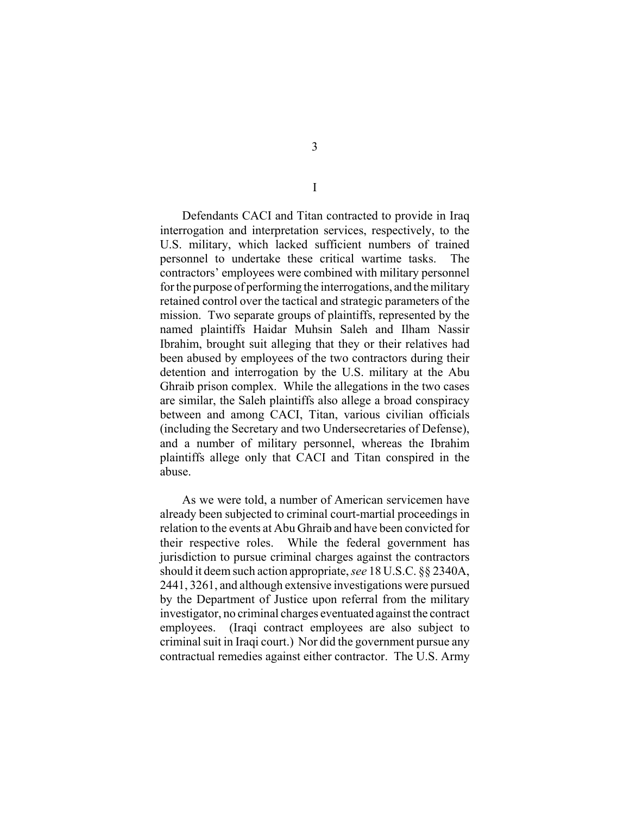Defendants CACI and Titan contracted to provide in Iraq interrogation and interpretation services, respectively, to the U.S. military, which lacked sufficient numbers of trained personnel to undertake these critical wartime tasks. The contractors' employees were combined with military personnel for the purpose of performing the interrogations, and the military retained control over the tactical and strategic parameters of the mission. Two separate groups of plaintiffs, represented by the named plaintiffs Haidar Muhsin Saleh and Ilham Nassir Ibrahim, brought suit alleging that they or their relatives had been abused by employees of the two contractors during their detention and interrogation by the U.S. military at the Abu Ghraib prison complex. While the allegations in the two cases are similar, the Saleh plaintiffs also allege a broad conspiracy between and among CACI, Titan, various civilian officials (including the Secretary and two Undersecretaries of Defense), and a number of military personnel, whereas the Ibrahim plaintiffs allege only that CACI and Titan conspired in the abuse.

As we were told, a number of American servicemen have already been subjected to criminal court-martial proceedings in relation to the events at Abu Ghraib and have been convicted for their respective roles. While the federal government has jurisdiction to pursue criminal charges against the contractors should it deem such action appropriate, *see* 18 U.S.C. §§ 2340A, 2441, 3261, and although extensive investigations were pursued by the Department of Justice upon referral from the military investigator, no criminal charges eventuated against the contract employees. (Iraqi contract employees are also subject to criminal suit in Iraqi court.) Nor did the government pursue any contractual remedies against either contractor. The U.S. Army

I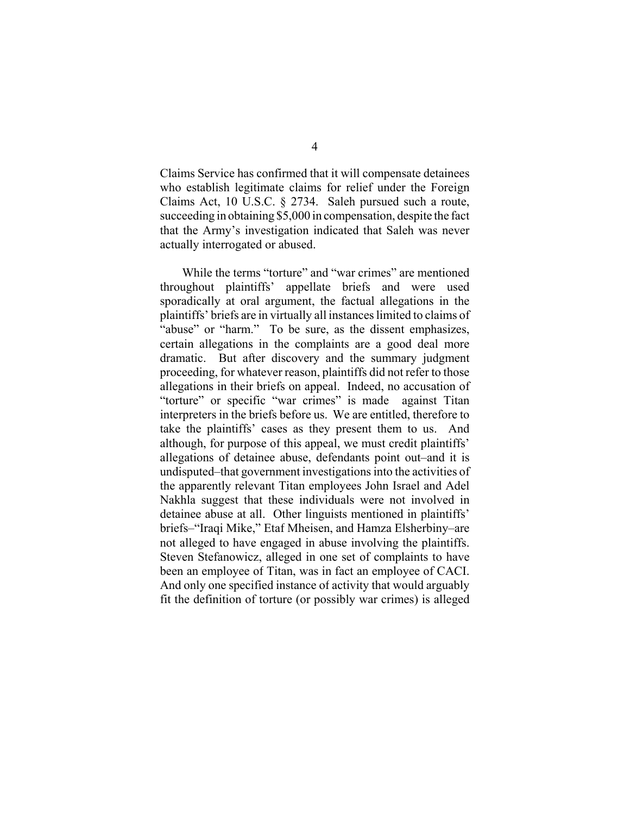Claims Service has confirmed that it will compensate detainees who establish legitimate claims for relief under the Foreign Claims Act, 10 U.S.C. § 2734. Saleh pursued such a route, succeeding in obtaining \$5,000 in compensation, despite the fact that the Army's investigation indicated that Saleh was never actually interrogated or abused.

While the terms "torture" and "war crimes" are mentioned throughout plaintiffs' appellate briefs and were used sporadically at oral argument, the factual allegations in the plaintiffs' briefs are in virtually all instanceslimited to claims of "abuse" or "harm." To be sure, as the dissent emphasizes, certain allegations in the complaints are a good deal more dramatic. But after discovery and the summary judgment proceeding, for whatever reason, plaintiffs did not refer to those allegations in their briefs on appeal. Indeed, no accusation of "torture" or specific "war crimes" is made against Titan interpreters in the briefs before us. We are entitled, therefore to take the plaintiffs' cases as they present them to us. And although, for purpose of this appeal, we must credit plaintiffs' allegations of detainee abuse, defendants point out–and it is undisputed–that government investigationsinto the activities of the apparently relevant Titan employees John Israel and Adel Nakhla suggest that these individuals were not involved in detainee abuse at all. Other linguists mentioned in plaintiffs' briefs–"Iraqi Mike," Etaf Mheisen, and Hamza Elsherbiny–are not alleged to have engaged in abuse involving the plaintiffs. Steven Stefanowicz, alleged in one set of complaints to have been an employee of Titan, was in fact an employee of CACI. And only one specified instance of activity that would arguably fit the definition of torture (or possibly war crimes) is alleged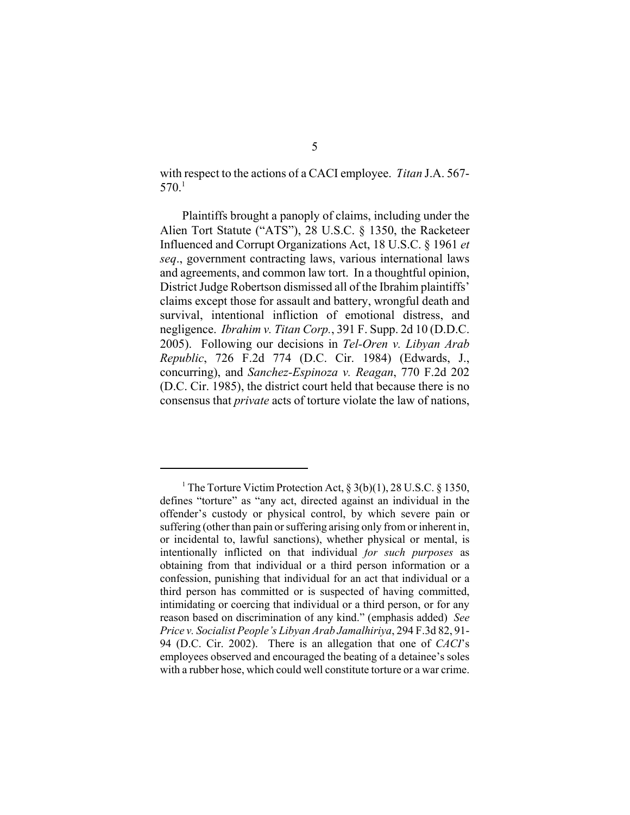with respect to the actions of a CACI employee. *Titan* J.A. 567-  $570.<sup>1</sup>$ 

Plaintiffs brought a panoply of claims, including under the Alien Tort Statute ("ATS"), 28 U.S.C. § 1350, the Racketeer Influenced and Corrupt Organizations Act, 18 U.S.C. § 1961 *et seq*., government contracting laws, various international laws and agreements, and common law tort. In a thoughtful opinion, District Judge Robertson dismissed all of the Ibrahim plaintiffs' claims except those for assault and battery, wrongful death and survival, intentional infliction of emotional distress, and negligence. *Ibrahim v. Titan Corp.*, 391 F. Supp. 2d 10 (D.D.C. 2005). Following our decisions in *Tel-Oren v. Libyan Arab Republic*, 726 F.2d 774 (D.C. Cir. 1984) (Edwards, J., concurring), and *Sanchez-Espinoza v. Reagan*, 770 F.2d 202 (D.C. Cir. 1985), the district court held that because there is no consensus that *private* acts of torture violate the law of nations,

<sup>&</sup>lt;sup>1</sup> The Torture Victim Protection Act,  $\frac{83(b)(1)}{28}$  U.S.C.  $\frac{81350}{260}$ defines "torture" as "any act, directed against an individual in the offender's custody or physical control, by which severe pain or suffering (other than pain or suffering arising only from or inherent in, or incidental to, lawful sanctions), whether physical or mental, is intentionally inflicted on that individual *for such purposes* as obtaining from that individual or a third person information or a confession, punishing that individual for an act that individual or a third person has committed or is suspected of having committed, intimidating or coercing that individual or a third person, or for any reason based on discrimination of any kind." (emphasis added) *See Price v. Socialist People's Libyan Arab Jamalhiriya*, 294 F.3d 82, 91- 94 (D.C. Cir. 2002). There is an allegation that one of *CACI*'s employees observed and encouraged the beating of a detainee's soles with a rubber hose, which could well constitute torture or a war crime.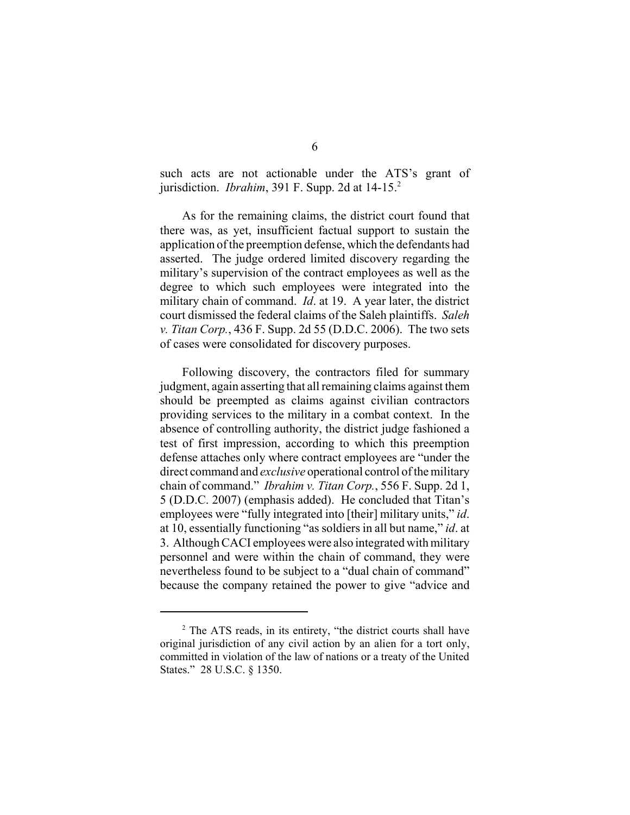such acts are not actionable under the ATS's grant of jurisdiction. *Ibrahim*, 391 F. Supp. 2d at 14-15.<sup>2</sup>

As for the remaining claims, the district court found that there was, as yet, insufficient factual support to sustain the application of the preemption defense, which the defendants had asserted. The judge ordered limited discovery regarding the military's supervision of the contract employees as well as the degree to which such employees were integrated into the military chain of command. *Id*. at 19. A year later, the district court dismissed the federal claims of the Saleh plaintiffs. *Saleh v. Titan Corp.*, 436 F. Supp. 2d 55 (D.D.C. 2006). The two sets of cases were consolidated for discovery purposes.

Following discovery, the contractors filed for summary judgment, again asserting that all remaining claims against them should be preempted as claims against civilian contractors providing services to the military in a combat context. In the absence of controlling authority, the district judge fashioned a test of first impression, according to which this preemption defense attaches only where contract employees are "under the direct command and *exclusive* operational control of the military chain of command." *Ibrahim v. Titan Corp.*, 556 F. Supp. 2d 1, 5 (D.D.C. 2007) (emphasis added). He concluded that Titan's employees were "fully integrated into [their] military units," *id*. at 10, essentially functioning "as soldiers in all but name," *id*. at 3. Although CACI employees were also integrated with military personnel and were within the chain of command, they were nevertheless found to be subject to a "dual chain of command" because the company retained the power to give "advice and

<sup>&</sup>lt;sup>2</sup> The ATS reads, in its entirety, "the district courts shall have original jurisdiction of any civil action by an alien for a tort only, committed in violation of the law of nations or a treaty of the United States." 28 U.S.C. § 1350.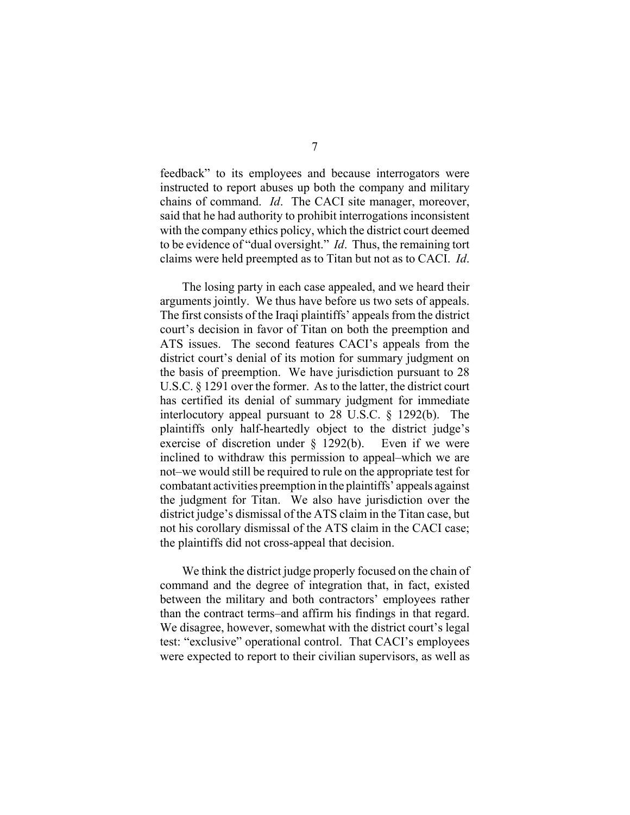feedback" to its employees and because interrogators were instructed to report abuses up both the company and military chains of command. *Id*. The CACI site manager, moreover, said that he had authority to prohibit interrogations inconsistent with the company ethics policy, which the district court deemed to be evidence of "dual oversight." *Id*. Thus, the remaining tort claims were held preempted as to Titan but not as to CACI. *Id*.

The losing party in each case appealed, and we heard their arguments jointly. We thus have before us two sets of appeals. The first consists of the Iraqi plaintiffs' appeals from the district court's decision in favor of Titan on both the preemption and ATS issues. The second features CACI's appeals from the district court's denial of its motion for summary judgment on the basis of preemption. We have jurisdiction pursuant to 28 U.S.C. § 1291 over the former. As to the latter, the district court has certified its denial of summary judgment for immediate interlocutory appeal pursuant to 28 U.S.C. § 1292(b). The plaintiffs only half-heartedly object to the district judge's exercise of discretion under § 1292(b). Even if we were inclined to withdraw this permission to appeal–which we are not–we would still be required to rule on the appropriate test for combatant activities preemption in the plaintiffs' appeals against the judgment for Titan. We also have jurisdiction over the district judge's dismissal of the ATS claim in the Titan case, but not his corollary dismissal of the ATS claim in the CACI case; the plaintiffs did not cross-appeal that decision.

We think the district judge properly focused on the chain of command and the degree of integration that, in fact, existed between the military and both contractors' employees rather than the contract terms–and affirm his findings in that regard. We disagree, however, somewhat with the district court's legal test: "exclusive" operational control. That CACI's employees were expected to report to their civilian supervisors, as well as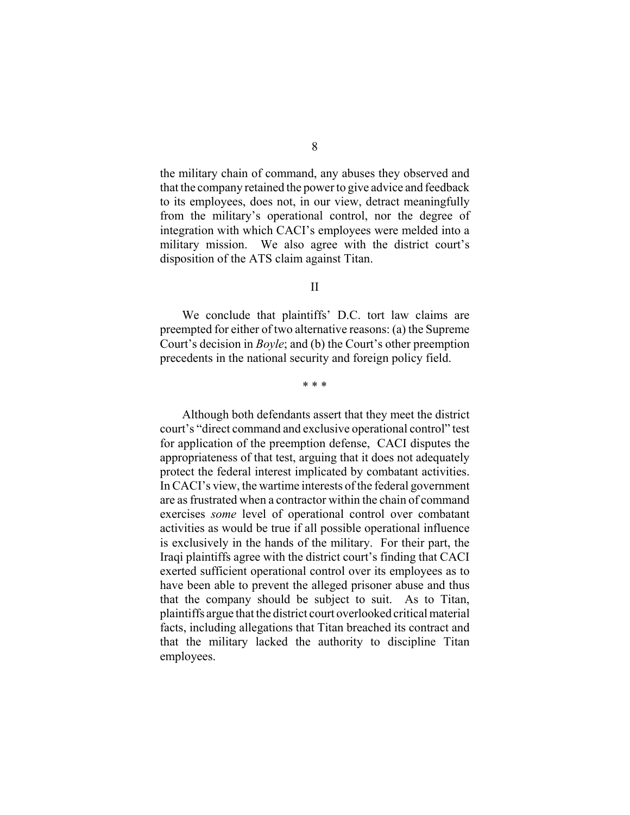the military chain of command, any abuses they observed and that the company retained the power to give advice and feedback to its employees, does not, in our view, detract meaningfully from the military's operational control, nor the degree of integration with which CACI's employees were melded into a military mission. We also agree with the district court's disposition of the ATS claim against Titan.

## II

We conclude that plaintiffs' D.C. tort law claims are preempted for either of two alternative reasons: (a) the Supreme Court's decision in *Boyle*; and (b) the Court's other preemption precedents in the national security and foreign policy field.

## \* \* \*

Although both defendants assert that they meet the district court's "direct command and exclusive operational control" test for application of the preemption defense, CACI disputes the appropriateness of that test, arguing that it does not adequately protect the federal interest implicated by combatant activities. In CACI's view, the wartime interests of the federal government are as frustrated when a contractor within the chain of command exercises *some* level of operational control over combatant activities as would be true if all possible operational influence is exclusively in the hands of the military. For their part, the Iraqi plaintiffs agree with the district court's finding that CACI exerted sufficient operational control over its employees as to have been able to prevent the alleged prisoner abuse and thus that the company should be subject to suit. As to Titan, plaintiffs argue that the district court overlooked critical material facts, including allegations that Titan breached its contract and that the military lacked the authority to discipline Titan employees.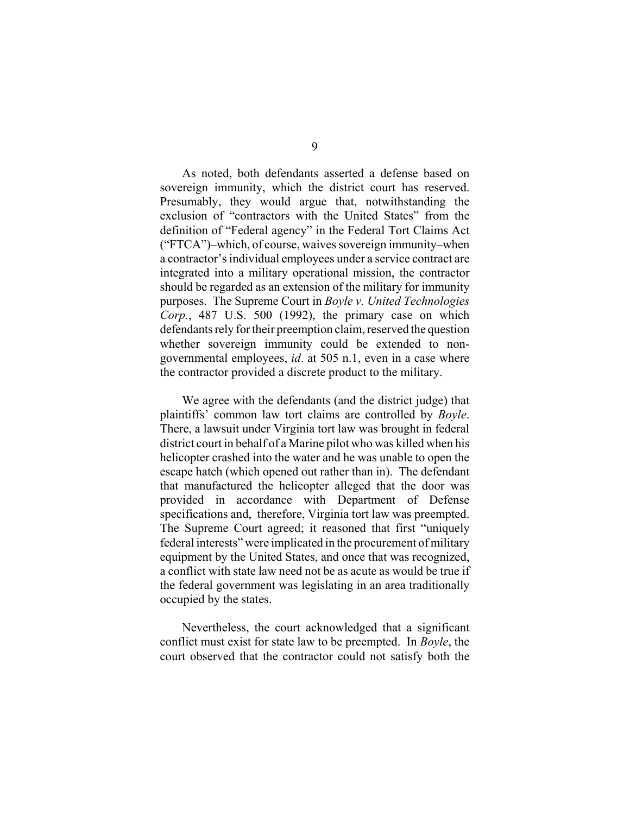As noted, both defendants asserted a defense based on sovereign immunity, which the district court has reserved. Presumably, they would argue that, notwithstanding the exclusion of "contractors with the United States" from the definition of "Federal agency" in the Federal Tort Claims Act ("FTCA")–which, of course, waives sovereign immunity–when a contractor's individual employees under a service contract are integrated into a military operational mission, the contractor should be regarded as an extension of the military for immunity purposes. The Supreme Court in *Boyle v. United Technologies Corp.*, 487 U.S. 500 (1992), the primary case on which defendants rely for their preemption claim, reserved the question whether sovereign immunity could be extended to nongovernmental employees, *id*. at 505 n.1, even in a case where the contractor provided a discrete product to the military.

We agree with the defendants (and the district judge) that plaintiffs' common law tort claims are controlled by *Boyle*. There, a lawsuit under Virginia tort law was brought in federal district court in behalf of a Marine pilot who was killed when his helicopter crashed into the water and he was unable to open the escape hatch (which opened out rather than in). The defendant that manufactured the helicopter alleged that the door was provided in accordance with Department of Defense specifications and, therefore, Virginia tort law was preempted. The Supreme Court agreed; it reasoned that first "uniquely federal interests" were implicated in the procurement of military equipment by the United States, and once that was recognized, a conflict with state law need not be as acute as would be true if the federal government was legislating in an area traditionally occupied by the states.

Nevertheless, the court acknowledged that a significant conflict must exist for state law to be preempted. In *Boyle*, the court observed that the contractor could not satisfy both the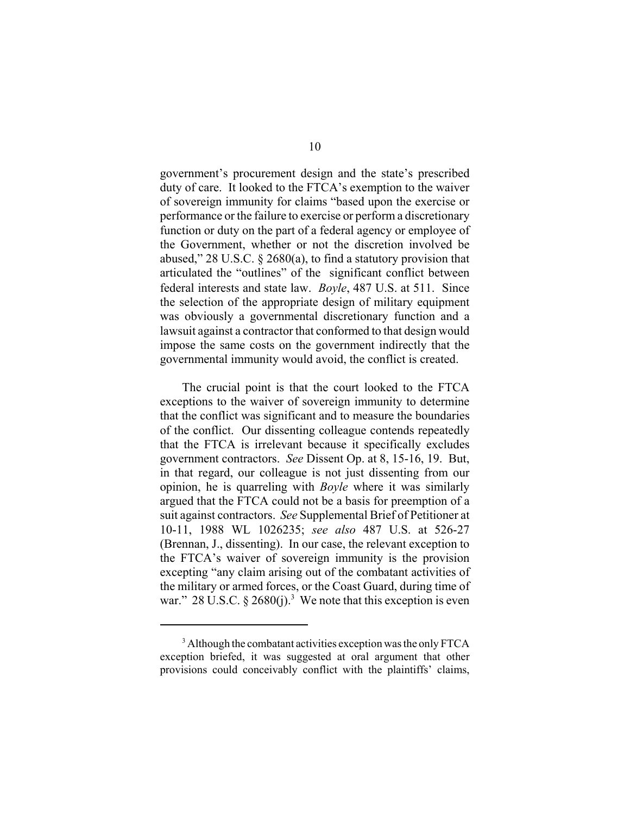government's procurement design and the state's prescribed duty of care. It looked to the FTCA's exemption to the waiver of sovereign immunity for claims "based upon the exercise or performance or the failure to exercise or perform a discretionary function or duty on the part of a federal agency or employee of the Government, whether or not the discretion involved be abused," 28 U.S.C. § 2680(a), to find a statutory provision that articulated the "outlines" of the significant conflict between federal interests and state law. *Boyle*, 487 U.S. at 511. Since the selection of the appropriate design of military equipment was obviously a governmental discretionary function and a lawsuit against a contractor that conformed to that design would impose the same costs on the government indirectly that the governmental immunity would avoid, the conflict is created.

The crucial point is that the court looked to the FTCA exceptions to the waiver of sovereign immunity to determine that the conflict was significant and to measure the boundaries of the conflict. Our dissenting colleague contends repeatedly that the FTCA is irrelevant because it specifically excludes government contractors. *See* Dissent Op. at 8, 15-16, 19. But, in that regard, our colleague is not just dissenting from our opinion, he is quarreling with *Boyle* where it was similarly argued that the FTCA could not be a basis for preemption of a suit against contractors. *See* Supplemental Brief of Petitioner at 10-11, 1988 WL 1026235; *see also* 487 U.S. at 526-27 (Brennan, J., dissenting). In our case, the relevant exception to the FTCA's waiver of sovereign immunity is the provision excepting "any claim arising out of the combatant activities of the military or armed forces, or the Coast Guard, during time of war." 28 U.S.C. § 2680(j).<sup>3</sup> We note that this exception is even

<sup>&</sup>lt;sup>3</sup> Although the combatant activities exception was the only FTCA exception briefed, it was suggested at oral argument that other provisions could conceivably conflict with the plaintiffs' claims,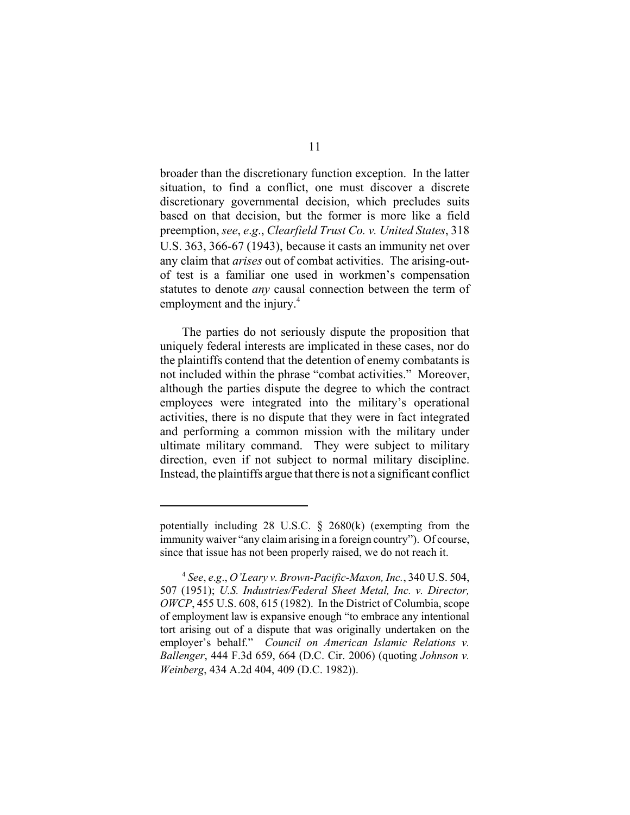broader than the discretionary function exception. In the latter situation, to find a conflict, one must discover a discrete discretionary governmental decision, which precludes suits based on that decision, but the former is more like a field preemption, *see*, *e*.*g*., *Clearfield Trust Co. v. United States*, 318 U.S. 363, 366-67 (1943), because it casts an immunity net over any claim that *arises* out of combat activities. The arising-outof test is a familiar one used in workmen's compensation statutes to denote *any* causal connection between the term of employment and the injury.<sup>4</sup>

The parties do not seriously dispute the proposition that uniquely federal interests are implicated in these cases, nor do the plaintiffs contend that the detention of enemy combatants is not included within the phrase "combat activities." Moreover, although the parties dispute the degree to which the contract employees were integrated into the military's operational activities, there is no dispute that they were in fact integrated and performing a common mission with the military under ultimate military command. They were subject to military direction, even if not subject to normal military discipline. Instead, the plaintiffs argue that there is not a significant conflict

potentially including 28 U.S.C. § 2680(k) (exempting from the immunity waiver "any claim arising in a foreign country"). Of course, since that issue has not been properly raised, we do not reach it.

<sup>4</sup> *See*, *e*.*g*., *O'Leary v. Brown-Pacific-Maxon, Inc.*, 340 U.S. 504, 507 (1951); *U.S. Industries/Federal Sheet Metal, Inc. v. Director, OWCP*, 455 U.S. 608, 615 (1982). In the District of Columbia, scope of employment law is expansive enough "to embrace any intentional tort arising out of a dispute that was originally undertaken on the employer's behalf." *Council on American Islamic Relations v. Ballenger*, 444 F.3d 659, 664 (D.C. Cir. 2006) (quoting *Johnson v. Weinberg*, 434 A.2d 404, 409 (D.C. 1982)).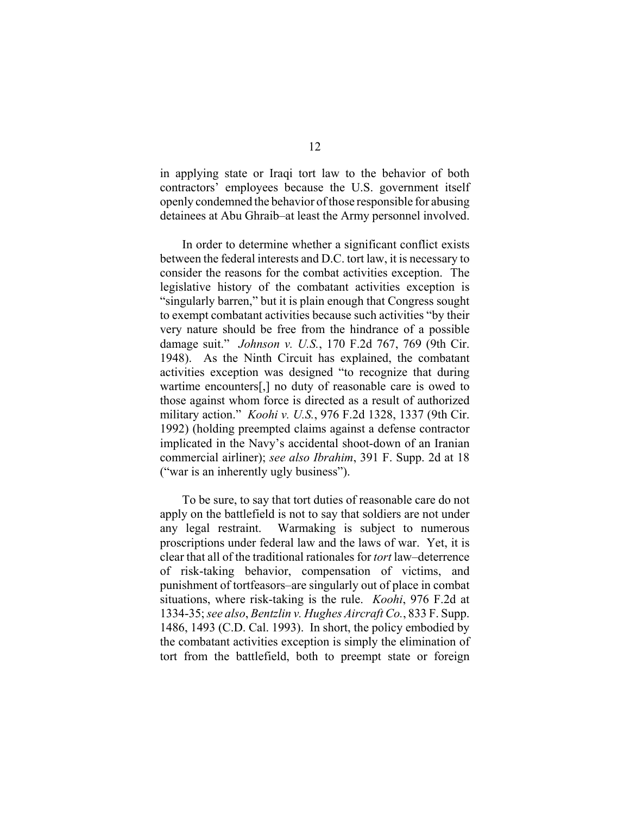in applying state or Iraqi tort law to the behavior of both contractors' employees because the U.S. government itself openly condemned the behavior of those responsible for abusing detainees at Abu Ghraib–at least the Army personnel involved.

In order to determine whether a significant conflict exists between the federal interests and D.C. tort law, it is necessary to consider the reasons for the combat activities exception. The legislative history of the combatant activities exception is "singularly barren," but it is plain enough that Congress sought to exempt combatant activities because such activities "by their very nature should be free from the hindrance of a possible damage suit." *Johnson v. U.S.*, 170 F.2d 767, 769 (9th Cir. 1948). As the Ninth Circuit has explained, the combatant activities exception was designed "to recognize that during wartime encounters[,] no duty of reasonable care is owed to those against whom force is directed as a result of authorized military action." *Koohi v. U.S.*, 976 F.2d 1328, 1337 (9th Cir. 1992) (holding preempted claims against a defense contractor implicated in the Navy's accidental shoot-down of an Iranian commercial airliner); *see also Ibrahim*, 391 F. Supp. 2d at 18 ("war is an inherently ugly business").

To be sure, to say that tort duties of reasonable care do not apply on the battlefield is not to say that soldiers are not under any legal restraint. Warmaking is subject to numerous proscriptions under federal law and the laws of war. Yet, it is clear that all of the traditional rationales for *tort* law–deterrence of risk-taking behavior, compensation of victims, and punishment of tortfeasors–are singularly out of place in combat situations, where risk-taking is the rule. *Koohi*, 976 F.2d at 1334-35; *see also*, *Bentzlin v. Hughes Aircraft Co.*, 833 F. Supp. 1486, 1493 (C.D. Cal. 1993). In short, the policy embodied by the combatant activities exception is simply the elimination of tort from the battlefield, both to preempt state or foreign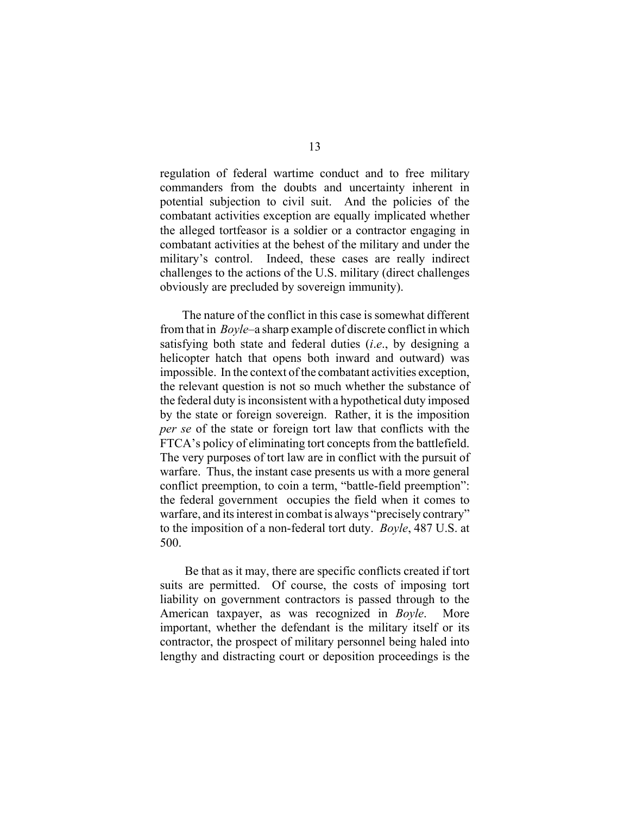regulation of federal wartime conduct and to free military commanders from the doubts and uncertainty inherent in potential subjection to civil suit. And the policies of the combatant activities exception are equally implicated whether the alleged tortfeasor is a soldier or a contractor engaging in combatant activities at the behest of the military and under the military's control. Indeed, these cases are really indirect challenges to the actions of the U.S. military (direct challenges obviously are precluded by sovereign immunity).

The nature of the conflict in this case is somewhat different from that in *Boyle*–a sharp example of discrete conflict in which satisfying both state and federal duties (*i*.*e*., by designing a helicopter hatch that opens both inward and outward) was impossible. In the context of the combatant activities exception, the relevant question is not so much whether the substance of the federal duty is inconsistent with a hypothetical duty imposed by the state or foreign sovereign. Rather, it is the imposition *per se* of the state or foreign tort law that conflicts with the FTCA's policy of eliminating tort concepts from the battlefield. The very purposes of tort law are in conflict with the pursuit of warfare. Thus, the instant case presents us with a more general conflict preemption, to coin a term, "battle-field preemption": the federal government occupies the field when it comes to warfare, and its interest in combat is always "precisely contrary" to the imposition of a non-federal tort duty. *Boyle*, 487 U.S. at 500.

 Be that as it may, there are specific conflicts created if tort suits are permitted. Of course, the costs of imposing tort liability on government contractors is passed through to the American taxpayer, as was recognized in *Boyle*. More important, whether the defendant is the military itself or its contractor, the prospect of military personnel being haled into lengthy and distracting court or deposition proceedings is the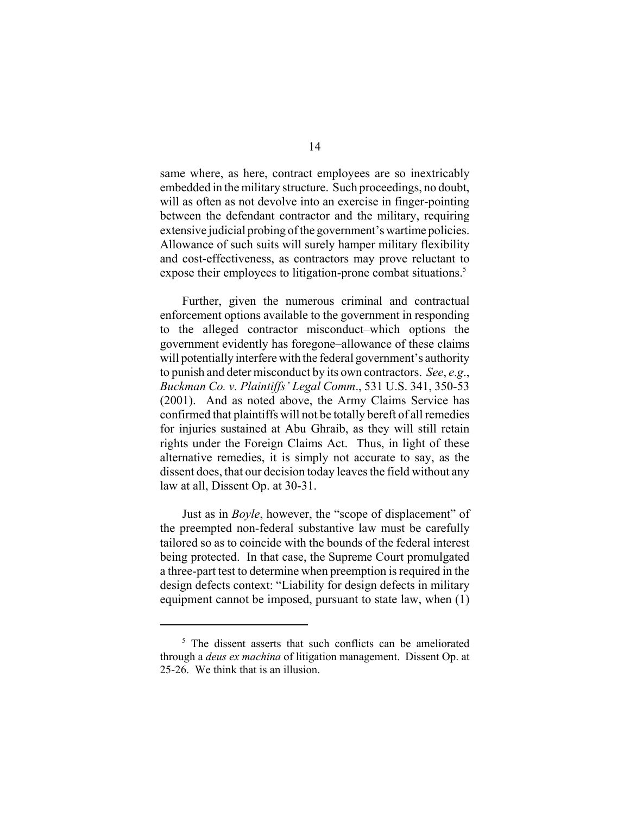same where, as here, contract employees are so inextricably embedded in the military structure. Such proceedings, no doubt, will as often as not devolve into an exercise in finger-pointing between the defendant contractor and the military, requiring extensive judicial probing of the government's wartime policies. Allowance of such suits will surely hamper military flexibility and cost-effectiveness, as contractors may prove reluctant to expose their employees to litigation-prone combat situations.<sup>5</sup>

Further, given the numerous criminal and contractual enforcement options available to the government in responding to the alleged contractor misconduct–which options the government evidently has foregone–allowance of these claims will potentially interfere with the federal government's authority to punish and deter misconduct by its own contractors. *See*, *e*.*g*., *Buckman Co. v. Plaintiffs' Legal Comm*., 531 U.S. 341, 350-53 (2001). And as noted above, the Army Claims Service has confirmed that plaintiffs will not be totally bereft of all remedies for injuries sustained at Abu Ghraib, as they will still retain rights under the Foreign Claims Act. Thus, in light of these alternative remedies, it is simply not accurate to say, as the dissent does, that our decision today leaves the field without any law at all, Dissent Op. at 30-31.

Just as in *Boyle*, however, the "scope of displacement" of the preempted non-federal substantive law must be carefully tailored so as to coincide with the bounds of the federal interest being protected. In that case, the Supreme Court promulgated a three-part test to determine when preemption is required in the design defects context: "Liability for design defects in military equipment cannot be imposed, pursuant to state law, when (1)

<sup>&</sup>lt;sup>5</sup> The dissent asserts that such conflicts can be ameliorated through a *deus ex machina* of litigation management. Dissent Op. at 25-26. We think that is an illusion.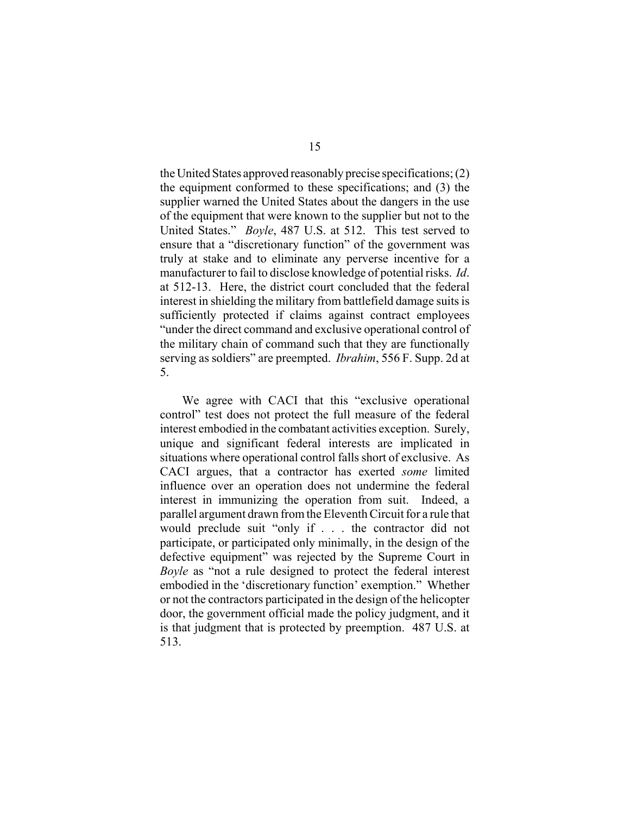the United States approved reasonably precise specifications; (2) the equipment conformed to these specifications; and (3) the supplier warned the United States about the dangers in the use of the equipment that were known to the supplier but not to the United States." *Boyle*, 487 U.S. at 512. This test served to ensure that a "discretionary function" of the government was truly at stake and to eliminate any perverse incentive for a manufacturer to fail to disclose knowledge of potential risks. *Id*. at 512-13. Here, the district court concluded that the federal interest in shielding the military from battlefield damage suits is sufficiently protected if claims against contract employees "under the direct command and exclusive operational control of the military chain of command such that they are functionally serving as soldiers" are preempted. *Ibrahim*, 556 F. Supp. 2d at 5.

We agree with CACI that this "exclusive operational control" test does not protect the full measure of the federal interest embodied in the combatant activities exception. Surely, unique and significant federal interests are implicated in situations where operational control falls short of exclusive. As CACI argues, that a contractor has exerted *some* limited influence over an operation does not undermine the federal interest in immunizing the operation from suit. Indeed, a parallel argument drawn from the Eleventh Circuit for a rule that would preclude suit "only if . . . the contractor did not participate, or participated only minimally, in the design of the defective equipment" was rejected by the Supreme Court in *Boyle* as "not a rule designed to protect the federal interest embodied in the 'discretionary function' exemption." Whether or not the contractors participated in the design of the helicopter door, the government official made the policy judgment, and it is that judgment that is protected by preemption. 487 U.S. at 513.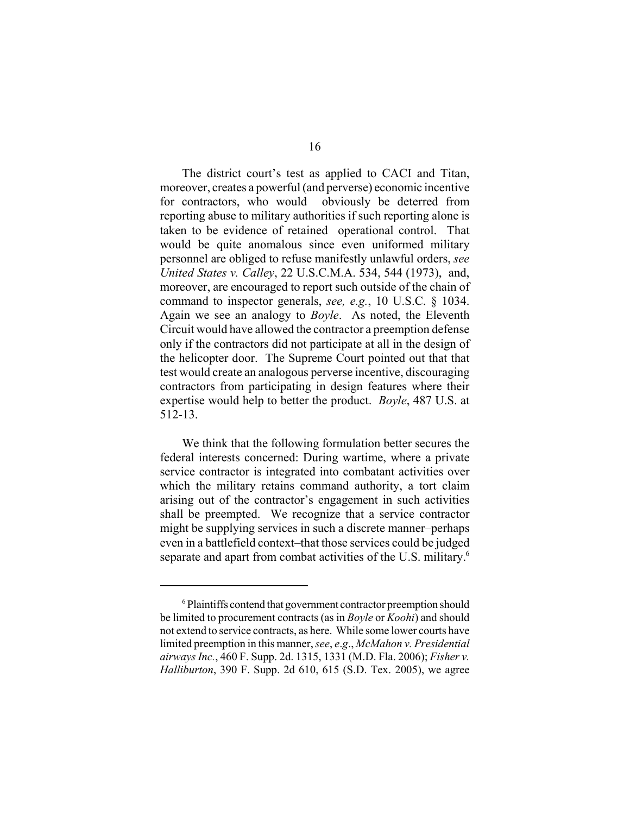The district court's test as applied to CACI and Titan, moreover, creates a powerful (and perverse) economic incentive for contractors, who would obviously be deterred from reporting abuse to military authorities if such reporting alone is taken to be evidence of retained operational control. That would be quite anomalous since even uniformed military personnel are obliged to refuse manifestly unlawful orders, *see United States v. Calley*, 22 U.S.C.M.A. 534, 544 (1973), and, moreover, are encouraged to report such outside of the chain of command to inspector generals, *see, e.g.*, 10 U.S.C. § 1034. Again we see an analogy to *Boyle*. As noted, the Eleventh Circuit would have allowed the contractor a preemption defense only if the contractors did not participate at all in the design of the helicopter door. The Supreme Court pointed out that that test would create an analogous perverse incentive, discouraging contractors from participating in design features where their expertise would help to better the product. *Boyle*, 487 U.S. at 512-13.

We think that the following formulation better secures the federal interests concerned: During wartime, where a private service contractor is integrated into combatant activities over which the military retains command authority, a tort claim arising out of the contractor's engagement in such activities shall be preempted. We recognize that a service contractor might be supplying services in such a discrete manner–perhaps even in a battlefield context–that those services could be judged separate and apart from combat activities of the U.S. military.<sup>6</sup>

<sup>&</sup>lt;sup>6</sup> Plaintiffs contend that government contractor preemption should be limited to procurement contracts (as in *Boyle* or *Koohi*) and should not extend to service contracts, as here. While some lower courts have limited preemption in this manner, *see*, *e*.*g*., *McMahon v. Presidential airways Inc.*, 460 F. Supp. 2d. 1315, 1331 (M.D. Fla. 2006); *Fisher v. Halliburton*, 390 F. Supp. 2d 610, 615 (S.D. Tex. 2005), we agree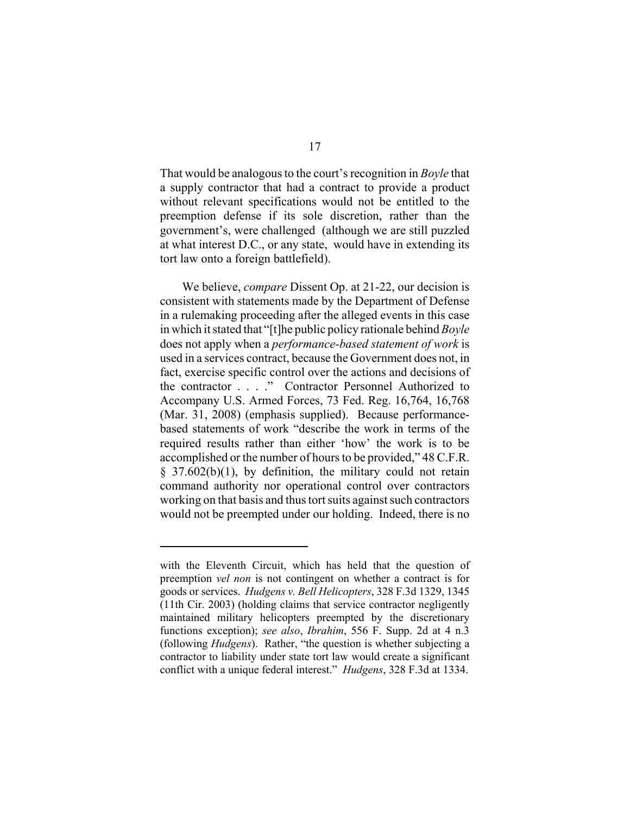That would be analogous to the court's recognition in *Boyle* that a supply contractor that had a contract to provide a product without relevant specifications would not be entitled to the preemption defense if its sole discretion, rather than the government's, were challenged (although we are still puzzled at what interest D.C., or any state, would have in extending its tort law onto a foreign battlefield).

We believe, *compare* Dissent Op. at 21-22, our decision is consistent with statements made by the Department of Defense in a rulemaking proceeding after the alleged events in this case in which it stated that "[t]he public policy rationale behind *Boyle* does not apply when a *performance-based statement of work* is used in a services contract, because the Government does not, in fact, exercise specific control over the actions and decisions of the contractor . . . ." Contractor Personnel Authorized to Accompany U.S. Armed Forces, 73 Fed. Reg. 16,764, 16,768 (Mar. 31, 2008) (emphasis supplied). Because performancebased statements of work "describe the work in terms of the required results rather than either 'how' the work is to be accomplished or the number of hours to be provided," 48 C.F.R.  $§$  37.602(b)(1), by definition, the military could not retain command authority nor operational control over contractors working on that basis and thus tort suits against such contractors would not be preempted under our holding. Indeed, there is no

with the Eleventh Circuit, which has held that the question of preemption *vel non* is not contingent on whether a contract is for goods or services. *Hudgens v. Bell Helicopters*, 328 F.3d 1329, 1345 (11th Cir. 2003) (holding claims that service contractor negligently maintained military helicopters preempted by the discretionary functions exception); *see also*, *Ibrahim*, 556 F. Supp. 2d at 4 n.3 (following *Hudgens*). Rather, "the question is whether subjecting a contractor to liability under state tort law would create a significant conflict with a unique federal interest." *Hudgens*, 328 F.3d at 1334.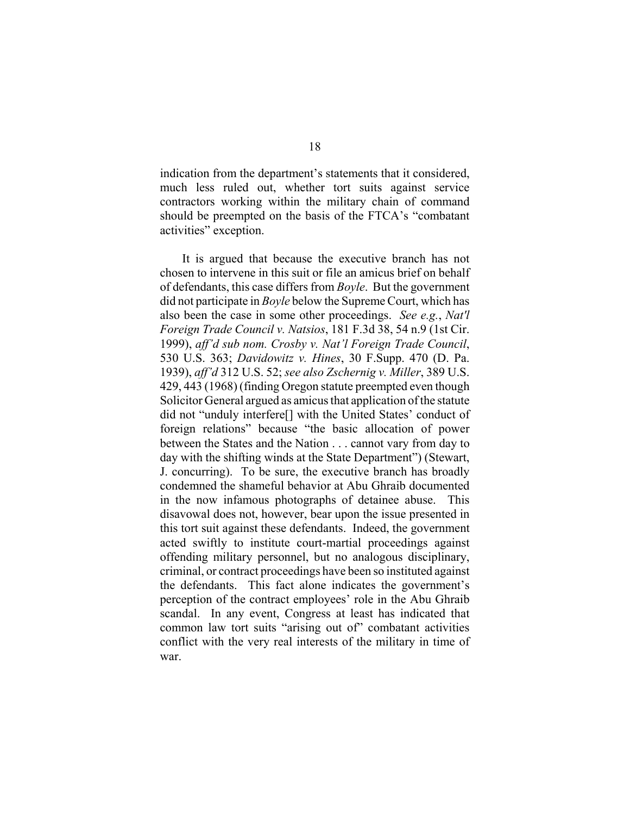indication from the department's statements that it considered, much less ruled out, whether tort suits against service contractors working within the military chain of command should be preempted on the basis of the FTCA's "combatant activities" exception.

It is argued that because the executive branch has not chosen to intervene in this suit or file an amicus brief on behalf of defendants, this case differs from *Boyle*. But the government did not participate in *Boyle* below the Supreme Court, which has also been the case in some other proceedings. *See e.g.*, *Nat'l Foreign Trade Council v. Natsios*, 181 F.3d 38, 54 n.9 (1st Cir. 1999), *aff'd sub nom. Crosby v. Nat'l Foreign Trade Council*, 530 U.S. 363; *Davidowitz v. Hines*, 30 F.Supp. 470 (D. Pa. 1939), *aff'd* 312 U.S. 52; *see also Zschernig v. Miller*, 389 U.S. 429, 443 (1968) (finding Oregon statute preempted even though Solicitor General argued as amicus that application of the statute did not "unduly interfere[] with the United States' conduct of foreign relations" because "the basic allocation of power between the States and the Nation . . . cannot vary from day to day with the shifting winds at the State Department") (Stewart, J. concurring). To be sure, the executive branch has broadly condemned the shameful behavior at Abu Ghraib documented in the now infamous photographs of detainee abuse. This disavowal does not, however, bear upon the issue presented in this tort suit against these defendants. Indeed, the government acted swiftly to institute court-martial proceedings against offending military personnel, but no analogous disciplinary, criminal, or contract proceedings have been so instituted against the defendants. This fact alone indicates the government's perception of the contract employees' role in the Abu Ghraib scandal. In any event, Congress at least has indicated that common law tort suits "arising out of" combatant activities conflict with the very real interests of the military in time of war.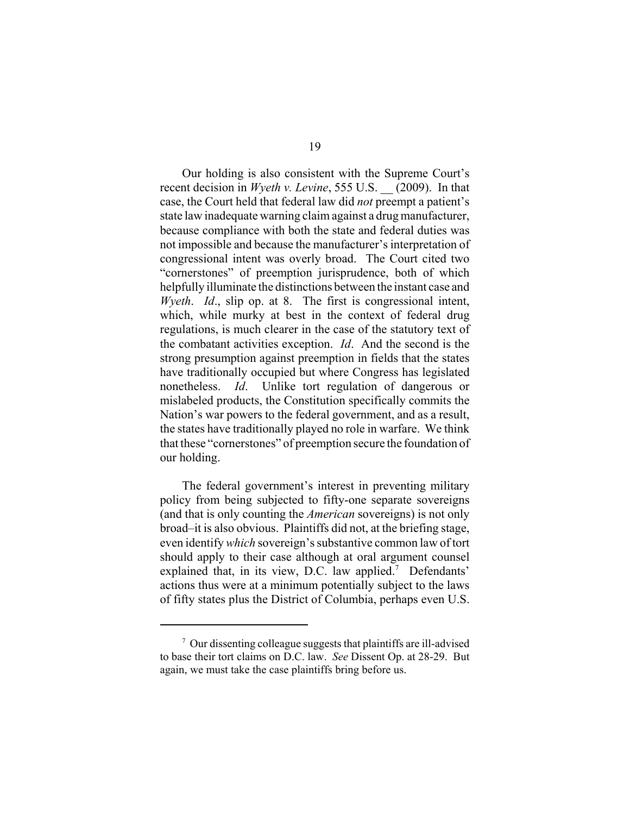Our holding is also consistent with the Supreme Court's recent decision in *Wyeth v. Levine*, 555 U.S. (2009). In that case, the Court held that federal law did *not* preempt a patient's state law inadequate warning claim against a drug manufacturer, because compliance with both the state and federal duties was not impossible and because the manufacturer's interpretation of congressional intent was overly broad. The Court cited two "cornerstones" of preemption jurisprudence, both of which helpfully illuminate the distinctions between the instant case and *Wyeth*. *Id*., slip op. at 8. The first is congressional intent, which, while murky at best in the context of federal drug regulations, is much clearer in the case of the statutory text of the combatant activities exception. *Id*. And the second is the strong presumption against preemption in fields that the states have traditionally occupied but where Congress has legislated nonetheless. *Id*. Unlike tort regulation of dangerous or mislabeled products, the Constitution specifically commits the Nation's war powers to the federal government, and as a result, the states have traditionally played no role in warfare. We think that these "cornerstones" of preemption secure the foundation of our holding.

The federal government's interest in preventing military policy from being subjected to fifty-one separate sovereigns (and that is only counting the *American* sovereigns) is not only broad–it is also obvious. Plaintiffs did not, at the briefing stage, even identify *which* sovereign's substantive common law of tort should apply to their case although at oral argument counsel explained that, in its view, D.C. law applied. $7$  Defendants' actions thus were at a minimum potentially subject to the laws of fifty states plus the District of Columbia, perhaps even U.S.

 $\frac{7}{1}$  Our dissenting colleague suggests that plaintiffs are ill-advised to base their tort claims on D.C. law. *See* Dissent Op. at 28-29. But again, we must take the case plaintiffs bring before us.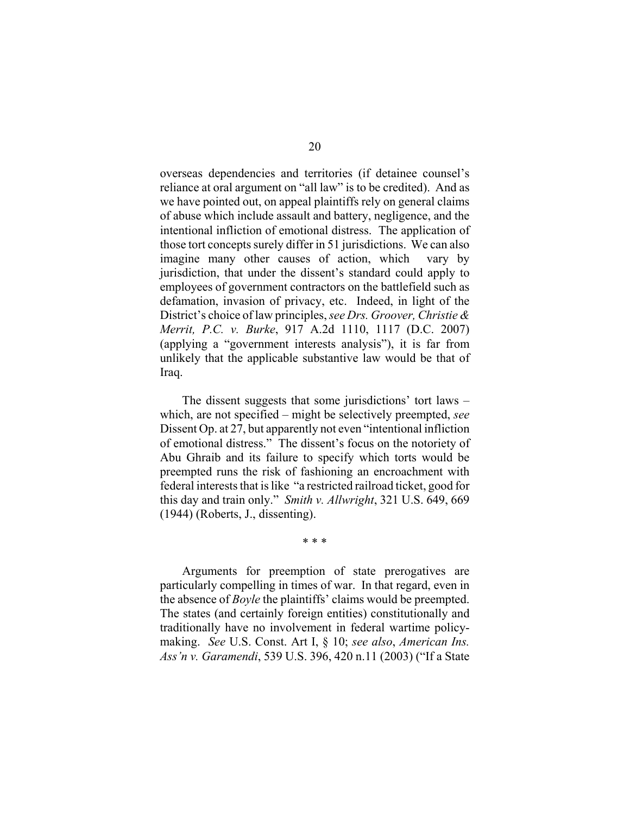overseas dependencies and territories (if detainee counsel's reliance at oral argument on "all law" is to be credited). And as we have pointed out, on appeal plaintiffs rely on general claims of abuse which include assault and battery, negligence, and the intentional infliction of emotional distress. The application of those tort concepts surely differ in 51 jurisdictions. We can also imagine many other causes of action, which vary by jurisdiction, that under the dissent's standard could apply to employees of government contractors on the battlefield such as defamation, invasion of privacy, etc. Indeed, in light of the District's choice of law principles, *see Drs. Groover, Christie & Merrit, P.C. v. Burke*, 917 A.2d 1110, 1117 (D.C. 2007) (applying a "government interests analysis"), it is far from unlikely that the applicable substantive law would be that of Iraq.

The dissent suggests that some jurisdictions' tort laws – which, are not specified – might be selectively preempted, *see* Dissent Op. at 27, but apparently not even "intentional infliction of emotional distress." The dissent's focus on the notoriety of Abu Ghraib and its failure to specify which torts would be preempted runs the risk of fashioning an encroachment with federal interests that is like "a restricted railroad ticket, good for this day and train only." *Smith v. Allwright*, 321 U.S. 649, 669 (1944) (Roberts, J., dissenting).

\* \* \*

Arguments for preemption of state prerogatives are particularly compelling in times of war. In that regard, even in the absence of *Boyle* the plaintiffs' claims would be preempted. The states (and certainly foreign entities) constitutionally and traditionally have no involvement in federal wartime policymaking. *See* U.S. Const. Art I, § 10; *see also*, *American Ins. Ass'n v. Garamendi*, 539 U.S. 396, 420 n.11 (2003) ("If a State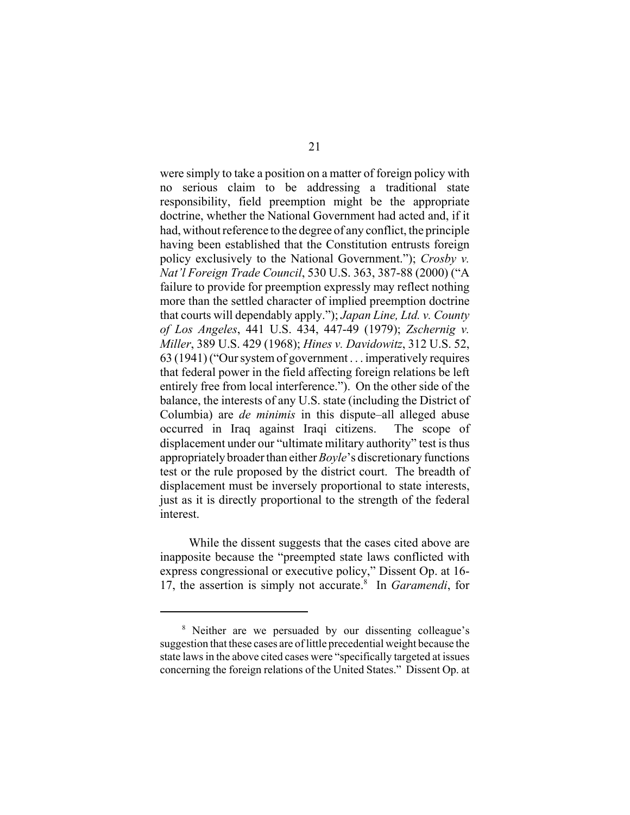were simply to take a position on a matter of foreign policy with no serious claim to be addressing a traditional state responsibility, field preemption might be the appropriate doctrine, whether the National Government had acted and, if it had, without reference to the degree of any conflict, the principle having been established that the Constitution entrusts foreign policy exclusively to the National Government."); *Crosby v. Nat'l Foreign Trade Council*, 530 U.S. 363, 387-88 (2000) ("A failure to provide for preemption expressly may reflect nothing more than the settled character of implied preemption doctrine that courts will dependably apply."); *Japan Line, Ltd. v. County of Los Angeles*, 441 U.S. 434, 447-49 (1979); *Zschernig v. Miller*, 389 U.S. 429 (1968); *Hines v. Davidowitz*, 312 U.S. 52, 63 (1941) ("Our system of government . . . imperatively requires that federal power in the field affecting foreign relations be left entirely free from local interference."). On the other side of the balance, the interests of any U.S. state (including the District of Columbia) are *de minimis* in this dispute–all alleged abuse occurred in Iraq against Iraqi citizens. The scope of displacement under our "ultimate military authority" test is thus appropriately broader than either *Boyle*'s discretionary functions test or the rule proposed by the district court. The breadth of displacement must be inversely proportional to state interests, just as it is directly proportional to the strength of the federal interest.

 While the dissent suggests that the cases cited above are inapposite because the "preempted state laws conflicted with express congressional or executive policy," Dissent Op. at 16- 17, the assertion is simply not accurate.<sup>8</sup> In *Garamendi*, for

<sup>&</sup>lt;sup>8</sup> Neither are we persuaded by our dissenting colleague's suggestion that these cases are of little precedential weight because the state laws in the above cited cases were "specifically targeted at issues concerning the foreign relations of the United States." Dissent Op. at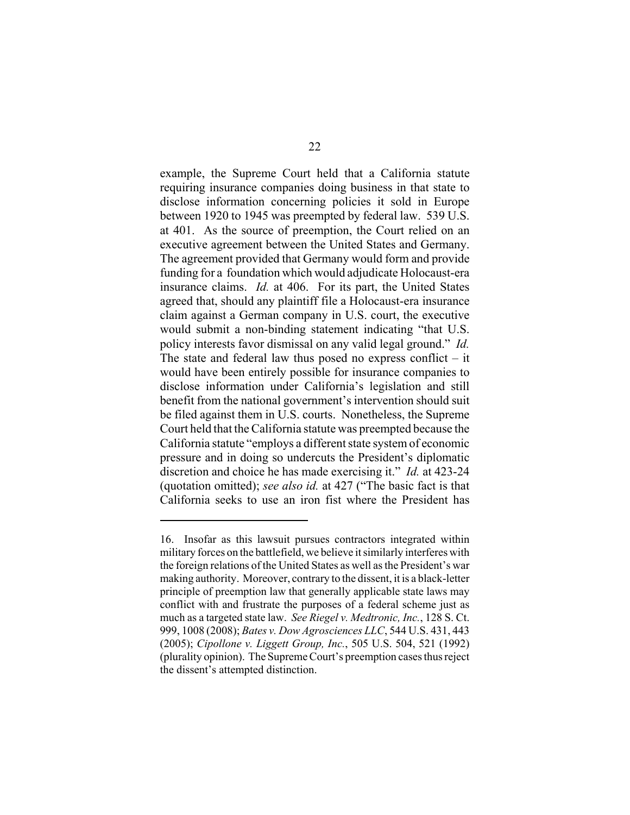example, the Supreme Court held that a California statute requiring insurance companies doing business in that state to disclose information concerning policies it sold in Europe between 1920 to 1945 was preempted by federal law. 539 U.S. at 401. As the source of preemption, the Court relied on an executive agreement between the United States and Germany. The agreement provided that Germany would form and provide funding for a foundation which would adjudicate Holocaust-era insurance claims. *Id.* at 406. For its part, the United States agreed that, should any plaintiff file a Holocaust-era insurance claim against a German company in U.S. court, the executive would submit a non-binding statement indicating "that U.S. policy interests favor dismissal on any valid legal ground." *Id.* The state and federal law thus posed no express conflict  $-$  it would have been entirely possible for insurance companies to disclose information under California's legislation and still benefit from the national government's intervention should suit be filed against them in U.S. courts. Nonetheless, the Supreme Court held that the California statute was preempted because the California statute "employs a different state system of economic pressure and in doing so undercuts the President's diplomatic discretion and choice he has made exercising it." *Id.* at 423-24 (quotation omitted); *see also id.* at 427 ("The basic fact is that California seeks to use an iron fist where the President has

<sup>16.</sup> Insofar as this lawsuit pursues contractors integrated within military forces on the battlefield, we believe it similarly interferes with the foreign relations of the United States as well as the President's war making authority. Moreover, contrary to the dissent, it is a black-letter principle of preemption law that generally applicable state laws may conflict with and frustrate the purposes of a federal scheme just as much as a targeted state law. *See Riegel v. Medtronic, Inc.*, 128 S. Ct. 999, 1008 (2008); *Bates v. Dow Agrosciences LLC*, 544 U.S. 431, 443 (2005); *Cipollone v. Liggett Group, Inc.*, 505 U.S. 504, 521 (1992) (plurality opinion). The Supreme Court's preemption cases thus reject the dissent's attempted distinction.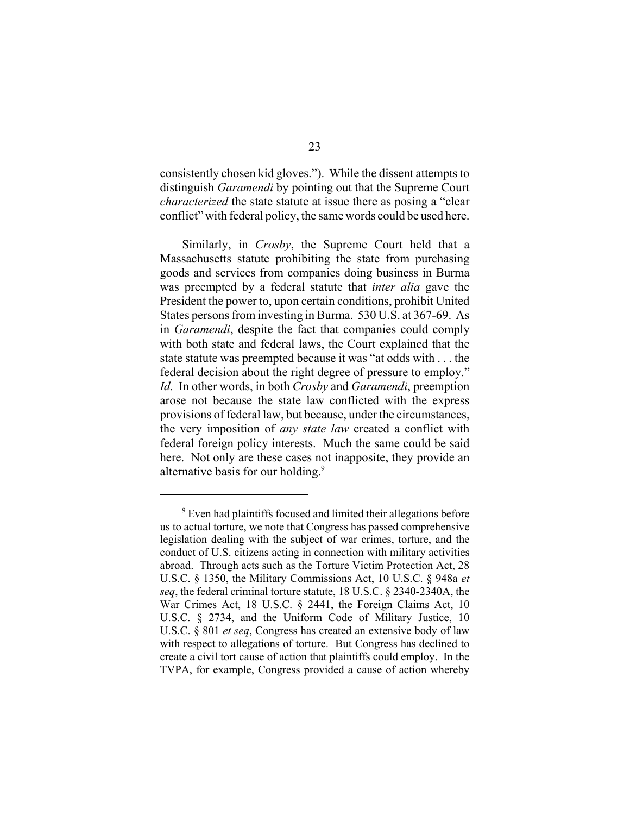consistently chosen kid gloves."). While the dissent attempts to distinguish *Garamendi* by pointing out that the Supreme Court *characterized* the state statute at issue there as posing a "clear conflict" with federal policy, the same words could be used here.

Similarly, in *Crosby*, the Supreme Court held that a Massachusetts statute prohibiting the state from purchasing goods and services from companies doing business in Burma was preempted by a federal statute that *inter alia* gave the President the power to, upon certain conditions, prohibit United States persons from investing in Burma. 530 U.S. at 367-69. As in *Garamendi*, despite the fact that companies could comply with both state and federal laws, the Court explained that the state statute was preempted because it was "at odds with . . . the federal decision about the right degree of pressure to employ." *Id.* In other words, in both *Crosby* and *Garamendi*, preemption arose not because the state law conflicted with the express provisions of federal law, but because, under the circumstances, the very imposition of *any state law* created a conflict with federal foreign policy interests. Much the same could be said here. Not only are these cases not inapposite, they provide an alternative basis for our holding.9

<sup>&</sup>lt;sup>9</sup> Even had plaintiffs focused and limited their allegations before us to actual torture, we note that Congress has passed comprehensive legislation dealing with the subject of war crimes, torture, and the conduct of U.S. citizens acting in connection with military activities abroad. Through acts such as the Torture Victim Protection Act, 28 U.S.C. § 1350, the Military Commissions Act, 10 U.S.C. § 948a *et seq*, the federal criminal torture statute, 18 U.S.C. § 2340-2340A, the War Crimes Act, 18 U.S.C. § 2441, the Foreign Claims Act, 10 U.S.C. § 2734, and the Uniform Code of Military Justice, 10 U.S.C. § 801 *et seq*, Congress has created an extensive body of law with respect to allegations of torture. But Congress has declined to create a civil tort cause of action that plaintiffs could employ. In the TVPA, for example, Congress provided a cause of action whereby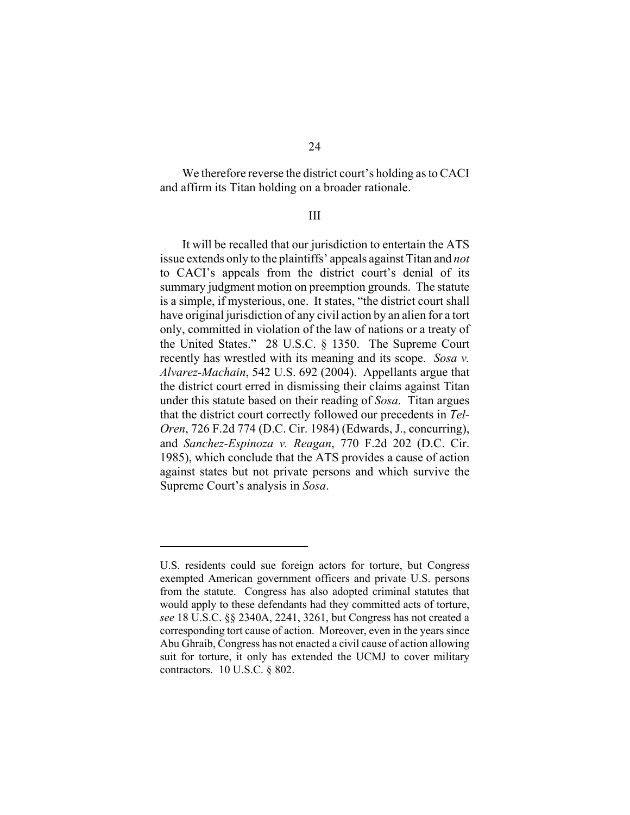We therefore reverse the district court's holding as to CACI and affirm its Titan holding on a broader rationale.

# III

It will be recalled that our jurisdiction to entertain the ATS issue extends only to the plaintiffs' appeals against Titan and *not* to CACI's appeals from the district court's denial of its summary judgment motion on preemption grounds. The statute is a simple, if mysterious, one. It states, "the district court shall have original jurisdiction of any civil action by an alien for a tort only, committed in violation of the law of nations or a treaty of the United States." 28 U.S.C. § 1350. The Supreme Court recently has wrestled with its meaning and its scope. *Sosa v. Alvarez-Machain*, 542 U.S. 692 (2004). Appellants argue that the district court erred in dismissing their claims against Titan under this statute based on their reading of *Sosa*. Titan argues that the district court correctly followed our precedents in *Tel-Oren*, 726 F.2d 774 (D.C. Cir. 1984) (Edwards, J., concurring), and *Sanchez-Espinoza v. Reagan*, 770 F.2d 202 (D.C. Cir. 1985), which conclude that the ATS provides a cause of action against states but not private persons and which survive the Supreme Court's analysis in *Sosa*.

U.S. residents could sue foreign actors for torture, but Congress exempted American government officers and private U.S. persons from the statute. Congress has also adopted criminal statutes that would apply to these defendants had they committed acts of torture, *see* 18 U.S.C. §§ 2340A, 2241, 3261, but Congress has not created a corresponding tort cause of action. Moreover, even in the years since Abu Ghraib, Congress has not enacted a civil cause of action allowing suit for torture, it only has extended the UCMJ to cover military contractors. 10 U.S.C. § 802.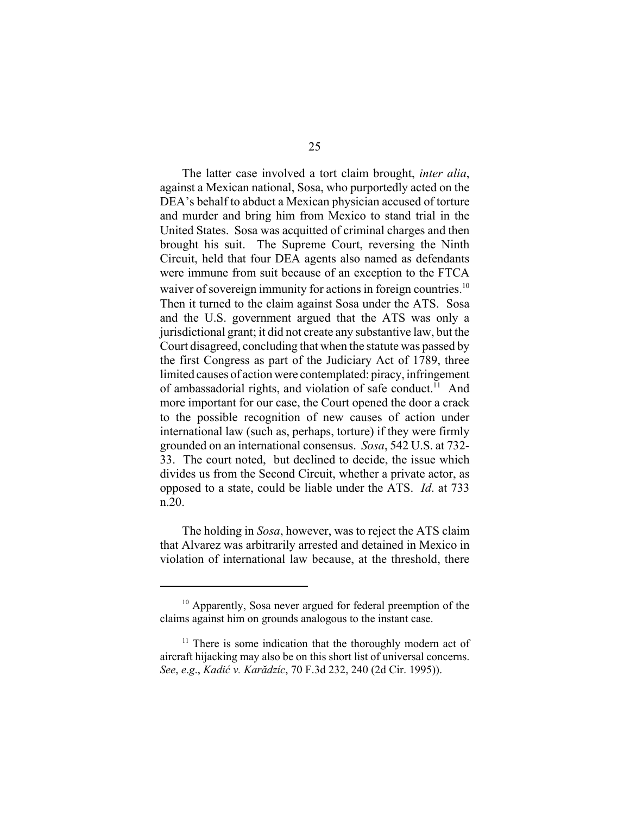The latter case involved a tort claim brought, *inter alia*, against a Mexican national, Sosa, who purportedly acted on the DEA's behalf to abduct a Mexican physician accused of torture and murder and bring him from Mexico to stand trial in the United States. Sosa was acquitted of criminal charges and then brought his suit. The Supreme Court, reversing the Ninth Circuit, held that four DEA agents also named as defendants were immune from suit because of an exception to the FTCA waiver of sovereign immunity for actions in foreign countries.<sup>10</sup> Then it turned to the claim against Sosa under the ATS. Sosa and the U.S. government argued that the ATS was only a jurisdictional grant; it did not create any substantive law, but the Court disagreed, concluding that when the statute was passed by the first Congress as part of the Judiciary Act of 1789, three limited causes of action were contemplated: piracy, infringement of ambassadorial rights, and violation of safe conduct.<sup>11</sup> And more important for our case, the Court opened the door a crack to the possible recognition of new causes of action under international law (such as, perhaps, torture) if they were firmly grounded on an international consensus. *Sosa*, 542 U.S. at 732- 33. The court noted, but declined to decide, the issue which divides us from the Second Circuit, whether a private actor, as opposed to a state, could be liable under the ATS. *Id*. at 733 n.20.

The holding in *Sosa*, however, was to reject the ATS claim that Alvarez was arbitrarily arrested and detained in Mexico in violation of international law because, at the threshold, there

<sup>&</sup>lt;sup>10</sup> Apparently, Sosa never argued for federal preemption of the claims against him on grounds analogous to the instant case.

 $11$  There is some indication that the thoroughly modern act of aircraft hijacking may also be on this short list of universal concerns. *See*, *e*.*g*., *Kadić v. Karădzíc*, 70 F.3d 232, 240 (2d Cir. 1995)).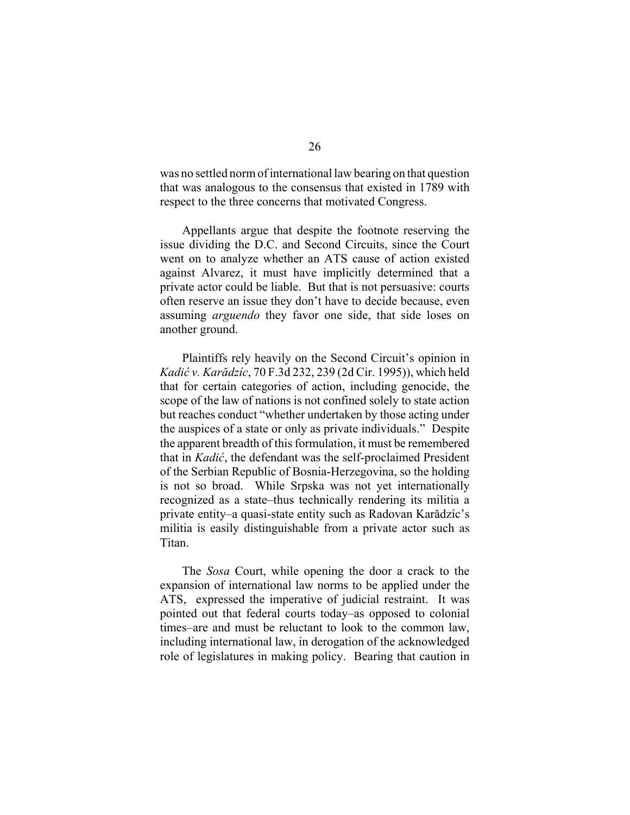was no settled norm of international law bearing on that question that was analogous to the consensus that existed in 1789 with respect to the three concerns that motivated Congress.

Appellants argue that despite the footnote reserving the issue dividing the D.C. and Second Circuits, since the Court went on to analyze whether an ATS cause of action existed against Alvarez, it must have implicitly determined that a private actor could be liable. But that is not persuasive: courts often reserve an issue they don't have to decide because, even assuming *arguendo* they favor one side, that side loses on another ground.

Plaintiffs rely heavily on the Second Circuit's opinion in *Kadić v. Karădzíc*, 70 F.3d 232, 239 (2d Cir. 1995)), which held that for certain categories of action, including genocide, the scope of the law of nations is not confined solely to state action but reaches conduct "whether undertaken by those acting under the auspices of a state or only as private individuals." Despite the apparent breadth of this formulation, it must be remembered that in *Kadić*, the defendant was the self-proclaimed President of the Serbian Republic of Bosnia-Herzegovina, so the holding is not so broad. While Srpska was not yet internationally recognized as a state–thus technically rendering its militia a private entity–a quasi-state entity such as Radovan Karădzíc's militia is easily distinguishable from a private actor such as Titan.

The *Sosa* Court, while opening the door a crack to the expansion of international law norms to be applied under the ATS, expressed the imperative of judicial restraint. It was pointed out that federal courts today–as opposed to colonial times–are and must be reluctant to look to the common law, including international law, in derogation of the acknowledged role of legislatures in making policy. Bearing that caution in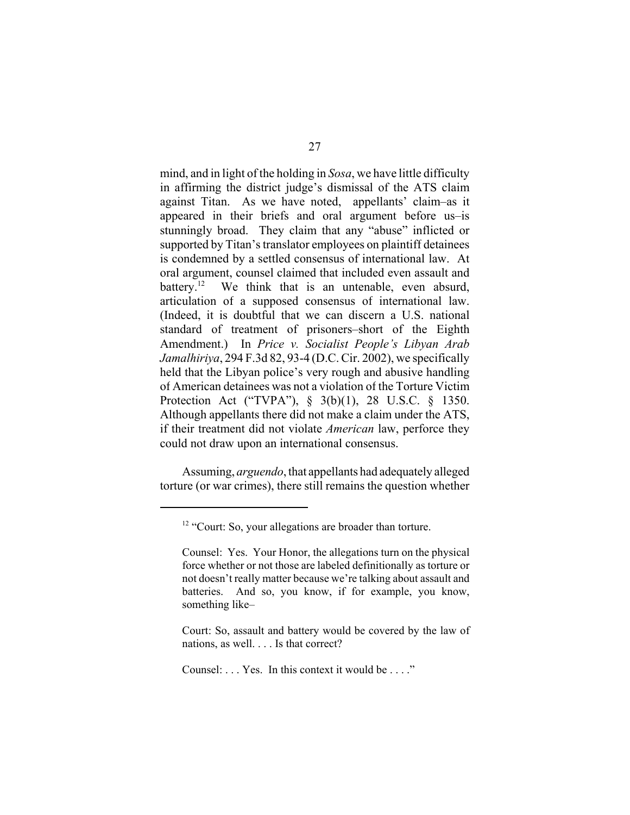mind, and in light of the holding in *Sosa*, we have little difficulty in affirming the district judge's dismissal of the ATS claim against Titan. As we have noted, appellants' claim–as it appeared in their briefs and oral argument before us–is stunningly broad. They claim that any "abuse" inflicted or supported by Titan's translator employees on plaintiff detainees is condemned by a settled consensus of international law. At oral argument, counsel claimed that included even assault and battery.<sup>12</sup> We think that is an untenable, even absurd, articulation of a supposed consensus of international law. (Indeed, it is doubtful that we can discern a U.S. national standard of treatment of prisoners–short of the Eighth Amendment.) In *Price v. Socialist People's Libyan Arab Jamalhiriya*, 294 F.3d 82, 93-4 (D.C.Cir. 2002), we specifically held that the Libyan police's very rough and abusive handling of American detainees was not a violation of the Torture Victim Protection Act ("TVPA"), § 3(b)(1), 28 U.S.C. § 1350. Although appellants there did not make a claim under the ATS, if their treatment did not violate *American* law, perforce they could not draw upon an international consensus.

Assuming, *arguendo*, that appellants had adequately alleged torture (or war crimes), there still remains the question whether

Court: So, assault and battery would be covered by the law of nations, as well. . . . Is that correct?

Counsel: . . . Yes. In this context it would be . . . ."

<sup>&</sup>lt;sup>12</sup> "Court: So, your allegations are broader than torture.

Counsel: Yes. Your Honor, the allegations turn on the physical force whether or not those are labeled definitionally as torture or not doesn't really matter because we're talking about assault and batteries. And so, you know, if for example, you know, something like–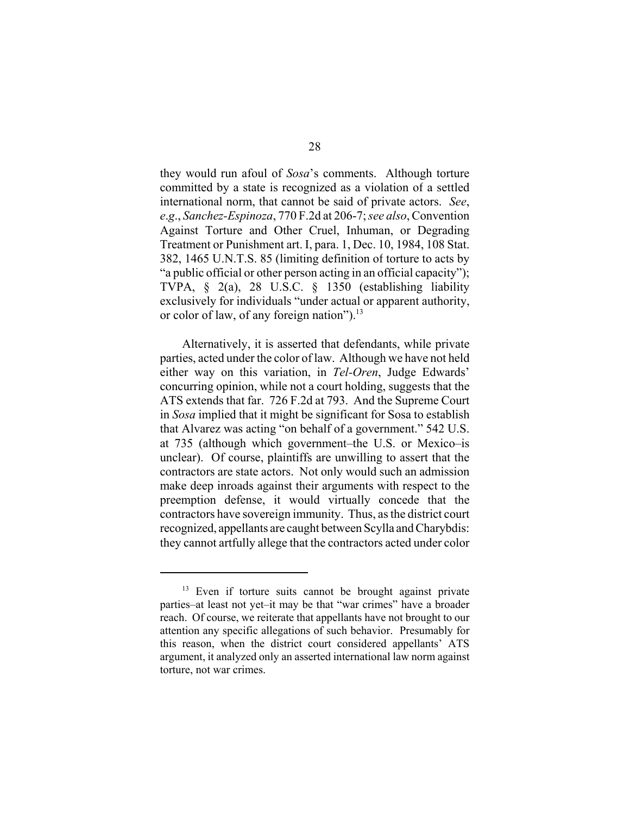they would run afoul of *Sosa*'s comments. Although torture committed by a state is recognized as a violation of a settled international norm, that cannot be said of private actors. *See*, *e*.*g*., *Sanchez-Espinoza*, 770 F.2d at 206-7;*see also*,Convention Against Torture and Other Cruel, Inhuman, or Degrading Treatment or Punishment art. I, para. 1, Dec. 10, 1984, 108 Stat. 382, 1465 U.N.T.S. 85 (limiting definition of torture to acts by "a public official or other person acting in an official capacity"); TVPA, § 2(a), 28 U.S.C. § 1350 (establishing liability exclusively for individuals "under actual or apparent authority, or color of law, of any foreign nation"). $^{13}$ 

Alternatively, it is asserted that defendants, while private parties, acted under the color of law. Although we have not held either way on this variation, in *Tel-Oren*, Judge Edwards' concurring opinion, while not a court holding, suggests that the ATS extends that far. 726 F.2d at 793. And the Supreme Court in *Sosa* implied that it might be significant for Sosa to establish that Alvarez was acting "on behalf of a government." 542 U.S. at 735 (although which government–the U.S. or Mexico–is unclear). Of course, plaintiffs are unwilling to assert that the contractors are state actors. Not only would such an admission make deep inroads against their arguments with respect to the preemption defense, it would virtually concede that the contractors have sovereign immunity. Thus, as the district court recognized, appellants are caught between Scylla and Charybdis: they cannot artfully allege that the contractors acted under color

 $13$  Even if torture suits cannot be brought against private parties–at least not yet–it may be that "war crimes" have a broader reach. Of course, we reiterate that appellants have not brought to our attention any specific allegations of such behavior. Presumably for this reason, when the district court considered appellants' ATS argument, it analyzed only an asserted international law norm against torture, not war crimes.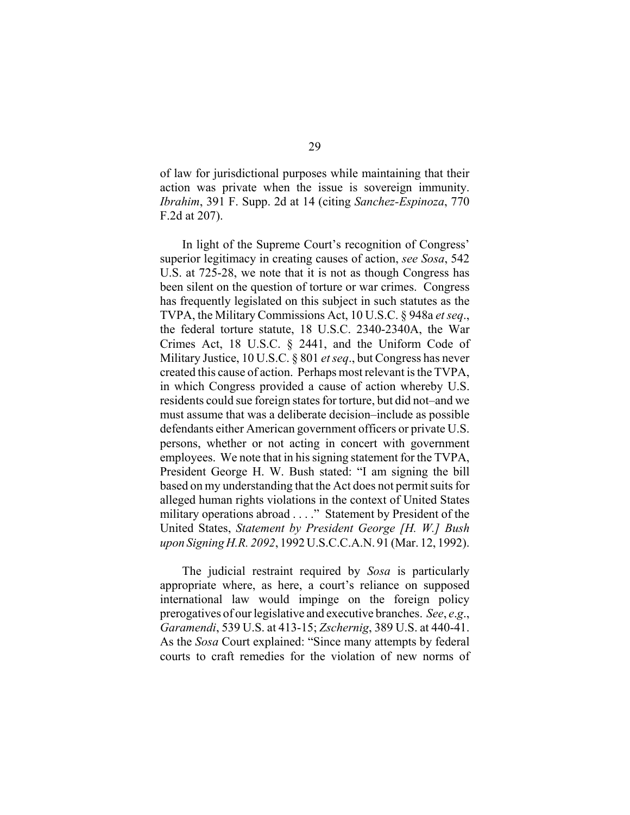of law for jurisdictional purposes while maintaining that their action was private when the issue is sovereign immunity. *Ibrahim*, 391 F. Supp. 2d at 14 (citing *Sanchez-Espinoza*, 770 F.2d at 207).

In light of the Supreme Court's recognition of Congress' superior legitimacy in creating causes of action, *see Sosa*, 542 U.S. at 725-28, we note that it is not as though Congress has been silent on the question of torture or war crimes. Congress has frequently legislated on this subject in such statutes as the TVPA, the Military Commissions Act, 10 U.S.C. § 948a *et seq*., the federal torture statute, 18 U.S.C. 2340-2340A, the War Crimes Act, 18 U.S.C. § 2441, and the Uniform Code of Military Justice, 10 U.S.C. § 801 *et seq*., but Congress has never created this cause of action. Perhaps most relevant is the TVPA, in which Congress provided a cause of action whereby U.S. residents could sue foreign states for torture, but did not–and we must assume that was a deliberate decision–include as possible defendants either American government officers or private U.S. persons, whether or not acting in concert with government employees. We note that in his signing statement for the TVPA, President George H. W. Bush stated: "I am signing the bill based on my understanding that the Act does not permit suits for alleged human rights violations in the context of United States military operations abroad . . . ." Statement by President of the United States, *Statement by President George [H. W.] Bush upon Signing H.R. 2092*, 1992 U.S.C.C.A.N. 91 (Mar. 12, 1992).

The judicial restraint required by *Sosa* is particularly appropriate where, as here, a court's reliance on supposed international law would impinge on the foreign policy prerogatives of our legislative and executive branches. *See*, *e*.*g*., *Garamendi*, 539 U.S. at 413-15; *Zschernig*, 389 U.S. at 440-41. As the *Sosa* Court explained: "Since many attempts by federal courts to craft remedies for the violation of new norms of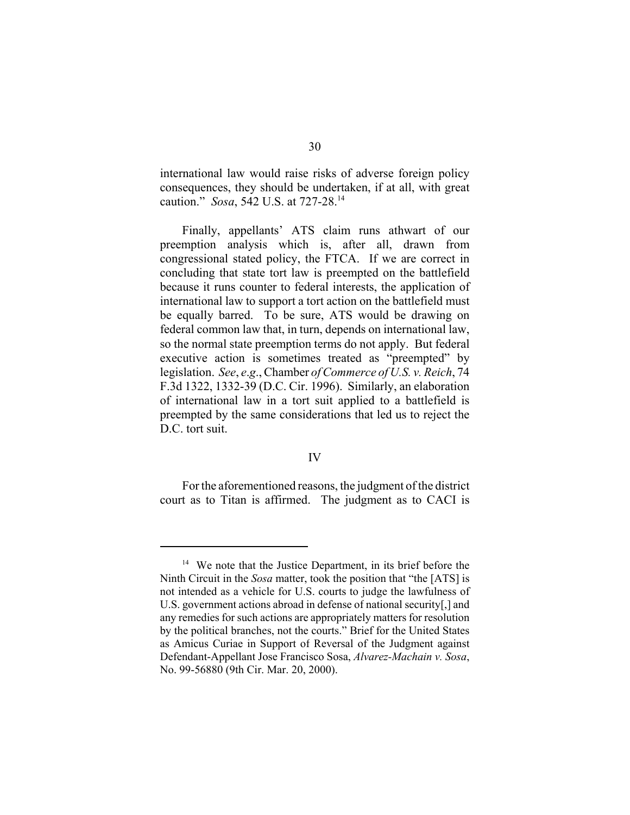international law would raise risks of adverse foreign policy consequences, they should be undertaken, if at all, with great caution." *Sosa*, 542 U.S. at 727-28.14

Finally, appellants' ATS claim runs athwart of our preemption analysis which is, after all, drawn from congressional stated policy, the FTCA. If we are correct in concluding that state tort law is preempted on the battlefield because it runs counter to federal interests, the application of international law to support a tort action on the battlefield must be equally barred. To be sure, ATS would be drawing on federal common law that, in turn, depends on international law, so the normal state preemption terms do not apply. But federal executive action is sometimes treated as "preempted" by legislation. *See*, *e*.*g*., Chamber *of Commerce of U.S. v. Reich*, 74 F.3d 1322, 1332-39 (D.C. Cir. 1996). Similarly, an elaboration of international law in a tort suit applied to a battlefield is preempted by the same considerations that led us to reject the D.C. tort suit.

## IV

For the aforementioned reasons, the judgment of the district court as to Titan is affirmed. The judgment as to CACI is

<sup>&</sup>lt;sup>14</sup> We note that the Justice Department, in its brief before the Ninth Circuit in the *Sosa* matter, took the position that "the [ATS] is not intended as a vehicle for U.S. courts to judge the lawfulness of U.S. government actions abroad in defense of national security[,] and any remedies for such actions are appropriately matters for resolution by the political branches, not the courts." Brief for the United States as Amicus Curiae in Support of Reversal of the Judgment against Defendant-Appellant Jose Francisco Sosa, *Alvarez-Machain v. Sosa*, No. 99-56880 (9th Cir. Mar. 20, 2000).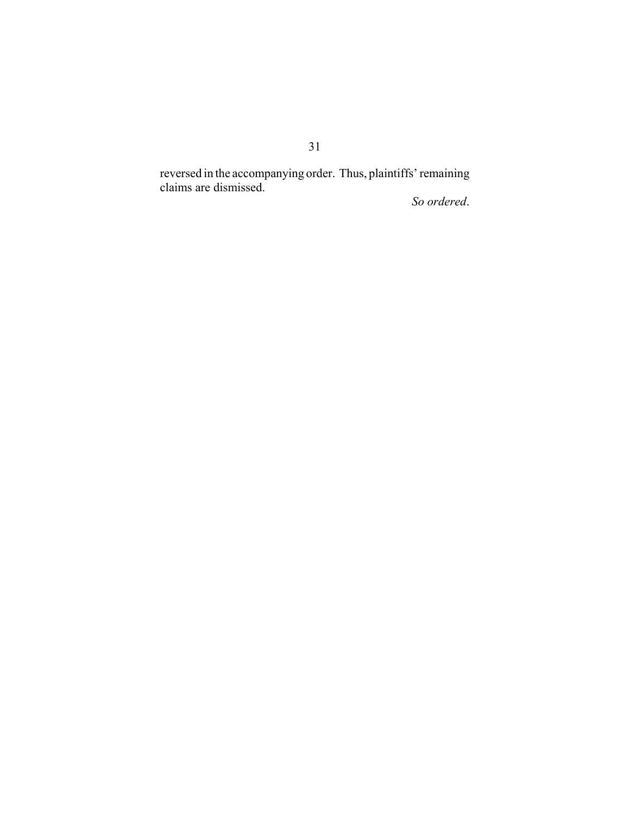reversed in the accompanying order. Thus, plaintiffs' remaining claims are dismissed.

*So ordered*.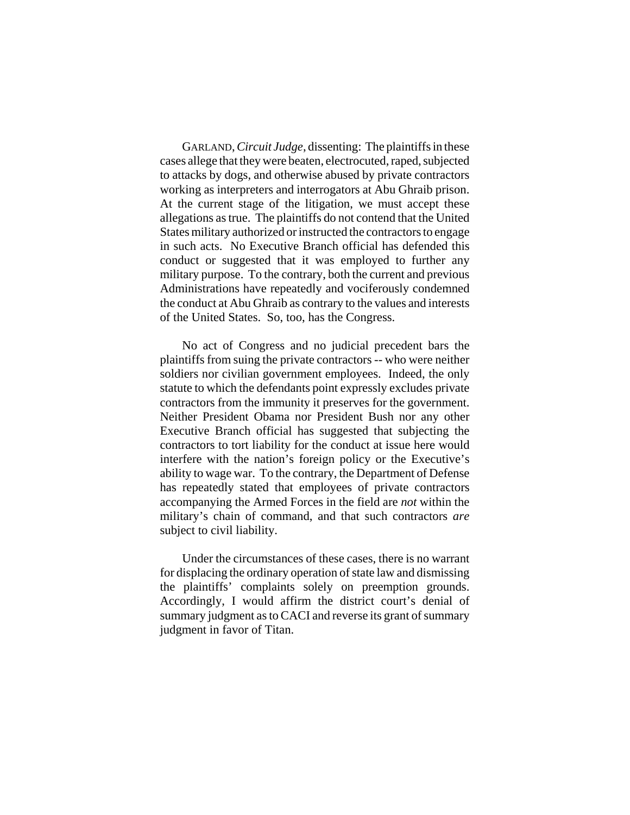GARLAND, *Circuit Judge*, dissenting: The plaintiffs in these cases allege that they were beaten, electrocuted, raped, subjected to attacks by dogs, and otherwise abused by private contractors working as interpreters and interrogators at Abu Ghraib prison. At the current stage of the litigation, we must accept these allegations as true. The plaintiffs do not contend that the United States military authorized or instructed the contractors to engage in such acts. No Executive Branch official has defended this conduct or suggested that it was employed to further any military purpose. To the contrary, both the current and previous Administrations have repeatedly and vociferously condemned the conduct at Abu Ghraib as contrary to the values and interests of the United States. So, too, has the Congress.

No act of Congress and no judicial precedent bars the plaintiffs from suing the private contractors -- who were neither soldiers nor civilian government employees. Indeed, the only statute to which the defendants point expressly excludes private contractors from the immunity it preserves for the government. Neither President Obama nor President Bush nor any other Executive Branch official has suggested that subjecting the contractors to tort liability for the conduct at issue here would interfere with the nation's foreign policy or the Executive's ability to wage war. To the contrary, the Department of Defense has repeatedly stated that employees of private contractors accompanying the Armed Forces in the field are *not* within the military's chain of command, and that such contractors *are* subject to civil liability.

Under the circumstances of these cases, there is no warrant for displacing the ordinary operation of state law and dismissing the plaintiffs' complaints solely on preemption grounds. Accordingly, I would affirm the district court's denial of summary judgment as to CACI and reverse its grant of summary judgment in favor of Titan.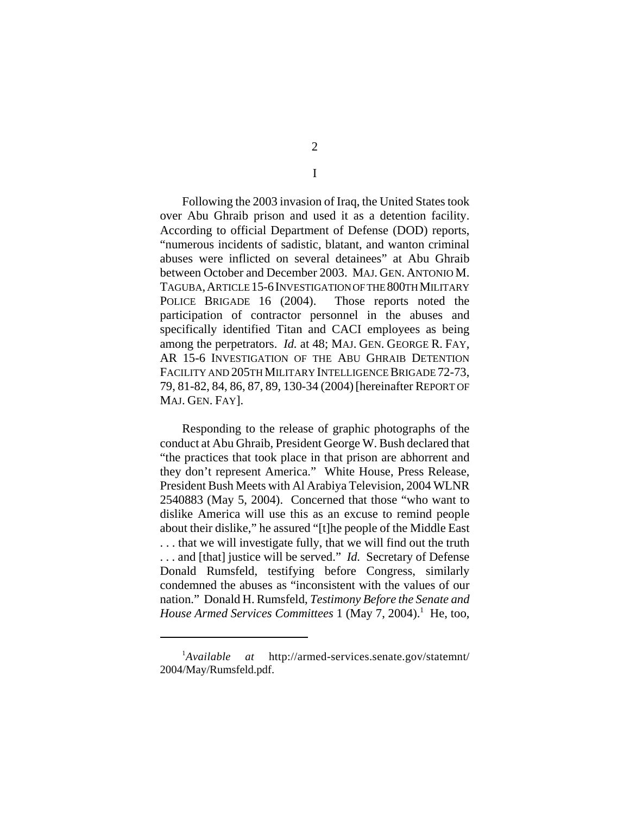Following the 2003 invasion of Iraq, the United States took over Abu Ghraib prison and used it as a detention facility. According to official Department of Defense (DOD) reports, "numerous incidents of sadistic, blatant, and wanton criminal abuses were inflicted on several detainees" at Abu Ghraib between October and December 2003. MAJ. GEN. ANTONIO M. TAGUBA,ARTICLE 15-6INVESTIGATION OF THE 800TH MILITARY POLICE BRIGADE 16 (2004). Those reports noted the participation of contractor personnel in the abuses and specifically identified Titan and CACI employees as being among the perpetrators. *Id.* at 48; MAJ. GEN. GEORGE R. FAY, AR 15-6 INVESTIGATION OF THE ABU GHRAIB DETENTION FACILITY AND 205TH MILITARY INTELLIGENCE BRIGADE 72-73, 79, 81-82, 84, 86, 87, 89, 130-34 (2004)[hereinafter REPORT OF MAJ. GEN. FAY].

Responding to the release of graphic photographs of the conduct at Abu Ghraib, President George W. Bush declared that "the practices that took place in that prison are abhorrent and they don't represent America." White House, Press Release, President Bush Meets with Al Arabiya Television, 2004 WLNR 2540883 (May 5, 2004). Concerned that those "who want to dislike America will use this as an excuse to remind people about their dislike," he assured "[t]he people of the Middle East . . . that we will investigate fully, that we will find out the truth . . . and [that] justice will be served." *Id.* Secretary of Defense Donald Rumsfeld, testifying before Congress, similarly condemned the abuses as "inconsistent with the values of our nation." Donald H. Rumsfeld, *Testimony Before the Senate and* House Armed Services Committees 1 (May 7, 2004).<sup>1</sup> He, too,

I

 $<sup>1</sup> A$  *variable*</sup> *Available at* http://armed-services.senate.gov/statemnt/ 2004/May/Rumsfeld.pdf.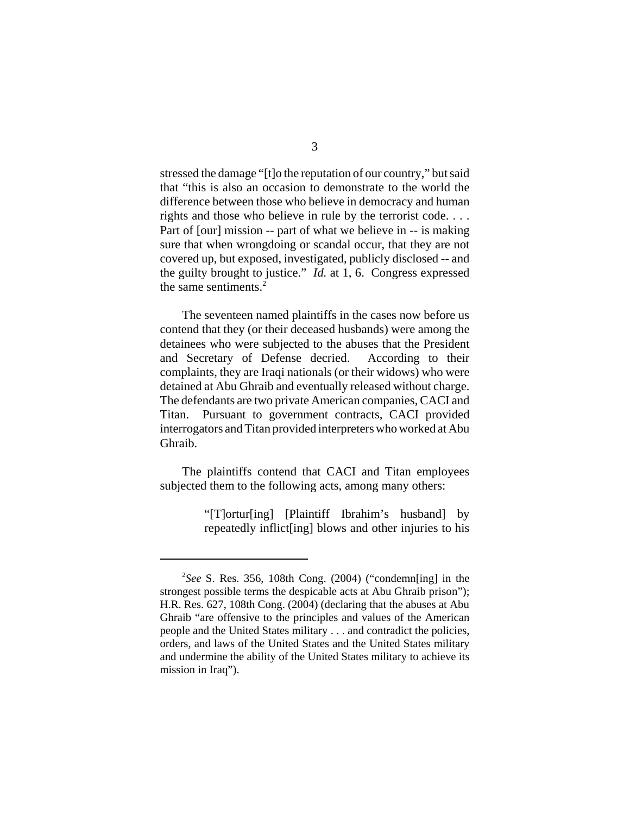stressed the damage "[t]o the reputation of our country," but said that "this is also an occasion to demonstrate to the world the difference between those who believe in democracy and human rights and those who believe in rule by the terrorist code. . . . Part of [our] mission -- part of what we believe in -- is making sure that when wrongdoing or scandal occur, that they are not covered up, but exposed, investigated, publicly disclosed -- and the guilty brought to justice." *Id.* at 1, 6. Congress expressed the same sentiments. $2$ 

The seventeen named plaintiffs in the cases now before us contend that they (or their deceased husbands) were among the detainees who were subjected to the abuses that the President and Secretary of Defense decried. According to their complaints, they are Iraqi nationals (or their widows) who were detained at Abu Ghraib and eventually released without charge. The defendants are two private American companies, CACI and Titan. Pursuant to government contracts, CACI provided interrogators and Titan provided interpreters who worked at Abu Ghraib.

The plaintiffs contend that CACI and Titan employees subjected them to the following acts, among many others:

> "[T]ortur[ing] [Plaintiff Ibrahim's husband] by repeatedly inflict[ing] blows and other injuries to his

<sup>2</sup> *See* S. Res. 356, 108th Cong. (2004) ("condemn[ing] in the strongest possible terms the despicable acts at Abu Ghraib prison"); H.R. Res. 627, 108th Cong. (2004) (declaring that the abuses at Abu Ghraib "are offensive to the principles and values of the American people and the United States military . . . and contradict the policies, orders, and laws of the United States and the United States military and undermine the ability of the United States military to achieve its mission in Iraq").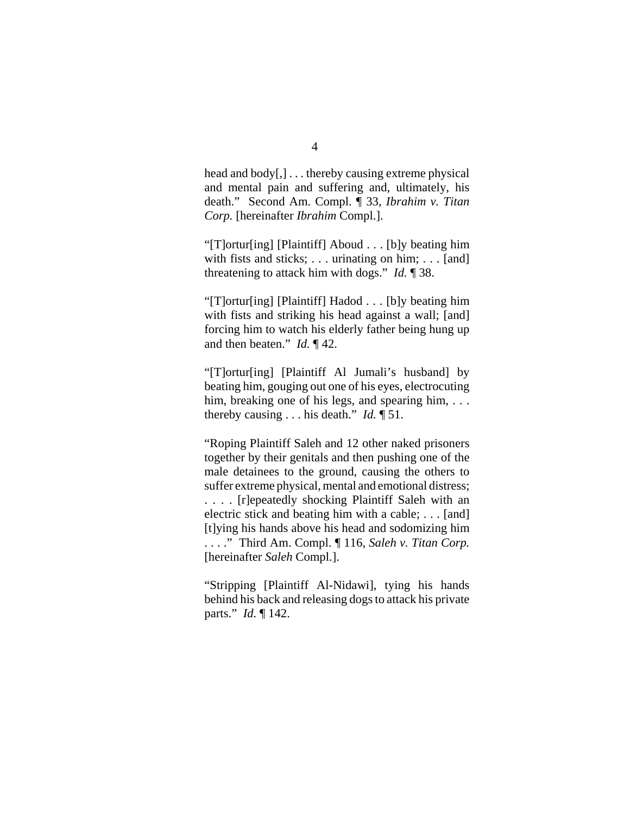head and body[,] . . . thereby causing extreme physical and mental pain and suffering and, ultimately, his death." Second Am. Compl. ¶ 33, *Ibrahim v. Titan Corp.* [hereinafter *Ibrahim* Compl.].

"[T]ortur[ing] [Plaintiff] Aboud . . . [b]y beating him with fists and sticks; . . . urinating on him; . . . [and] threatening to attack him with dogs." *Id.* ¶ 38.

"[T]ortur[ing] [Plaintiff] Hadod . . . [b]y beating him with fists and striking his head against a wall; [and] forcing him to watch his elderly father being hung up and then beaten." *Id.* ¶ 42.

"[T]ortur[ing] [Plaintiff Al Jumali's husband] by beating him, gouging out one of his eyes, electrocuting him, breaking one of his legs, and spearing him, ... thereby causing . . . his death." *Id.* ¶ 51.

"Roping Plaintiff Saleh and 12 other naked prisoners together by their genitals and then pushing one of the male detainees to the ground, causing the others to suffer extreme physical, mental and emotional distress; . . . . [r]epeatedly shocking Plaintiff Saleh with an electric stick and beating him with a cable; . . . [and] [t]ying his hands above his head and sodomizing him . . . ." Third Am. Compl. ¶ 116, *Saleh v. Titan Corp.* [hereinafter *Saleh* Compl.].

"Stripping [Plaintiff Al-Nidawi], tying his hands behind his back and releasing dogs to attack his private parts." *Id.* ¶ 142.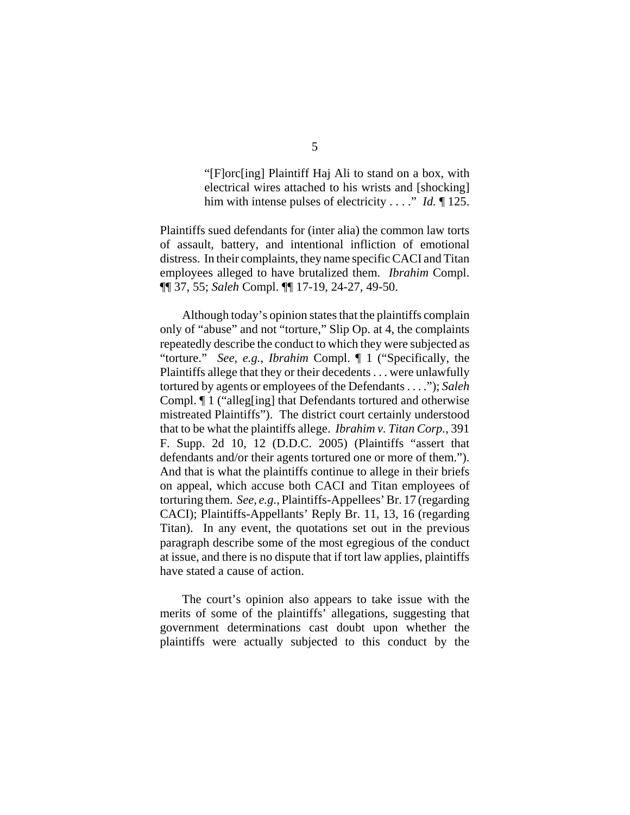"[F]orc[ing] Plaintiff Haj Ali to stand on a box, with electrical wires attached to his wrists and [shocking] him with intense pulses of electricity . . . ." *Id.* ¶ 125.

Plaintiffs sued defendants for (inter alia) the common law torts of assault, battery, and intentional infliction of emotional distress. In their complaints, they name specific CACI and Titan employees alleged to have brutalized them. *Ibrahim* Compl. ¶¶ 37, 55; *Saleh* Compl. ¶¶ 17-19, 24-27, 49-50.

Although today's opinion states that the plaintiffs complain only of "abuse" and not "torture," Slip Op. at 4, the complaints repeatedly describe the conduct to which they were subjected as "torture." *See, e.g.*, *Ibrahim* Compl. ¶ 1 ("Specifically, the Plaintiffs allege that they or their decedents . . . were unlawfully tortured by agents or employees of the Defendants . . . ."); *Saleh* Compl. ¶ 1 ("alleg[ing] that Defendants tortured and otherwise mistreated Plaintiffs"). The district court certainly understood that to be what the plaintiffs allege. *Ibrahim v. Titan Corp.*, 391 F. Supp. 2d 10, 12 (D.D.C. 2005) (Plaintiffs "assert that defendants and/or their agents tortured one or more of them."). And that is what the plaintiffs continue to allege in their briefs on appeal, which accuse both CACI and Titan employees of torturing them. *See, e.g.*, Plaintiffs-Appellees' Br. 17 (regarding CACI); Plaintiffs-Appellants' Reply Br. 11, 13, 16 (regarding Titan). In any event, the quotations set out in the previous paragraph describe some of the most egregious of the conduct at issue, and there is no dispute that if tort law applies, plaintiffs have stated a cause of action.

The court's opinion also appears to take issue with the merits of some of the plaintiffs' allegations, suggesting that government determinations cast doubt upon whether the plaintiffs were actually subjected to this conduct by the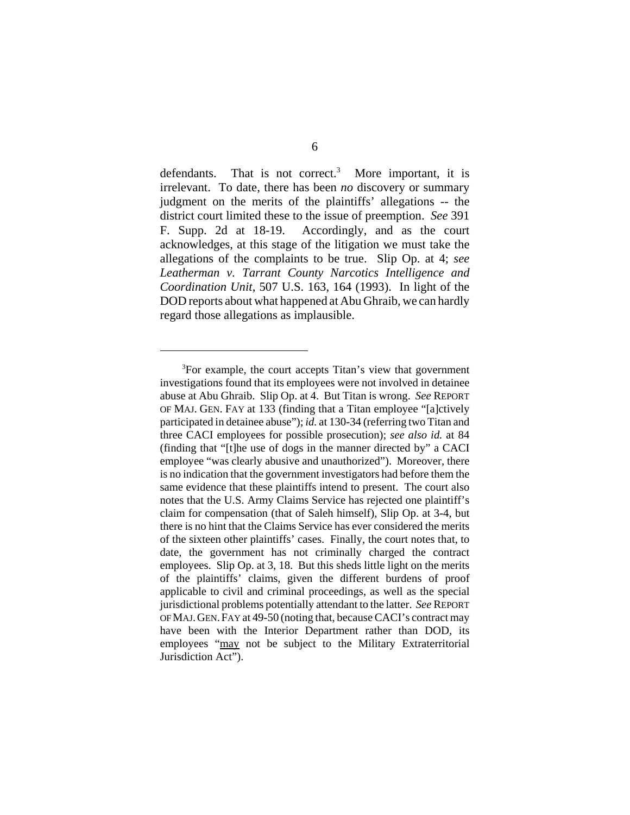defendants. That is not correct.<sup>3</sup> More important, it is irrelevant. To date, there has been *no* discovery or summary judgment on the merits of the plaintiffs' allegations -- the district court limited these to the issue of preemption. *See* 391 F. Supp. 2d at 18-19. Accordingly, and as the court acknowledges, at this stage of the litigation we must take the allegations of the complaints to be true. Slip Op. at 4; *see Leatherman v. Tarrant County Narcotics Intelligence and Coordination Unit*, 507 U.S. 163, 164 (1993). In light of the DOD reports about what happened at Abu Ghraib, we can hardly regard those allegations as implausible.

<sup>&</sup>lt;sup>3</sup>For example, the court accepts Titan's view that government investigations found that its employees were not involved in detainee abuse at Abu Ghraib. Slip Op. at 4. But Titan is wrong. *See* REPORT OF MAJ. GEN. FAY at 133 (finding that a Titan employee "[a]ctively participated in detainee abuse"); *id.* at 130-34 (referring two Titan and three CACI employees for possible prosecution); *see also id.* at 84 (finding that "[t]he use of dogs in the manner directed by" a CACI employee "was clearly abusive and unauthorized"). Moreover, there is no indication that the government investigators had before them the same evidence that these plaintiffs intend to present. The court also notes that the U.S. Army Claims Service has rejected one plaintiff's claim for compensation (that of Saleh himself), Slip Op. at 3-4, but there is no hint that the Claims Service has ever considered the merits of the sixteen other plaintiffs' cases. Finally, the court notes that, to date, the government has not criminally charged the contract employees. Slip Op. at 3, 18. But this sheds little light on the merits of the plaintiffs' claims, given the different burdens of proof applicable to civil and criminal proceedings, as well as the special jurisdictional problems potentially attendant to the latter. *See* REPORT OF MAJ.GEN.FAY at 49-50 (noting that, because CACI's contract may have been with the Interior Department rather than DOD, its employees "may not be subject to the Military Extraterritorial Jurisdiction Act").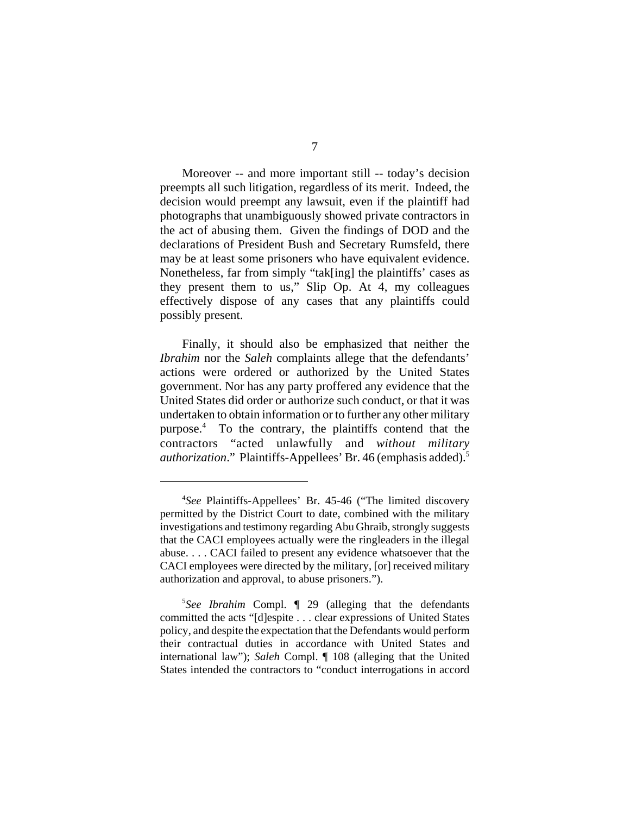Moreover -- and more important still -- today's decision preempts all such litigation, regardless of its merit. Indeed, the decision would preempt any lawsuit, even if the plaintiff had photographs that unambiguously showed private contractors in the act of abusing them. Given the findings of DOD and the declarations of President Bush and Secretary Rumsfeld, there may be at least some prisoners who have equivalent evidence. Nonetheless, far from simply "tak[ing] the plaintiffs' cases as they present them to us," Slip Op. At 4, my colleagues effectively dispose of any cases that any plaintiffs could possibly present.

Finally, it should also be emphasized that neither the *Ibrahim* nor the *Saleh* complaints allege that the defendants' actions were ordered or authorized by the United States government. Nor has any party proffered any evidence that the United States did order or authorize such conduct, or that it was undertaken to obtain information or to further any other military purpose.4 To the contrary, the plaintiffs contend that the contractors "acted unlawfully and *without military authorization*." Plaintiffs-Appellees' Br. 46 (emphasis added).<sup>5</sup>

<sup>4</sup> *See* Plaintiffs-Appellees' Br. 45-46 ("The limited discovery permitted by the District Court to date, combined with the military investigations and testimony regarding Abu Ghraib, strongly suggests that the CACI employees actually were the ringleaders in the illegal abuse. . . . CACI failed to present any evidence whatsoever that the CACI employees were directed by the military, [or] received military authorization and approval, to abuse prisoners.").

<sup>5</sup> *See Ibrahim* Compl. ¶ 29 (alleging that the defendants committed the acts "[d]espite . . . clear expressions of United States policy, and despite the expectation that the Defendants would perform their contractual duties in accordance with United States and international law"); *Saleh* Compl. ¶ 108 (alleging that the United States intended the contractors to "conduct interrogations in accord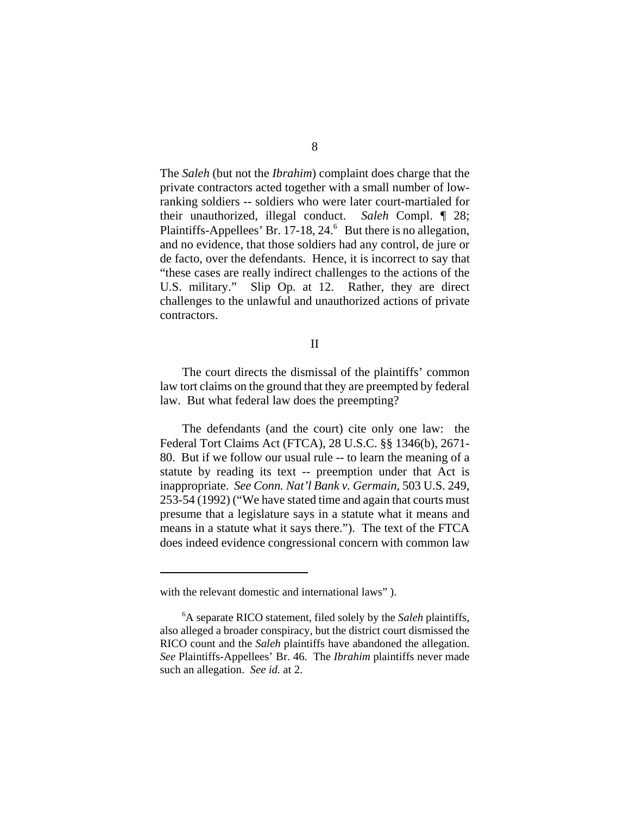The *Saleh* (but not the *Ibrahim*) complaint does charge that the private contractors acted together with a small number of lowranking soldiers -- soldiers who were later court-martialed for their unauthorized, illegal conduct. *Saleh* Compl. ¶ 28; Plaintiffs-Appellees' Br. 17-18, 24.<sup>6</sup> But there is no allegation, and no evidence, that those soldiers had any control, de jure or de facto, over the defendants. Hence, it is incorrect to say that "these cases are really indirect challenges to the actions of the U.S. military." Slip Op. at 12. Rather, they are direct challenges to the unlawful and unauthorized actions of private contractors.

II

The court directs the dismissal of the plaintiffs' common law tort claims on the ground that they are preempted by federal law. But what federal law does the preempting?

The defendants (and the court) cite only one law: the Federal Tort Claims Act (FTCA), 28 U.S.C. §§ 1346(b), 2671- 80. But if we follow our usual rule -- to learn the meaning of a statute by reading its text -- preemption under that Act is inappropriate. *See Conn. Nat'l Bank v. Germain*, 503 U.S. 249, 253-54 (1992) ("We have stated time and again that courts must presume that a legislature says in a statute what it means and means in a statute what it says there."). The text of the FTCA does indeed evidence congressional concern with common law

with the relevant domestic and international laws" ).

<sup>6</sup> A separate RICO statement, filed solely by the *Saleh* plaintiffs, also alleged a broader conspiracy, but the district court dismissed the RICO count and the *Saleh* plaintiffs have abandoned the allegation. *See* Plaintiffs-Appellees' Br. 46. The *Ibrahim* plaintiffs never made such an allegation. *See id.* at 2.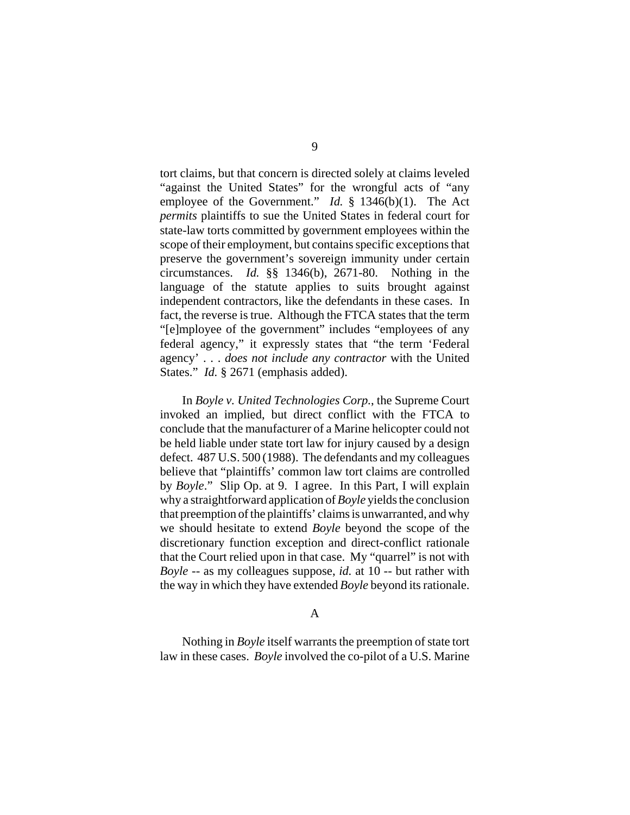tort claims, but that concern is directed solely at claims leveled "against the United States" for the wrongful acts of "any employee of the Government." *Id.* § 1346(b)(1). The Act *permits* plaintiffs to sue the United States in federal court for state-law torts committed by government employees within the scope of their employment, but contains specific exceptions that preserve the government's sovereign immunity under certain circumstances. *Id.* §§ 1346(b), 2671-80. Nothing in the language of the statute applies to suits brought against independent contractors, like the defendants in these cases. In fact, the reverse is true. Although the FTCA states that the term "[e]mployee of the government" includes "employees of any federal agency," it expressly states that "the term 'Federal agency' . . . *does not include any contractor* with the United States." *Id.* § 2671 (emphasis added).

In *Boyle v. United Technologies Corp.*, the Supreme Court invoked an implied, but direct conflict with the FTCA to conclude that the manufacturer of a Marine helicopter could not be held liable under state tort law for injury caused by a design defect. 487 U.S. 500 (1988). The defendants and my colleagues believe that "plaintiffs' common law tort claims are controlled by *Boyle*." Slip Op. at 9. I agree. In this Part, I will explain why a straightforward application of *Boyle* yields the conclusion that preemption of the plaintiffs' claims is unwarranted, and why we should hesitate to extend *Boyle* beyond the scope of the discretionary function exception and direct-conflict rationale that the Court relied upon in that case. My "quarrel" is not with *Boyle* -- as my colleagues suppose, *id.* at 10 -- but rather with the way in which they have extended *Boyle* beyond its rationale.

### A

Nothing in *Boyle* itself warrants the preemption of state tort law in these cases. *Boyle* involved the co-pilot of a U.S. Marine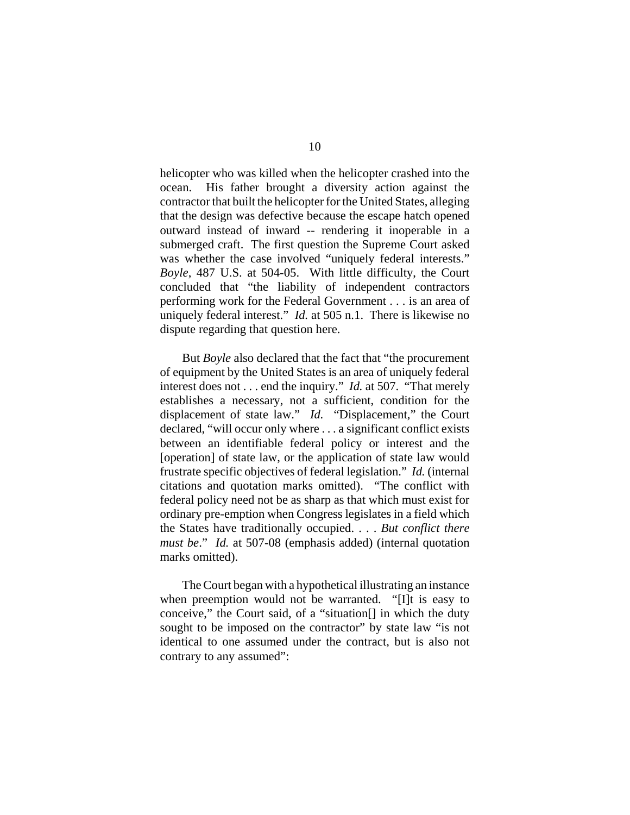helicopter who was killed when the helicopter crashed into the ocean. His father brought a diversity action against the contractor that built the helicopter for the United States, alleging that the design was defective because the escape hatch opened outward instead of inward -- rendering it inoperable in a submerged craft. The first question the Supreme Court asked was whether the case involved "uniquely federal interests." *Boyle*, 487 U.S. at 504-05. With little difficulty, the Court concluded that "the liability of independent contractors performing work for the Federal Government . . . is an area of uniquely federal interest." *Id.* at 505 n.1. There is likewise no dispute regarding that question here.

But *Boyle* also declared that the fact that "the procurement of equipment by the United States is an area of uniquely federal interest does not . . . end the inquiry." *Id.* at 507. "That merely establishes a necessary, not a sufficient, condition for the displacement of state law." *Id.* "Displacement," the Court declared, "will occur only where . . . a significant conflict exists between an identifiable federal policy or interest and the [operation] of state law, or the application of state law would frustrate specific objectives of federal legislation." *Id.* (internal citations and quotation marks omitted). "The conflict with federal policy need not be as sharp as that which must exist for ordinary pre-emption when Congress legislates in a field which the States have traditionally occupied. . . . *But conflict there must be*." *Id.* at 507-08 (emphasis added) (internal quotation marks omitted).

The Court began with a hypothetical illustrating an instance when preemption would not be warranted. "[I]t is easy to conceive," the Court said, of a "situation[] in which the duty sought to be imposed on the contractor" by state law "is not identical to one assumed under the contract, but is also not contrary to any assumed":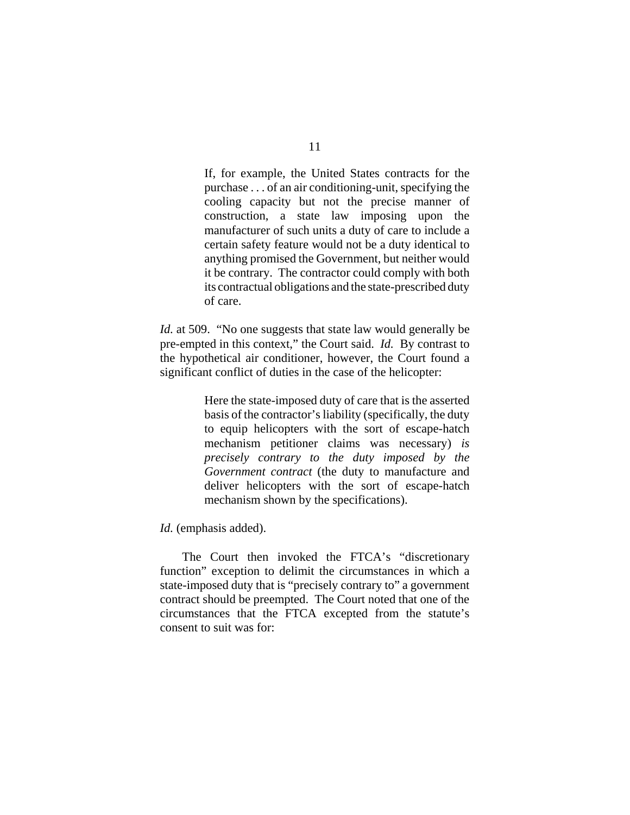If, for example, the United States contracts for the purchase . . . of an air conditioning-unit, specifying the cooling capacity but not the precise manner of construction, a state law imposing upon the manufacturer of such units a duty of care to include a certain safety feature would not be a duty identical to anything promised the Government, but neither would it be contrary. The contractor could comply with both its contractual obligations and the state-prescribed duty of care.

*Id.* at 509. "No one suggests that state law would generally be pre-empted in this context," the Court said. *Id.* By contrast to the hypothetical air conditioner, however, the Court found a significant conflict of duties in the case of the helicopter:

> Here the state-imposed duty of care that is the asserted basis of the contractor's liability (specifically, the duty to equip helicopters with the sort of escape-hatch mechanism petitioner claims was necessary) *is precisely contrary to the duty imposed by the Government contract* (the duty to manufacture and deliver helicopters with the sort of escape-hatch mechanism shown by the specifications).

*Id.* (emphasis added).

The Court then invoked the FTCA's "discretionary function" exception to delimit the circumstances in which a state-imposed duty that is "precisely contrary to" a government contract should be preempted. The Court noted that one of the circumstances that the FTCA excepted from the statute's consent to suit was for: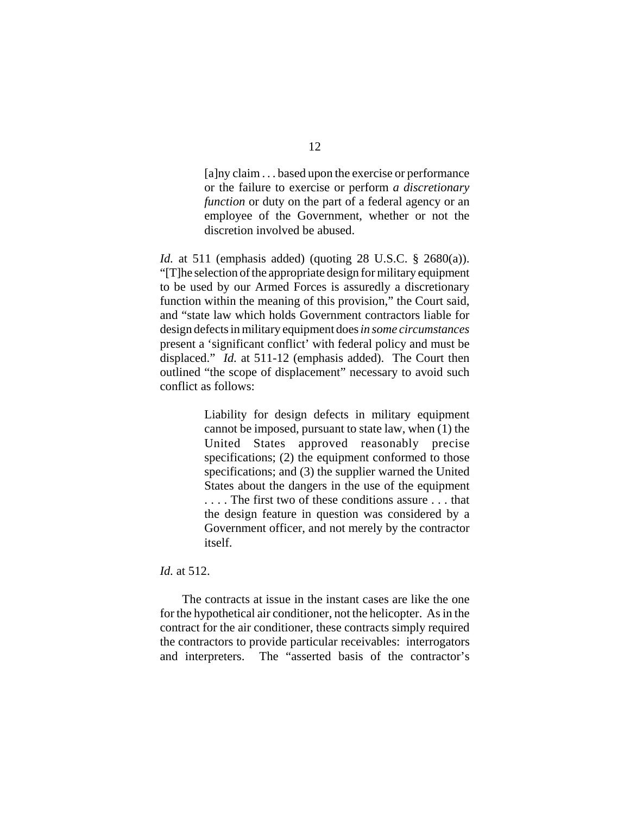[a]ny claim . . . based upon the exercise or performance or the failure to exercise or perform *a discretionary function* or duty on the part of a federal agency or an employee of the Government, whether or not the discretion involved be abused.

*Id.* at 511 (emphasis added) (quoting 28 U.S.C. § 2680(a)). "[T]he selection of the appropriate design for military equipment to be used by our Armed Forces is assuredly a discretionary function within the meaning of this provision," the Court said, and "state law which holds Government contractors liable for design defects in military equipment does *in some circumstances* present a 'significant conflict' with federal policy and must be displaced." *Id.* at 511-12 (emphasis added). The Court then outlined "the scope of displacement" necessary to avoid such conflict as follows:

> Liability for design defects in military equipment cannot be imposed, pursuant to state law, when (1) the United States approved reasonably precise specifications; (2) the equipment conformed to those specifications; and (3) the supplier warned the United States about the dangers in the use of the equipment . . . . The first two of these conditions assure . . . that the design feature in question was considered by a Government officer, and not merely by the contractor itself.

# *Id.* at 512.

The contracts at issue in the instant cases are like the one for the hypothetical air conditioner, not the helicopter. As in the contract for the air conditioner, these contracts simply required the contractors to provide particular receivables: interrogators and interpreters. The "asserted basis of the contractor's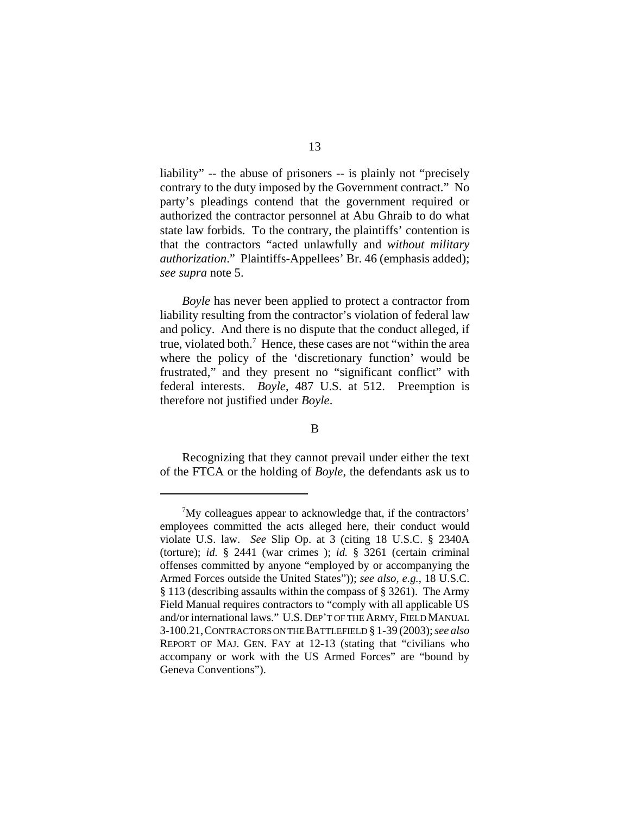liability" -- the abuse of prisoners -- is plainly not "precisely contrary to the duty imposed by the Government contract." No party's pleadings contend that the government required or authorized the contractor personnel at Abu Ghraib to do what state law forbids. To the contrary, the plaintiffs' contention is that the contractors "acted unlawfully and *without military authorization*." Plaintiffs-Appellees' Br. 46 (emphasis added); *see supra* note 5.

*Boyle* has never been applied to protect a contractor from liability resulting from the contractor's violation of federal law and policy. And there is no dispute that the conduct alleged, if true, violated both.<sup>7</sup> Hence, these cases are not "within the area where the policy of the 'discretionary function' would be frustrated," and they present no "significant conflict" with federal interests. *Boyle*, 487 U.S. at 512. Preemption is therefore not justified under *Boyle*.

#### B

Recognizing that they cannot prevail under either the text of the FTCA or the holding of *Boyle*, the defendants ask us to

 $7$ My colleagues appear to acknowledge that, if the contractors' employees committed the acts alleged here, their conduct would violate U.S. law. *See* Slip Op. at 3 (citing 18 U.S.C. § 2340A (torture); *id.* § 2441 (war crimes ); *id.* § 3261 (certain criminal offenses committed by anyone "employed by or accompanying the Armed Forces outside the United States")); *see also, e.g.*, 18 U.S.C. § 113 (describing assaults within the compass of § 3261). The Army Field Manual requires contractors to "comply with all applicable US and/or international laws." U.S.DEP'T OF THE ARMY, FIELD MANUAL 3-100.21,CONTRACTORS ON THE BATTLEFIELD § 1-39 (2003); *see also* REPORT OF MAJ. GEN. FAY at 12-13 (stating that "civilians who accompany or work with the US Armed Forces" are "bound by Geneva Conventions").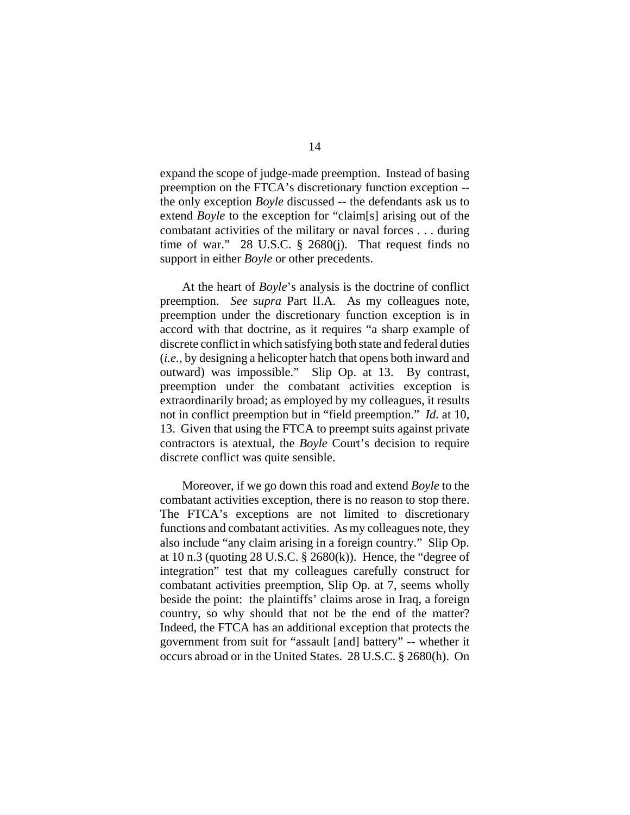expand the scope of judge-made preemption. Instead of basing preemption on the FTCA's discretionary function exception - the only exception *Boyle* discussed -- the defendants ask us to extend *Boyle* to the exception for "claim[s] arising out of the combatant activities of the military or naval forces . . . during time of war." 28 U.S.C. § 2680(j). That request finds no support in either *Boyle* or other precedents.

At the heart of *Boyle*'s analysis is the doctrine of conflict preemption. *See supra* Part II.A. As my colleagues note, preemption under the discretionary function exception is in accord with that doctrine, as it requires "a sharp example of discrete conflict in which satisfying both state and federal duties (*i.e.*, by designing a helicopter hatch that opens both inward and outward) was impossible." Slip Op. at 13. By contrast, preemption under the combatant activities exception is extraordinarily broad; as employed by my colleagues, it results not in conflict preemption but in "field preemption." *Id.* at 10, 13. Given that using the FTCA to preempt suits against private contractors is atextual, the *Boyle* Court's decision to require discrete conflict was quite sensible.

Moreover, if we go down this road and extend *Boyle* to the combatant activities exception, there is no reason to stop there. The FTCA's exceptions are not limited to discretionary functions and combatant activities. As my colleagues note, they also include "any claim arising in a foreign country." Slip Op. at 10 n.3 (quoting 28 U.S.C.  $\S$  2680(k)). Hence, the "degree of integration" test that my colleagues carefully construct for combatant activities preemption, Slip Op. at 7, seems wholly beside the point: the plaintiffs' claims arose in Iraq, a foreign country, so why should that not be the end of the matter? Indeed, the FTCA has an additional exception that protects the government from suit for "assault [and] battery" -- whether it occurs abroad or in the United States. 28 U.S.C. § 2680(h). On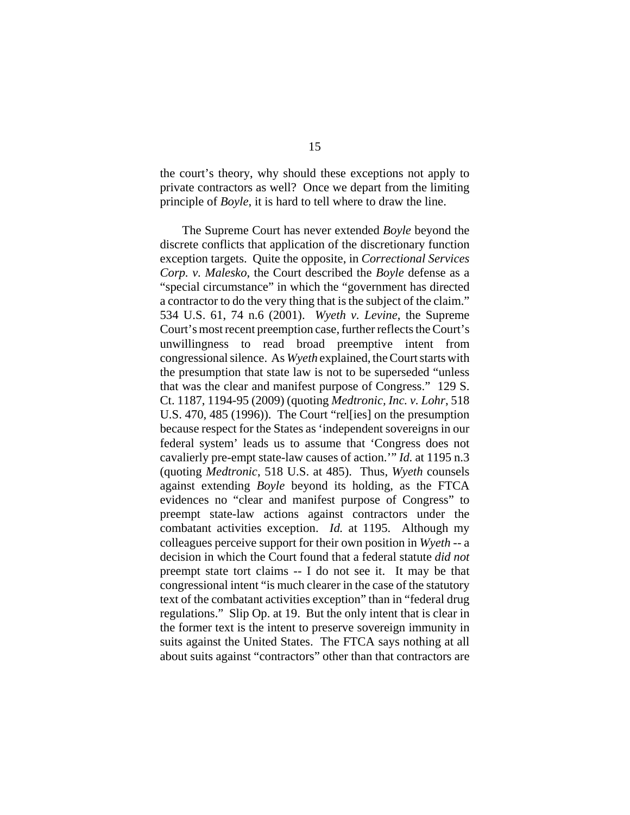the court's theory, why should these exceptions not apply to private contractors as well? Once we depart from the limiting principle of *Boyle*, it is hard to tell where to draw the line.

The Supreme Court has never extended *Boyle* beyond the discrete conflicts that application of the discretionary function exception targets. Quite the opposite, in *Correctional Services Corp. v. Malesko*, the Court described the *Boyle* defense as a "special circumstance" in which the "government has directed a contractor to do the very thing that is the subject of the claim." 534 U.S. 61, 74 n.6 (2001). *Wyeth v. Levine*, the Supreme Court's most recent preemption case, further reflects the Court's unwillingness to read broad preemptive intent from congressional silence. As *Wyeth* explained, the Court starts with the presumption that state law is not to be superseded "unless that was the clear and manifest purpose of Congress." 129 S. Ct. 1187, 1194-95 (2009) (quoting *Medtronic, Inc. v. Lohr*, 518 U.S. 470, 485 (1996)). The Court "rel[ies] on the presumption because respect for the States as 'independent sovereigns in our federal system' leads us to assume that 'Congress does not cavalierly pre-empt state-law causes of action.'" *Id.* at 1195 n.3 (quoting *Medtronic*, 518 U.S. at 485). Thus, *Wyeth* counsels against extending *Boyle* beyond its holding, as the FTCA evidences no "clear and manifest purpose of Congress" to preempt state-law actions against contractors under the combatant activities exception. *Id.* at 1195. Although my colleagues perceive support for their own position in *Wyeth* -- a decision in which the Court found that a federal statute *did not* preempt state tort claims -- I do not see it. It may be that congressional intent "is much clearer in the case of the statutory text of the combatant activities exception" than in "federal drug regulations." Slip Op. at 19. But the only intent that is clear in the former text is the intent to preserve sovereign immunity in suits against the United States. The FTCA says nothing at all about suits against "contractors" other than that contractors are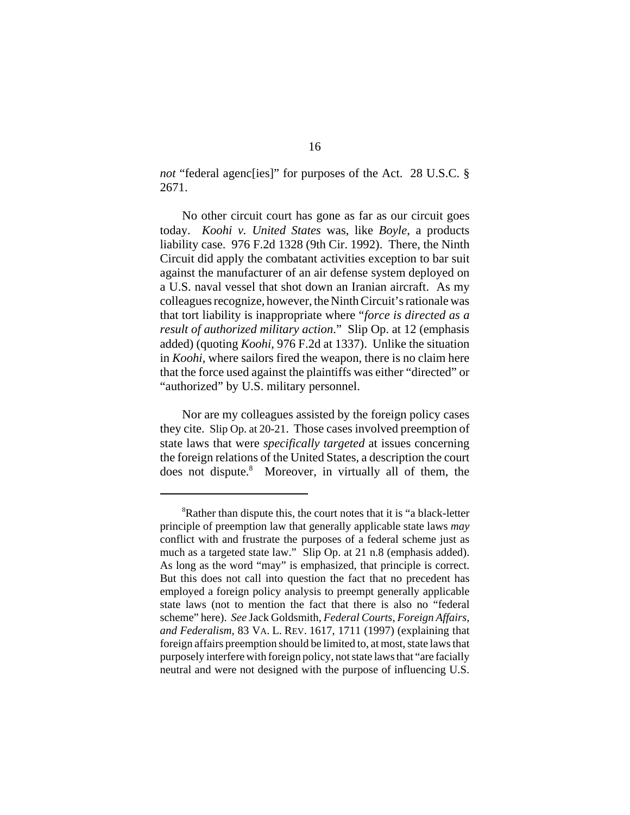*not* "federal agenc[ies]" for purposes of the Act. 28 U.S.C. § 2671.

No other circuit court has gone as far as our circuit goes today. *Koohi v. United States* was, like *Boyle*, a products liability case. 976 F.2d 1328 (9th Cir. 1992). There, the Ninth Circuit did apply the combatant activities exception to bar suit against the manufacturer of an air defense system deployed on a U.S. naval vessel that shot down an Iranian aircraft. As my colleagues recognize, however, the Ninth Circuit's rationale was that tort liability is inappropriate where "*force is directed as a result of authorized military action*." Slip Op. at 12 (emphasis added) (quoting *Koohi*, 976 F.2d at 1337). Unlike the situation in *Koohi*, where sailors fired the weapon, there is no claim here that the force used against the plaintiffs was either "directed" or "authorized" by U.S. military personnel.

Nor are my colleagues assisted by the foreign policy cases they cite. Slip Op. at 20-21. Those cases involved preemption of state laws that were *specifically targeted* at issues concerning the foreign relations of the United States, a description the court does not dispute.<sup>8</sup> Moreover, in virtually all of them, the

<sup>&</sup>lt;sup>8</sup>Rather than dispute this, the court notes that it is "a black-letter principle of preemption law that generally applicable state laws *may* conflict with and frustrate the purposes of a federal scheme just as much as a targeted state law." Slip Op. at 21 n.8 (emphasis added). As long as the word "may" is emphasized, that principle is correct. But this does not call into question the fact that no precedent has employed a foreign policy analysis to preempt generally applicable state laws (not to mention the fact that there is also no "federal scheme" here). *See* Jack Goldsmith, *Federal Courts, Foreign Affairs, and Federalism*, 83 VA. L. REV. 1617, 1711 (1997) (explaining that foreign affairs preemption should be limited to, at most, state laws that purposely interfere with foreign policy, not state laws that "are facially neutral and were not designed with the purpose of influencing U.S.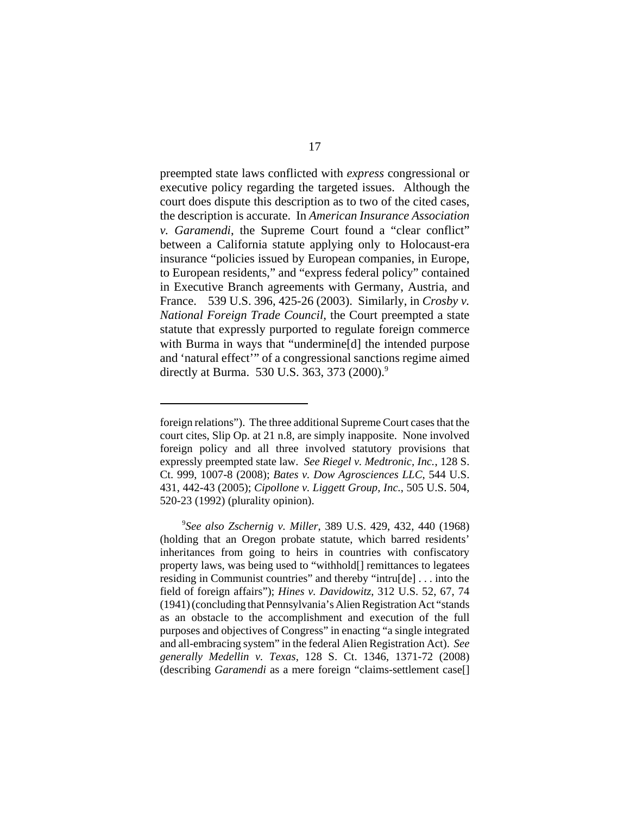preempted state laws conflicted with *express* congressional or executive policy regarding the targeted issues. Although the court does dispute this description as to two of the cited cases, the description is accurate. In *American Insurance Association v. Garamendi*, the Supreme Court found a "clear conflict" between a California statute applying only to Holocaust-era insurance "policies issued by European companies, in Europe, to European residents," and "express federal policy" contained in Executive Branch agreements with Germany, Austria, and France. 539 U.S. 396, 425-26 (2003). Similarly, in *Crosby v. National Foreign Trade Council*, the Court preempted a state statute that expressly purported to regulate foreign commerce with Burma in ways that "undermine[d] the intended purpose and 'natural effect'" of a congressional sanctions regime aimed directly at Burma. 530 U.S. 363, 373 (2000).<sup>9</sup>

foreign relations"). The three additional Supreme Court cases that the court cites, Slip Op. at 21 n.8, are simply inapposite. None involved foreign policy and all three involved statutory provisions that expressly preempted state law. *See Riegel v. Medtronic, Inc.*, 128 S. Ct. 999, 1007-8 (2008); *Bates v. Dow Agrosciences LLC*, 544 U.S. 431, 442-43 (2005); *Cipollone v. Liggett Group, Inc.*, 505 U.S. 504, 520-23 (1992) (plurality opinion).

<sup>9</sup> *See also Zschernig v. Miller*, 389 U.S. 429, 432, 440 (1968) (holding that an Oregon probate statute, which barred residents' inheritances from going to heirs in countries with confiscatory property laws, was being used to "withhold[] remittances to legatees residing in Communist countries" and thereby "intru[de] . . . into the field of foreign affairs"); *Hines v. Davidowitz*, 312 U.S. 52, 67, 74 (1941) (concluding that Pennsylvania's Alien Registration Act "stands as an obstacle to the accomplishment and execution of the full purposes and objectives of Congress" in enacting "a single integrated and all-embracing system" in the federal Alien Registration Act). *See generally Medellin v. Texas*, 128 S. Ct. 1346, 1371-72 (2008) (describing *Garamendi* as a mere foreign "claims-settlement case[]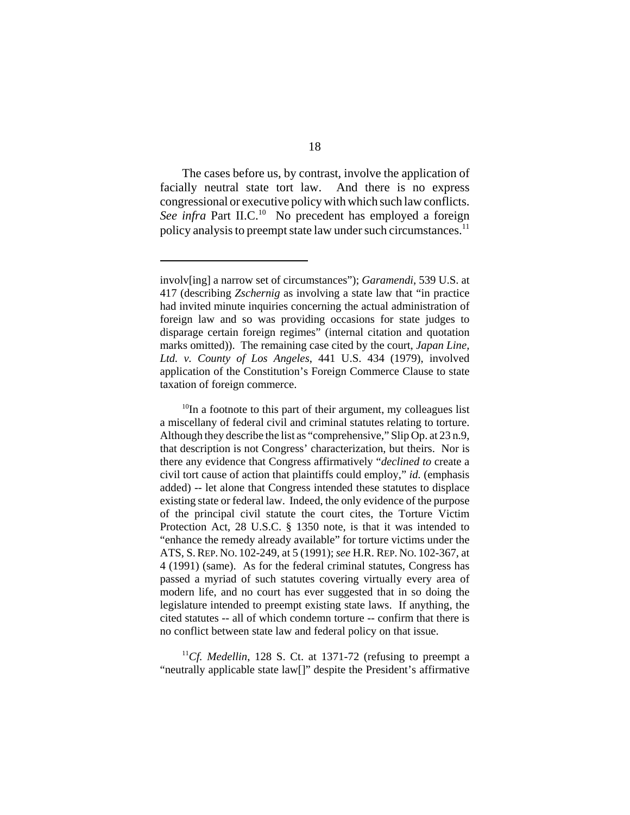The cases before us, by contrast, involve the application of facially neutral state tort law. And there is no express congressional or executive policy with which such law conflicts. See infra Part II.C.<sup>10</sup> No precedent has employed a foreign policy analysis to preempt state law under such circumstances.<sup>11</sup>

<sup>11</sup>*Cf. Medellin*, 128 S. Ct. at 1371-72 (refusing to preempt a "neutrally applicable state law[]" despite the President's affirmative

involv[ing] a narrow set of circumstances"); *Garamendi*, 539 U.S. at 417 (describing *Zschernig* as involving a state law that "in practice had invited minute inquiries concerning the actual administration of foreign law and so was providing occasions for state judges to disparage certain foreign regimes" (internal citation and quotation marks omitted)). The remaining case cited by the court, *Japan Line, Ltd. v. County of Los Angeles*, 441 U.S. 434 (1979), involved application of the Constitution's Foreign Commerce Clause to state taxation of foreign commerce.

 $10$ In a footnote to this part of their argument, my colleagues list a miscellany of federal civil and criminal statutes relating to torture. Although they describe the list as "comprehensive," Slip Op. at 23 n.9, that description is not Congress' characterization, but theirs. Nor is there any evidence that Congress affirmatively "*declined to* create a civil tort cause of action that plaintiffs could employ," *id.* (emphasis added) -- let alone that Congress intended these statutes to displace existing state or federal law. Indeed, the only evidence of the purpose of the principal civil statute the court cites, the Torture Victim Protection Act, 28 U.S.C. § 1350 note, is that it was intended to "enhance the remedy already available" for torture victims under the ATS, S.REP. NO. 102-249, at 5 (1991); *see* H.R. REP. NO. 102-367, at 4 (1991) (same). As for the federal criminal statutes, Congress has passed a myriad of such statutes covering virtually every area of modern life, and no court has ever suggested that in so doing the legislature intended to preempt existing state laws. If anything, the cited statutes -- all of which condemn torture -- confirm that there is no conflict between state law and federal policy on that issue.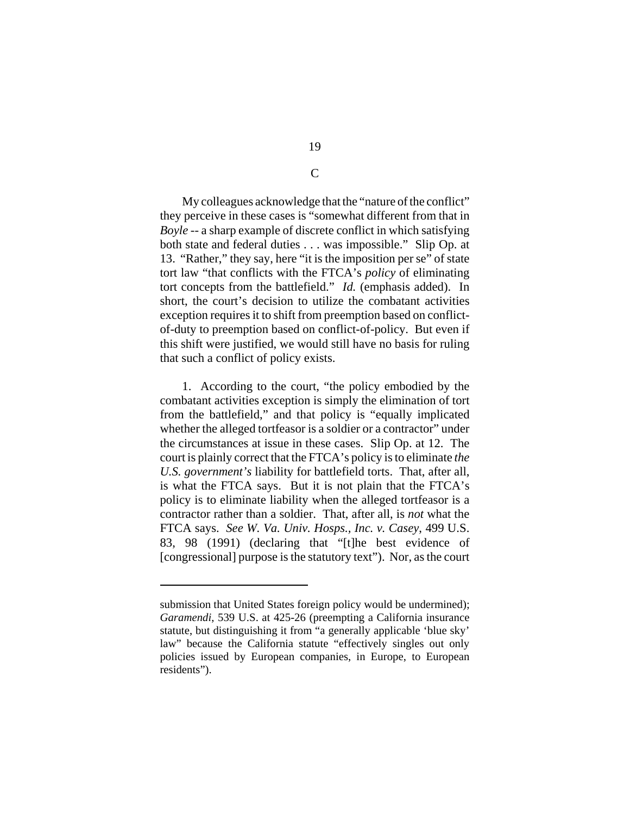My colleagues acknowledge that the "nature of the conflict" they perceive in these cases is "somewhat different from that in *Boyle* -- a sharp example of discrete conflict in which satisfying both state and federal duties . . . was impossible." Slip Op. at 13. "Rather," they say, here "it is the imposition per se" of state tort law "that conflicts with the FTCA's *policy* of eliminating tort concepts from the battlefield." *Id.* (emphasis added). In short, the court's decision to utilize the combatant activities exception requires it to shift from preemption based on conflictof-duty to preemption based on conflict-of-policy. But even if this shift were justified, we would still have no basis for ruling that such a conflict of policy exists.

1. According to the court, "the policy embodied by the combatant activities exception is simply the elimination of tort from the battlefield," and that policy is "equally implicated whether the alleged tortfeasor is a soldier or a contractor" under the circumstances at issue in these cases. Slip Op. at 12. The court is plainly correct that the FTCA's policy is to eliminate *the U.S. government's* liability for battlefield torts. That, after all, is what the FTCA says. But it is not plain that the FTCA's policy is to eliminate liability when the alleged tortfeasor is a contractor rather than a soldier. That, after all, is *not* what the FTCA says. *See W. Va. Univ. Hosps., Inc. v. Casey*, 499 U.S. 83, 98 (1991) (declaring that "[t]he best evidence of [congressional] purpose is the statutory text"). Nor, as the court

C

submission that United States foreign policy would be undermined); *Garamendi*, 539 U.S. at 425-26 (preempting a California insurance statute, but distinguishing it from "a generally applicable 'blue sky' law" because the California statute "effectively singles out only policies issued by European companies, in Europe, to European residents").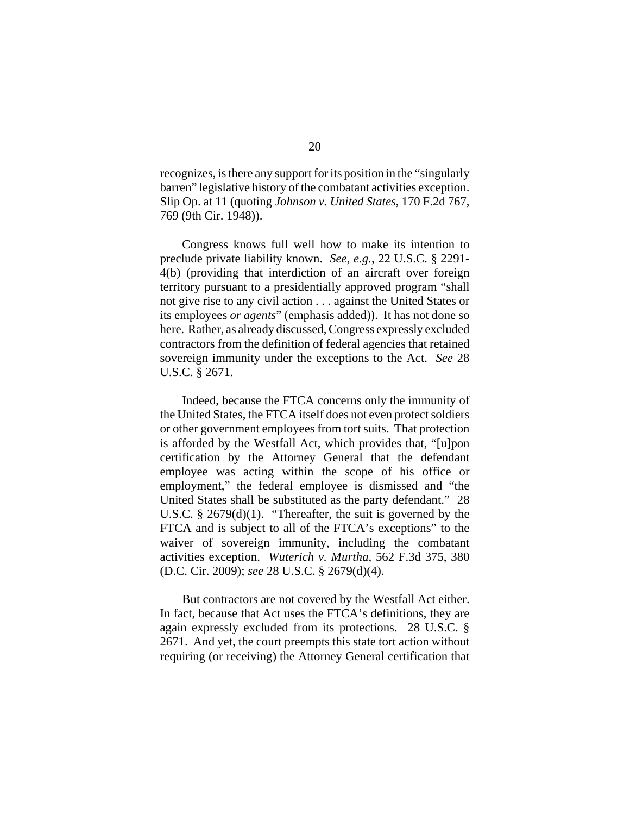recognizes, is there any support for its position in the "singularly barren" legislative history of the combatant activities exception. Slip Op. at 11 (quoting *Johnson v. United States*, 170 F.2d 767, 769 (9th Cir. 1948)).

Congress knows full well how to make its intention to preclude private liability known. *See, e.g.*, 22 U.S.C. § 2291- 4(b) (providing that interdiction of an aircraft over foreign territory pursuant to a presidentially approved program "shall not give rise to any civil action . . . against the United States or its employees *or agents*" (emphasis added)). It has not done so here. Rather, as already discussed, Congress expressly excluded contractors from the definition of federal agencies that retained sovereign immunity under the exceptions to the Act. *See* 28 U.S.C. § 2671.

Indeed, because the FTCA concerns only the immunity of the United States, the FTCA itself does not even protect soldiers or other government employees from tort suits. That protection is afforded by the Westfall Act, which provides that, "[u]pon certification by the Attorney General that the defendant employee was acting within the scope of his office or employment," the federal employee is dismissed and "the United States shall be substituted as the party defendant." 28 U.S.C.  $\S$  2679(d)(1). "Thereafter, the suit is governed by the FTCA and is subject to all of the FTCA's exceptions" to the waiver of sovereign immunity, including the combatant activities exception. *Wuterich v. Murtha*, 562 F.3d 375, 380 (D.C. Cir. 2009); *see* 28 U.S.C. § 2679(d)(4).

But contractors are not covered by the Westfall Act either. In fact, because that Act uses the FTCA's definitions, they are again expressly excluded from its protections. 28 U.S.C. § 2671. And yet, the court preempts this state tort action without requiring (or receiving) the Attorney General certification that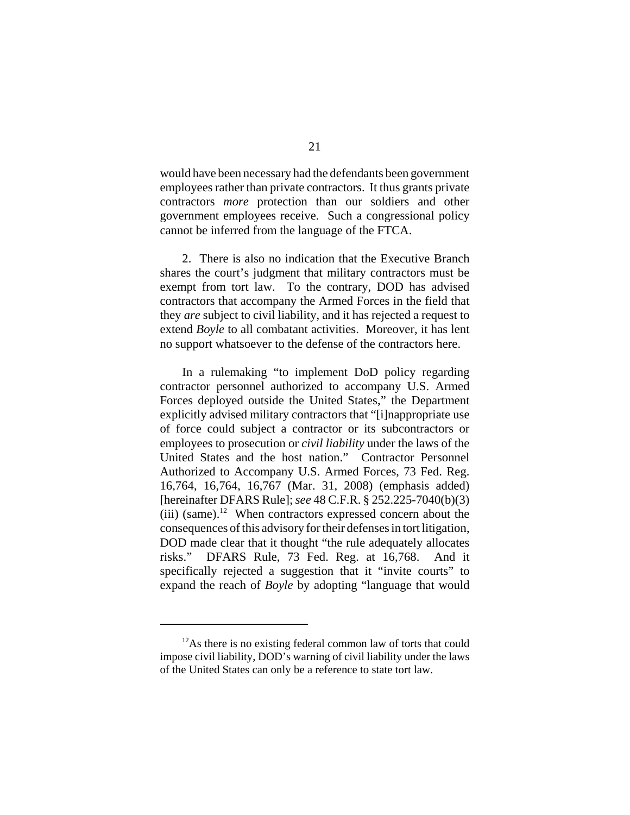would have been necessary had the defendants been government employees rather than private contractors. It thus grants private contractors *more* protection than our soldiers and other government employees receive. Such a congressional policy cannot be inferred from the language of the FTCA.

2. There is also no indication that the Executive Branch shares the court's judgment that military contractors must be exempt from tort law. To the contrary, DOD has advised contractors that accompany the Armed Forces in the field that they *are* subject to civil liability, and it has rejected a request to extend *Boyle* to all combatant activities. Moreover, it has lent no support whatsoever to the defense of the contractors here.

In a rulemaking "to implement DoD policy regarding contractor personnel authorized to accompany U.S. Armed Forces deployed outside the United States," the Department explicitly advised military contractors that "[i]nappropriate use of force could subject a contractor or its subcontractors or employees to prosecution or *civil liability* under the laws of the United States and the host nation." Contractor Personnel Authorized to Accompany U.S. Armed Forces, 73 Fed. Reg. 16,764, 16,764, 16,767 (Mar. 31, 2008) (emphasis added) [hereinafter DFARS Rule]; *see* 48 C.F.R. § 252.225-7040(b)(3) (iii) (same).<sup>12</sup> When contractors expressed concern about the consequences of this advisory for their defenses in tort litigation, DOD made clear that it thought "the rule adequately allocates risks." DFARS Rule, 73 Fed. Reg. at 16,768. And it specifically rejected a suggestion that it "invite courts" to expand the reach of *Boyle* by adopting "language that would

 $12$ As there is no existing federal common law of torts that could impose civil liability, DOD's warning of civil liability under the laws of the United States can only be a reference to state tort law.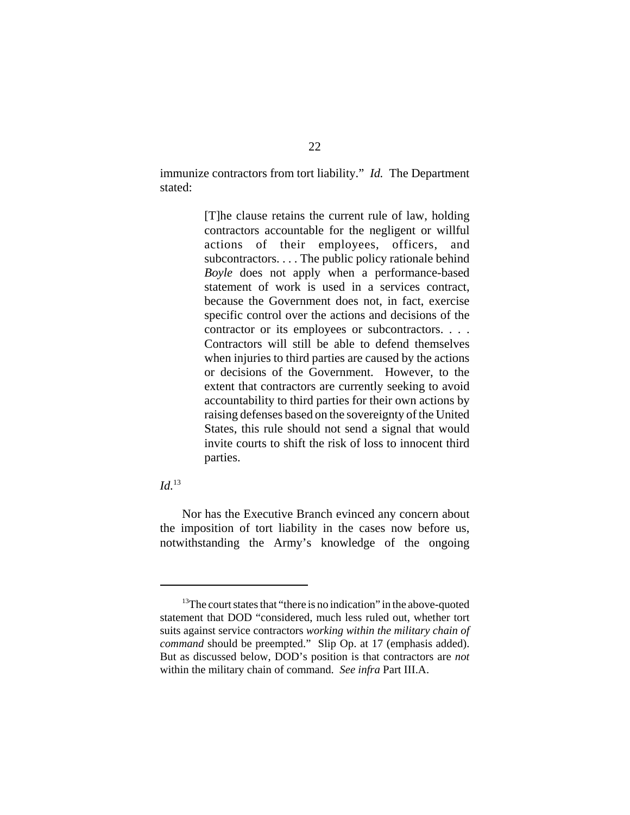immunize contractors from tort liability." *Id.* The Department stated:

> [T]he clause retains the current rule of law, holding contractors accountable for the negligent or willful actions of their employees, officers, and subcontractors. . . . The public policy rationale behind *Boyle* does not apply when a performance-based statement of work is used in a services contract, because the Government does not, in fact, exercise specific control over the actions and decisions of the contractor or its employees or subcontractors. . . . Contractors will still be able to defend themselves when injuries to third parties are caused by the actions or decisions of the Government. However, to the extent that contractors are currently seeking to avoid accountability to third parties for their own actions by raising defenses based on the sovereignty of the United States, this rule should not send a signal that would invite courts to shift the risk of loss to innocent third parties.

# *Id.*<sup>13</sup>

Nor has the Executive Branch evinced any concern about the imposition of tort liability in the cases now before us, notwithstanding the Army's knowledge of the ongoing

 $13$ <sup>13</sup>The court states that "there is no indication" in the above-quoted statement that DOD "considered, much less ruled out, whether tort suits against service contractors *working within the military chain of command* should be preempted." Slip Op. at 17 (emphasis added). But as discussed below, DOD's position is that contractors are *not* within the military chain of command. *See infra* Part III.A.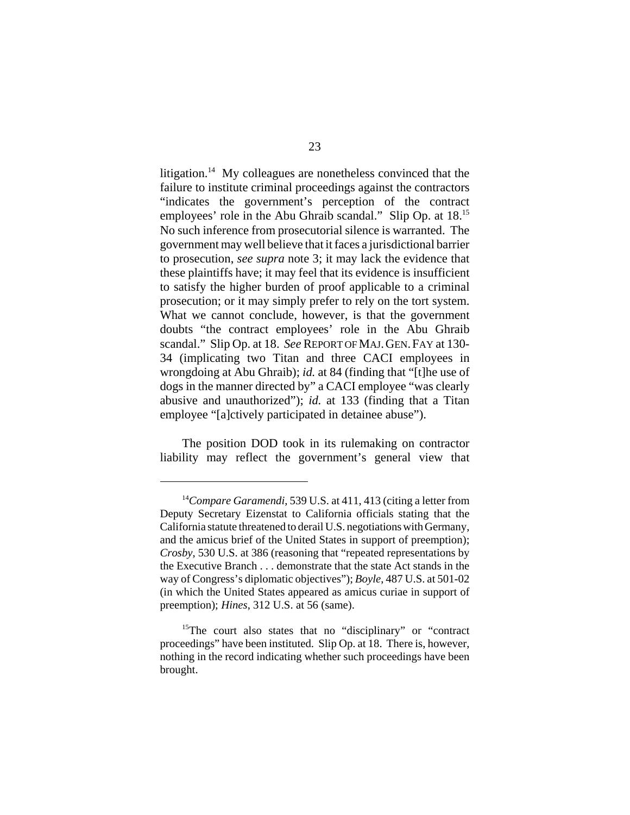litigation.<sup>14</sup> My colleagues are nonetheless convinced that the failure to institute criminal proceedings against the contractors "indicates the government's perception of the contract employees' role in the Abu Ghraib scandal." Slip Op. at 18.<sup>15</sup> No such inference from prosecutorial silence is warranted. The government may well believe that it faces a jurisdictional barrier to prosecution, *see supra* note 3; it may lack the evidence that these plaintiffs have; it may feel that its evidence is insufficient to satisfy the higher burden of proof applicable to a criminal prosecution; or it may simply prefer to rely on the tort system. What we cannot conclude, however, is that the government doubts "the contract employees' role in the Abu Ghraib scandal." Slip Op. at 18. *See* REPORT OF MAJ.GEN.FAY at 130- 34 (implicating two Titan and three CACI employees in wrongdoing at Abu Ghraib); *id.* at 84 (finding that "[t]he use of dogs in the manner directed by" a CACI employee "was clearly abusive and unauthorized"); *id.* at 133 (finding that a Titan employee "[a]ctively participated in detainee abuse").

The position DOD took in its rulemaking on contractor liability may reflect the government's general view that

<sup>14</sup>*Compare Garamendi*, 539 U.S. at 411, 413 (citing a letter from Deputy Secretary Eizenstat to California officials stating that the California statute threatened to derail U.S. negotiations with Germany, and the amicus brief of the United States in support of preemption); *Crosby*, 530 U.S. at 386 (reasoning that "repeated representations by the Executive Branch . . . demonstrate that the state Act stands in the way of Congress's diplomatic objectives"); *Boyle*, 487 U.S. at 501-02 (in which the United States appeared as amicus curiae in support of preemption); *Hines*, 312 U.S. at 56 (same).

<sup>&</sup>lt;sup>15</sup>The court also states that no "disciplinary" or "contract" proceedings" have been instituted. Slip Op. at 18. There is, however, nothing in the record indicating whether such proceedings have been brought.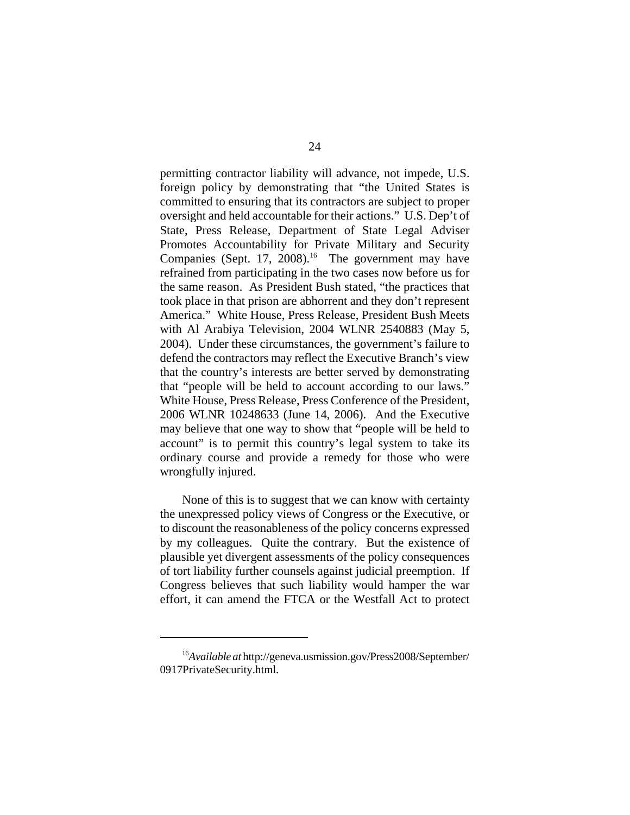permitting contractor liability will advance, not impede, U.S. foreign policy by demonstrating that "the United States is committed to ensuring that its contractors are subject to proper oversight and held accountable for their actions." U.S. Dep't of State, Press Release, Department of State Legal Adviser Promotes Accountability for Private Military and Security Companies (Sept. 17, 2008).<sup>16</sup> The government may have refrained from participating in the two cases now before us for the same reason. As President Bush stated, "the practices that took place in that prison are abhorrent and they don't represent America." White House, Press Release, President Bush Meets with Al Arabiya Television, 2004 WLNR 2540883 (May 5, 2004). Under these circumstances, the government's failure to defend the contractors may reflect the Executive Branch's view that the country's interests are better served by demonstrating that "people will be held to account according to our laws." White House, Press Release, Press Conference of the President, 2006 WLNR 10248633 (June 14, 2006). And the Executive may believe that one way to show that "people will be held to account" is to permit this country's legal system to take its ordinary course and provide a remedy for those who were wrongfully injured.

None of this is to suggest that we can know with certainty the unexpressed policy views of Congress or the Executive, or to discount the reasonableness of the policy concerns expressed by my colleagues. Quite the contrary. But the existence of plausible yet divergent assessments of the policy consequences of tort liability further counsels against judicial preemption. If Congress believes that such liability would hamper the war effort, it can amend the FTCA or the Westfall Act to protect

<sup>16</sup>*Available at* http://geneva.usmission.gov/Press2008/September/ 0917PrivateSecurity.html.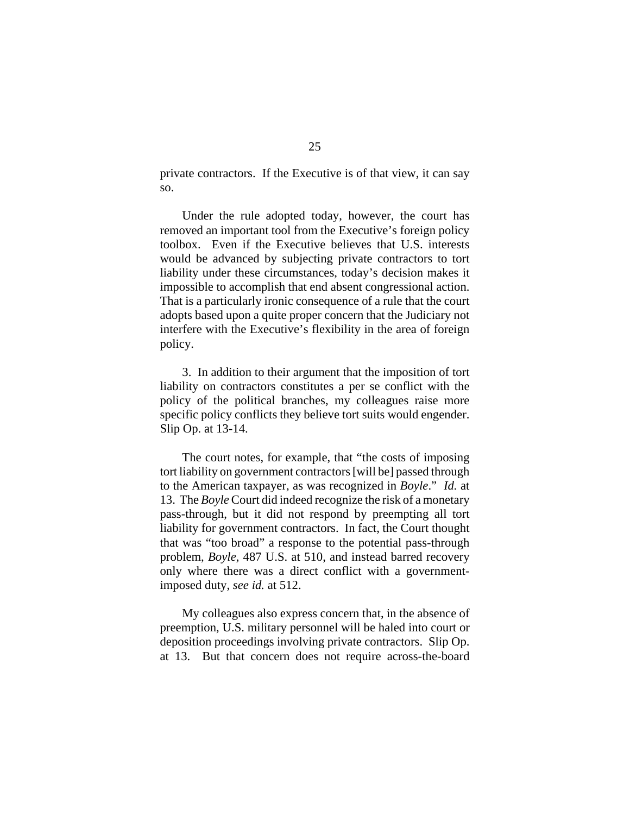private contractors. If the Executive is of that view, it can say so.

Under the rule adopted today, however, the court has removed an important tool from the Executive's foreign policy toolbox. Even if the Executive believes that U.S. interests would be advanced by subjecting private contractors to tort liability under these circumstances, today's decision makes it impossible to accomplish that end absent congressional action. That is a particularly ironic consequence of a rule that the court adopts based upon a quite proper concern that the Judiciary not interfere with the Executive's flexibility in the area of foreign policy.

3. In addition to their argument that the imposition of tort liability on contractors constitutes a per se conflict with the policy of the political branches, my colleagues raise more specific policy conflicts they believe tort suits would engender. Slip Op. at 13-14.

The court notes, for example, that "the costs of imposing tort liability on government contractors [will be] passed through to the American taxpayer, as was recognized in *Boyle*." *Id.* at 13. The *Boyle* Court did indeed recognize the risk of a monetary pass-through, but it did not respond by preempting all tort liability for government contractors. In fact, the Court thought that was "too broad" a response to the potential pass-through problem, *Boyle*, 487 U.S. at 510, and instead barred recovery only where there was a direct conflict with a governmentimposed duty, *see id.* at 512.

My colleagues also express concern that, in the absence of preemption, U.S. military personnel will be haled into court or deposition proceedings involving private contractors. Slip Op. at 13. But that concern does not require across-the-board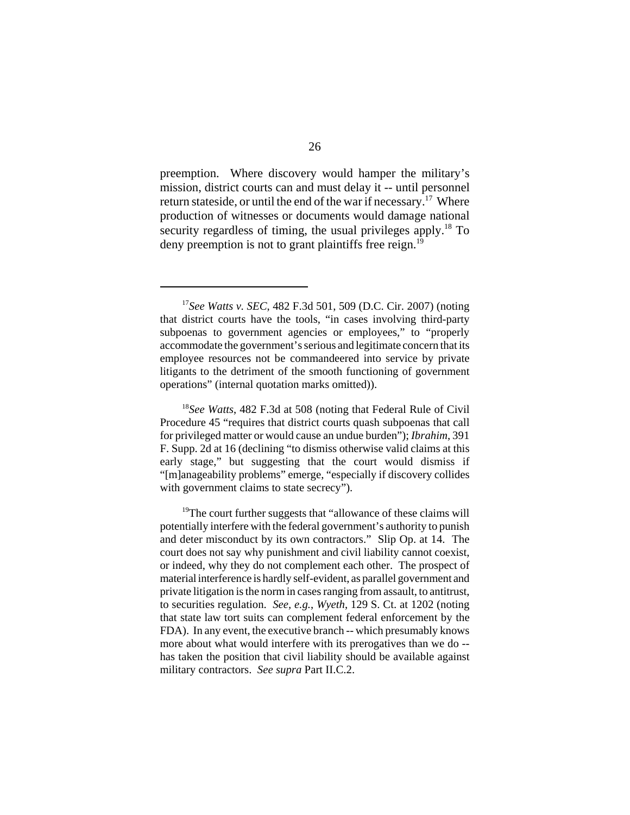preemption. Where discovery would hamper the military's mission, district courts can and must delay it -- until personnel return stateside, or until the end of the war if necessary.<sup>17</sup> Where production of witnesses or documents would damage national security regardless of timing, the usual privileges apply.<sup>18</sup> To deny preemption is not to grant plaintiffs free reign.<sup>19</sup>

<sup>17</sup>*See Watts v. SEC*, 482 F.3d 501, 509 (D.C. Cir. 2007) (noting that district courts have the tools, "in cases involving third-party subpoenas to government agencies or employees," to "properly accommodate the government's serious and legitimate concern that its employee resources not be commandeered into service by private litigants to the detriment of the smooth functioning of government operations" (internal quotation marks omitted)).

<sup>18</sup>*See Watts*, 482 F.3d at 508 (noting that Federal Rule of Civil Procedure 45 "requires that district courts quash subpoenas that call for privileged matter or would cause an undue burden"); *Ibrahim*, 391 F. Supp. 2d at 16 (declining "to dismiss otherwise valid claims at this early stage," but suggesting that the court would dismiss if "[m]anageability problems" emerge, "especially if discovery collides with government claims to state secrecy").

<sup>&</sup>lt;sup>19</sup>The court further suggests that "allowance of these claims will potentially interfere with the federal government's authority to punish and deter misconduct by its own contractors." Slip Op. at 14. The court does not say why punishment and civil liability cannot coexist, or indeed, why they do not complement each other. The prospect of material interference is hardly self-evident, as parallel government and private litigation is the norm in cases ranging from assault, to antitrust, to securities regulation. *See, e.g.*, *Wyeth*, 129 S. Ct. at 1202 (noting that state law tort suits can complement federal enforcement by the FDA). In any event, the executive branch -- which presumably knows more about what would interfere with its prerogatives than we do - has taken the position that civil liability should be available against military contractors. *See supra* Part II.C.2.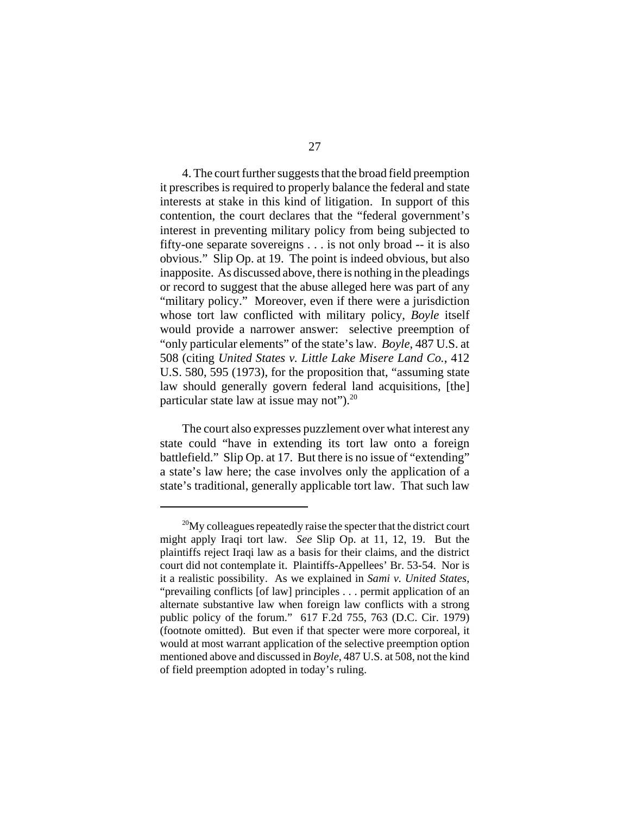4. The court further suggests that the broad field preemption it prescribes is required to properly balance the federal and state interests at stake in this kind of litigation. In support of this contention, the court declares that the "federal government's interest in preventing military policy from being subjected to fifty-one separate sovereigns . . . is not only broad -- it is also obvious." Slip Op. at 19. The point is indeed obvious, but also inapposite. As discussed above, there is nothing in the pleadings or record to suggest that the abuse alleged here was part of any "military policy." Moreover, even if there were a jurisdiction whose tort law conflicted with military policy, *Boyle* itself would provide a narrower answer: selective preemption of "only particular elements" of the state's law. *Boyle*, 487 U.S. at 508 (citing *United States v. Little Lake Misere Land Co.*, 412 U.S. 580, 595 (1973), for the proposition that, "assuming state law should generally govern federal land acquisitions, [the] particular state law at issue may not").<sup>20</sup>

The court also expresses puzzlement over what interest any state could "have in extending its tort law onto a foreign battlefield." Slip Op. at 17. But there is no issue of "extending" a state's law here; the case involves only the application of a state's traditional, generally applicable tort law. That such law

 $20$ My colleagues repeatedly raise the specter that the district court might apply Iraqi tort law. *See* Slip Op. at 11, 12, 19. But the plaintiffs reject Iraqi law as a basis for their claims, and the district court did not contemplate it. Plaintiffs-Appellees' Br. 53-54. Nor is it a realistic possibility. As we explained in *Sami v. United States*, "prevailing conflicts [of law] principles . . . permit application of an alternate substantive law when foreign law conflicts with a strong public policy of the forum." 617 F.2d 755, 763 (D.C. Cir. 1979) (footnote omitted). But even if that specter were more corporeal, it would at most warrant application of the selective preemption option mentioned above and discussed in *Boyle*, 487 U.S. at 508, not the kind of field preemption adopted in today's ruling.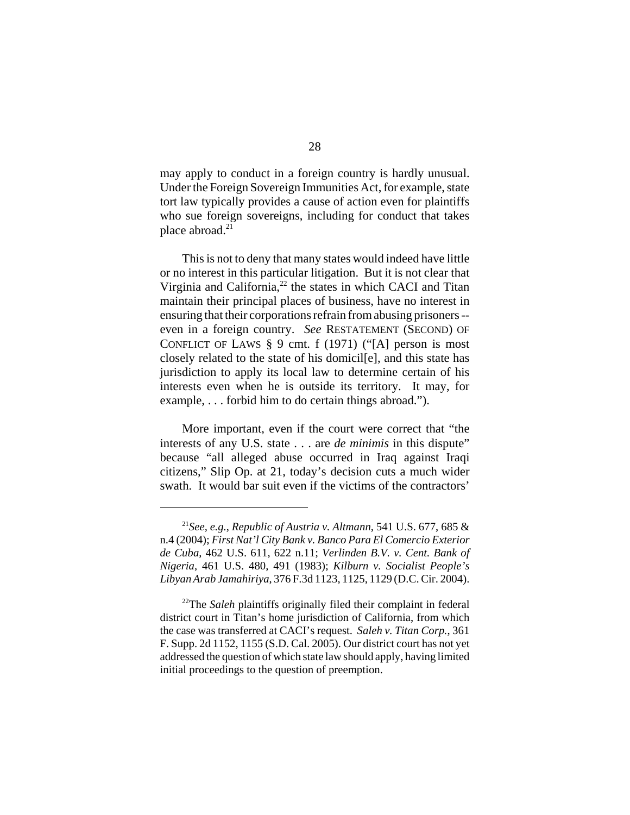may apply to conduct in a foreign country is hardly unusual. Under the Foreign Sovereign Immunities Act, for example, state tort law typically provides a cause of action even for plaintiffs who sue foreign sovereigns, including for conduct that takes place abroad.<sup>21</sup>

This is not to deny that many states would indeed have little or no interest in this particular litigation. But it is not clear that Virginia and California, $^{22}$  the states in which CACI and Titan maintain their principal places of business, have no interest in ensuring that their corporations refrain from abusing prisoners - even in a foreign country. *See* RESTATEMENT (SECOND) OF CONFLICT OF LAWS  $\S$  9 cmt. f (1971) ("[A] person is most closely related to the state of his domicil[e], and this state has jurisdiction to apply its local law to determine certain of his interests even when he is outside its territory. It may, for example, . . . forbid him to do certain things abroad.").

More important, even if the court were correct that "the interests of any U.S. state . . . are *de minimis* in this dispute" because "all alleged abuse occurred in Iraq against Iraqi citizens," Slip Op. at 21, today's decision cuts a much wider swath. It would bar suit even if the victims of the contractors'

<sup>21</sup>*See, e.g.*, *Republic of Austria v. Altmann*, 541 U.S. 677, 685 & n.4 (2004); *First Nat'l City Bank v. Banco Para El Comercio Exterior de Cuba*, 462 U.S. 611, 622 n.11; *Verlinden B.V. v. Cent. Bank of Nigeria*, 461 U.S. 480, 491 (1983); *Kilburn v. Socialist People's Libyan Arab Jamahiriya*, 376 F.3d 1123, 1125, 1129 (D.C. Cir. 2004).

<sup>&</sup>lt;sup>22</sup>The *Saleh* plaintiffs originally filed their complaint in federal district court in Titan's home jurisdiction of California, from which the case was transferred at CACI's request. *Saleh v. Titan Corp.*, 361 F. Supp. 2d 1152, 1155 (S.D. Cal. 2005). Our district court has not yet addressed the question of which state law should apply, having limited initial proceedings to the question of preemption.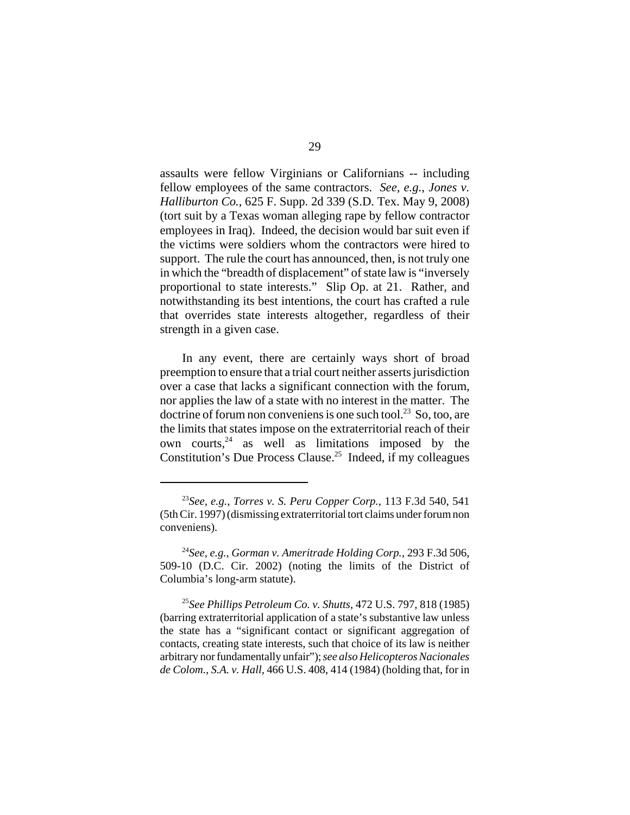assaults were fellow Virginians or Californians -- including fellow employees of the same contractors. *See, e.g.*, *Jones v. Halliburton Co.*, 625 F. Supp. 2d 339 (S.D. Tex. May 9, 2008) (tort suit by a Texas woman alleging rape by fellow contractor employees in Iraq). Indeed, the decision would bar suit even if the victims were soldiers whom the contractors were hired to support. The rule the court has announced, then, is not truly one in which the "breadth of displacement" of state law is "inversely proportional to state interests." Slip Op. at 21. Rather, and notwithstanding its best intentions, the court has crafted a rule that overrides state interests altogether, regardless of their strength in a given case.

In any event, there are certainly ways short of broad preemption to ensure that a trial court neither asserts jurisdiction over a case that lacks a significant connection with the forum, nor applies the law of a state with no interest in the matter. The doctrine of forum non conveniens is one such tool.<sup>23</sup> So, too, are the limits that states impose on the extraterritorial reach of their own courts, $24$  as well as limitations imposed by the Constitution's Due Process Clause.25 Indeed, if my colleagues

<sup>23</sup>*See, e.g.*, *Torres v. S. Peru Copper Corp.*, 113 F.3d 540, 541 (5th Cir. 1997) (dismissing extraterritorial tort claims under forum non conveniens).

<sup>24</sup>*See, e.g.*, *Gorman v. Ameritrade Holding Corp.*, 293 F.3d 506, 509-10 (D.C. Cir. 2002) (noting the limits of the District of Columbia's long-arm statute).

<sup>25</sup>*See Phillips Petroleum Co. v. Shutts*, 472 U.S. 797, 818 (1985) (barring extraterritorial application of a state's substantive law unless the state has a "significant contact or significant aggregation of contacts, creating state interests, such that choice of its law is neither arbitrary nor fundamentally unfair"); *see also Helicopteros Nacionales de Colom., S.A. v. Hall*, 466 U.S. 408, 414 (1984) (holding that, for in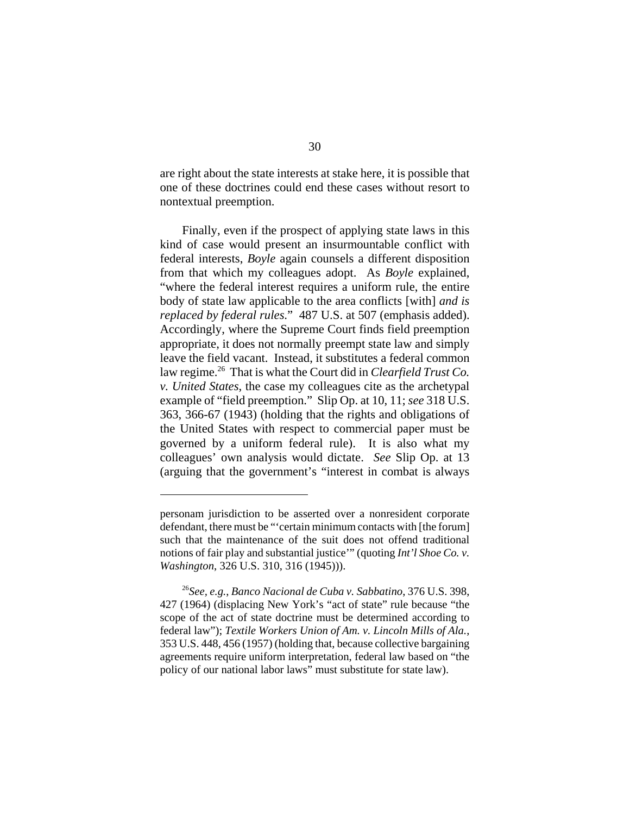are right about the state interests at stake here, it is possible that one of these doctrines could end these cases without resort to nontextual preemption.

Finally, even if the prospect of applying state laws in this kind of case would present an insurmountable conflict with federal interests, *Boyle* again counsels a different disposition from that which my colleagues adopt. As *Boyle* explained, "where the federal interest requires a uniform rule, the entire body of state law applicable to the area conflicts [with] *and is replaced by federal rules*." 487 U.S. at 507 (emphasis added). Accordingly, where the Supreme Court finds field preemption appropriate, it does not normally preempt state law and simply leave the field vacant. Instead, it substitutes a federal common law regime.26 That is what the Court did in *Clearfield Trust Co. v. United States*, the case my colleagues cite as the archetypal example of "field preemption." Slip Op. at 10, 11; *see* 318 U.S. 363, 366-67 (1943) (holding that the rights and obligations of the United States with respect to commercial paper must be governed by a uniform federal rule). It is also what my colleagues' own analysis would dictate. *See* Slip Op. at 13 (arguing that the government's "interest in combat is always

personam jurisdiction to be asserted over a nonresident corporate defendant, there must be "'certain minimum contacts with [the forum] such that the maintenance of the suit does not offend traditional notions of fair play and substantial justice'" (quoting *Int'l Shoe Co. v. Washington*, 326 U.S. 310, 316 (1945))).

<sup>26</sup>*See, e.g.*, *Banco Nacional de Cuba v. Sabbatino*, 376 U.S. 398, 427 (1964) (displacing New York's "act of state" rule because "the scope of the act of state doctrine must be determined according to federal law"); *Textile Workers Union of Am. v. Lincoln Mills of Ala.*, 353 U.S. 448, 456 (1957) (holding that, because collective bargaining agreements require uniform interpretation, federal law based on "the policy of our national labor laws" must substitute for state law).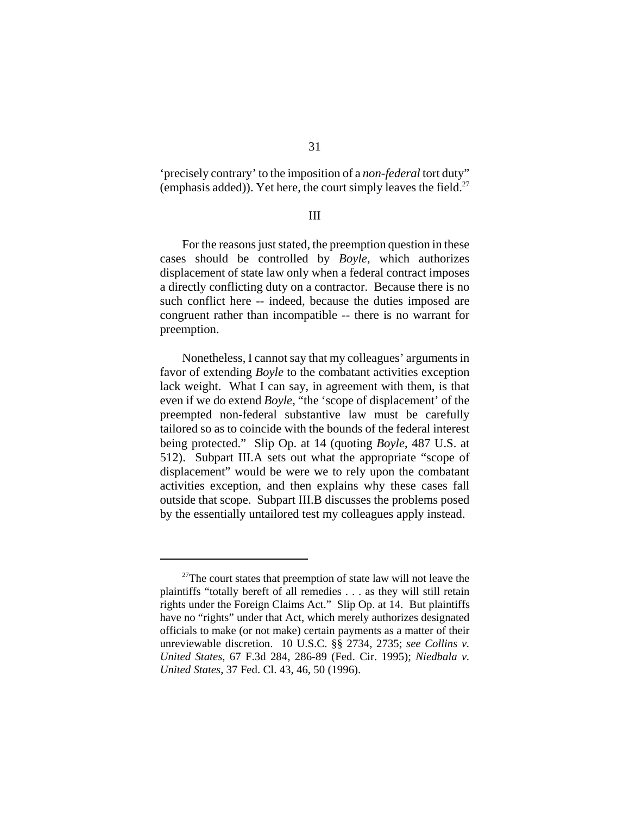'precisely contrary' to the imposition of a *non-federal* tort duty" (emphasis added)). Yet here, the court simply leaves the field.<sup>27</sup>

## III

For the reasons just stated, the preemption question in these cases should be controlled by *Boyle*, which authorizes displacement of state law only when a federal contract imposes a directly conflicting duty on a contractor. Because there is no such conflict here -- indeed, because the duties imposed are congruent rather than incompatible -- there is no warrant for preemption.

Nonetheless, I cannot say that my colleagues' arguments in favor of extending *Boyle* to the combatant activities exception lack weight. What I can say, in agreement with them, is that even if we do extend *Boyle*, "the 'scope of displacement' of the preempted non-federal substantive law must be carefully tailored so as to coincide with the bounds of the federal interest being protected." Slip Op. at 14 (quoting *Boyle*, 487 U.S. at 512). Subpart III.A sets out what the appropriate "scope of displacement" would be were we to rely upon the combatant activities exception, and then explains why these cases fall outside that scope. Subpart III.B discusses the problems posed by the essentially untailored test my colleagues apply instead.

<sup>&</sup>lt;sup>27</sup>The court states that preemption of state law will not leave the plaintiffs "totally bereft of all remedies . . . as they will still retain rights under the Foreign Claims Act." Slip Op. at 14. But plaintiffs have no "rights" under that Act, which merely authorizes designated officials to make (or not make) certain payments as a matter of their unreviewable discretion. 10 U.S.C. §§ 2734, 2735; *see Collins v. United States*, 67 F.3d 284, 286-89 (Fed. Cir. 1995); *Niedbala v. United States*, 37 Fed. Cl. 43, 46, 50 (1996).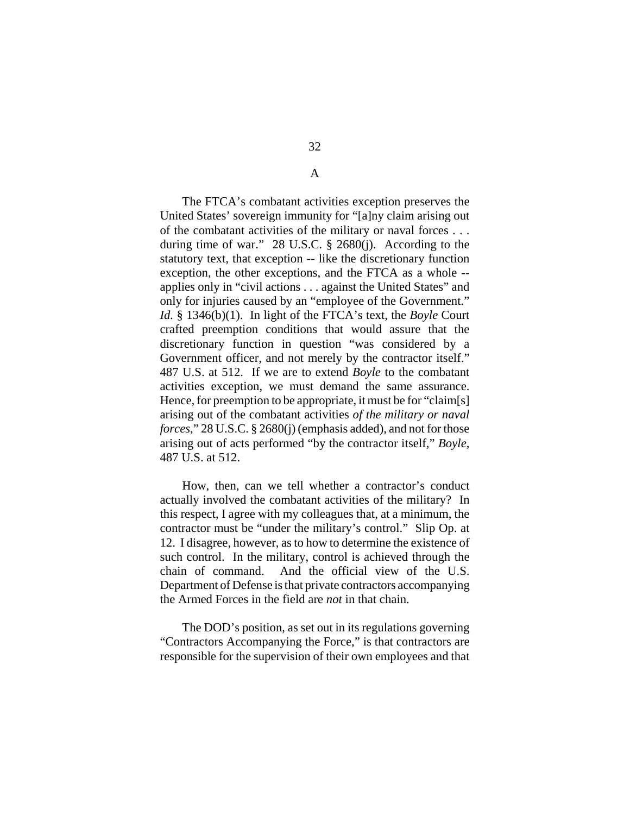The FTCA's combatant activities exception preserves the United States' sovereign immunity for "[a]ny claim arising out of the combatant activities of the military or naval forces . . . during time of war." 28 U.S.C. § 2680(j). According to the statutory text, that exception -- like the discretionary function exception, the other exceptions, and the FTCA as a whole - applies only in "civil actions . . . against the United States" and only for injuries caused by an "employee of the Government." *Id.* § 1346(b)(1). In light of the FTCA's text, the *Boyle* Court crafted preemption conditions that would assure that the discretionary function in question "was considered by a Government officer, and not merely by the contractor itself." 487 U.S. at 512. If we are to extend *Boyle* to the combatant activities exception, we must demand the same assurance. Hence, for preemption to be appropriate, it must be for "claim[s] arising out of the combatant activities *of the military or naval forces*," 28 U.S.C. § 2680(j) (emphasis added), and not for those arising out of acts performed "by the contractor itself," *Boyle*,

How, then, can we tell whether a contractor's conduct actually involved the combatant activities of the military? In this respect, I agree with my colleagues that, at a minimum, the contractor must be "under the military's control." Slip Op. at 12. I disagree, however, as to how to determine the existence of such control. In the military, control is achieved through the chain of command. And the official view of the U.S. Department of Defense is that private contractors accompanying the Armed Forces in the field are *not* in that chain.

487 U.S. at 512.

The DOD's position, as set out in its regulations governing "Contractors Accompanying the Force," is that contractors are responsible for the supervision of their own employees and that

#### A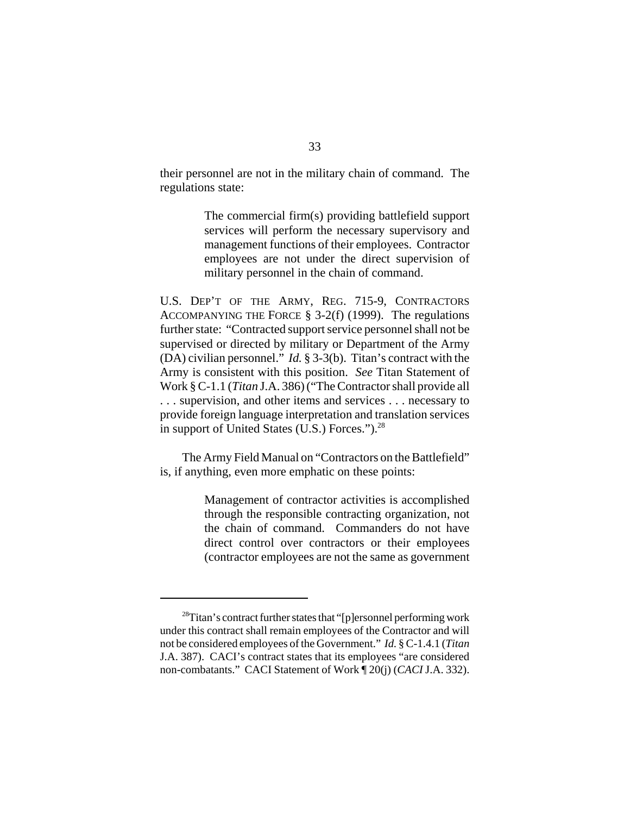their personnel are not in the military chain of command. The regulations state:

> The commercial firm(s) providing battlefield support services will perform the necessary supervisory and management functions of their employees. Contractor employees are not under the direct supervision of military personnel in the chain of command.

U.S. DEP'T OF THE ARMY, REG. 715-9, CONTRACTORS ACCOMPANYING THE FORCE § 3-2(f) (1999). The regulations further state: "Contracted support service personnel shall not be supervised or directed by military or Department of the Army (DA) civilian personnel." *Id.* § 3-3(b). Titan's contract with the Army is consistent with this position. *See* Titan Statement of Work § C-1.1 (*Titan* J.A. 386) ("The Contractor shall provide all . . . supervision, and other items and services . . . necessary to provide foreign language interpretation and translation services in support of United States (U.S.) Forces.").<sup>28</sup>

The Army Field Manual on "Contractors on the Battlefield" is, if anything, even more emphatic on these points:

> Management of contractor activities is accomplished through the responsible contracting organization, not the chain of command. Commanders do not have direct control over contractors or their employees (contractor employees are not the same as government

 $28$ Titan's contract further states that "[p]ersonnel performing work under this contract shall remain employees of the Contractor and will not be considered employees of the Government." *Id.* § C-1.4.1 (*Titan* J.A. 387). CACI's contract states that its employees "are considered non-combatants." CACI Statement of Work ¶ 20(j) (*CACI* J.A. 332).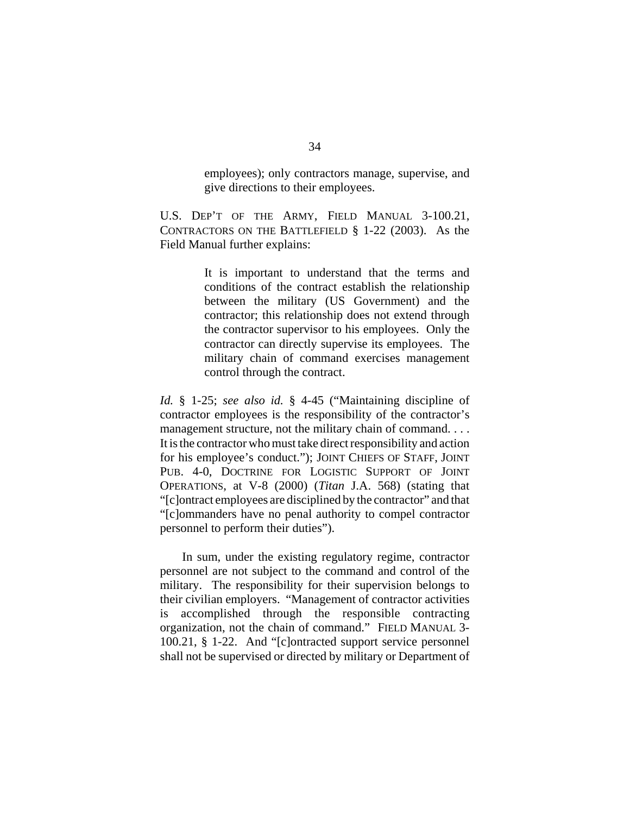employees); only contractors manage, supervise, and give directions to their employees.

U.S. DEP'T OF THE ARMY, FIELD MANUAL 3-100.21, CONTRACTORS ON THE BATTLEFIELD § 1-22 (2003). As the Field Manual further explains:

> It is important to understand that the terms and conditions of the contract establish the relationship between the military (US Government) and the contractor; this relationship does not extend through the contractor supervisor to his employees. Only the contractor can directly supervise its employees. The military chain of command exercises management control through the contract.

*Id.* § 1-25; *see also id.* § 4-45 ("Maintaining discipline of contractor employees is the responsibility of the contractor's management structure, not the military chain of command. . . . It is the contractor who must take direct responsibility and action for his employee's conduct."); JOINT CHIEFS OF STAFF, JOINT PUB. 4-0, DOCTRINE FOR LOGISTIC SUPPORT OF JOINT OPERATIONS, at V-8 (2000) (*Titan* J.A. 568) (stating that "[c]ontract employees are disciplined by the contractor" and that "[c]ommanders have no penal authority to compel contractor personnel to perform their duties").

In sum, under the existing regulatory regime, contractor personnel are not subject to the command and control of the military. The responsibility for their supervision belongs to their civilian employers. "Management of contractor activities is accomplished through the responsible contracting organization, not the chain of command." FIELD MANUAL 3- 100.21, § 1-22. And "[c]ontracted support service personnel shall not be supervised or directed by military or Department of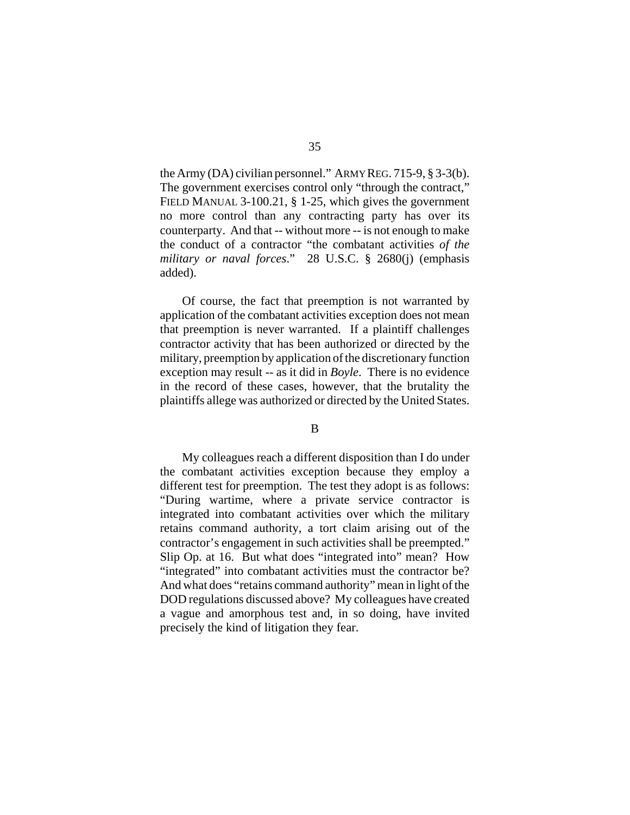the Army (DA) civilian personnel." ARMY REG. 715-9, § 3-3(b). The government exercises control only "through the contract," FIELD MANUAL 3-100.21, § 1-25, which gives the government no more control than any contracting party has over its counterparty. And that -- without more -- is not enough to make the conduct of a contractor "the combatant activities *of the military or naval forces*." 28 U.S.C. § 2680(j) (emphasis added).

Of course, the fact that preemption is not warranted by application of the combatant activities exception does not mean that preemption is never warranted. If a plaintiff challenges contractor activity that has been authorized or directed by the military, preemption by application of the discretionary function exception may result -- as it did in *Boyle*. There is no evidence in the record of these cases, however, that the brutality the plaintiffs allege was authorized or directed by the United States.

#### B

My colleagues reach a different disposition than I do under the combatant activities exception because they employ a different test for preemption. The test they adopt is as follows: "During wartime, where a private service contractor is integrated into combatant activities over which the military retains command authority, a tort claim arising out of the contractor's engagement in such activities shall be preempted." Slip Op. at 16. But what does "integrated into" mean? How "integrated" into combatant activities must the contractor be? And what does "retains command authority" mean in light of the DOD regulations discussed above? My colleagues have created a vague and amorphous test and, in so doing, have invited precisely the kind of litigation they fear.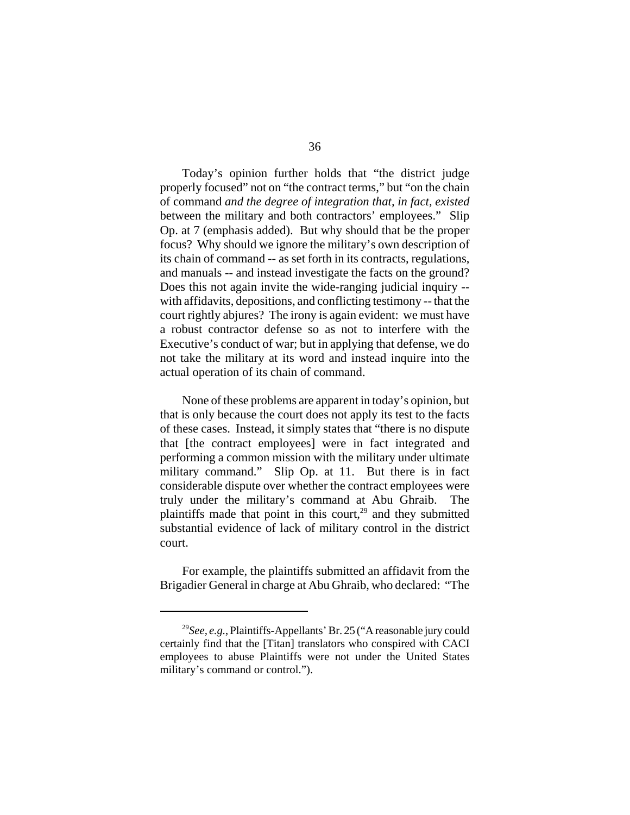Today's opinion further holds that "the district judge properly focused" not on "the contract terms," but "on the chain of command *and the degree of integration that, in fact, existed* between the military and both contractors' employees." Slip Op. at 7 (emphasis added). But why should that be the proper focus? Why should we ignore the military's own description of its chain of command -- as set forth in its contracts, regulations, and manuals -- and instead investigate the facts on the ground? Does this not again invite the wide-ranging judicial inquiry - with affidavits, depositions, and conflicting testimony -- that the court rightly abjures? The irony is again evident: we must have a robust contractor defense so as not to interfere with the Executive's conduct of war; but in applying that defense, we do not take the military at its word and instead inquire into the actual operation of its chain of command.

None of these problems are apparent in today's opinion, but that is only because the court does not apply its test to the facts of these cases. Instead, it simply states that "there is no dispute that [the contract employees] were in fact integrated and performing a common mission with the military under ultimate military command." Slip Op. at 11. But there is in fact considerable dispute over whether the contract employees were truly under the military's command at Abu Ghraib. The plaintiffs made that point in this court, $29$  and they submitted substantial evidence of lack of military control in the district court.

For example, the plaintiffs submitted an affidavit from the Brigadier General in charge at Abu Ghraib, who declared: "The

<sup>29</sup>*See, e.g.*, Plaintiffs-Appellants' Br. 25 ("A reasonable jury could certainly find that the [Titan] translators who conspired with CACI employees to abuse Plaintiffs were not under the United States military's command or control.").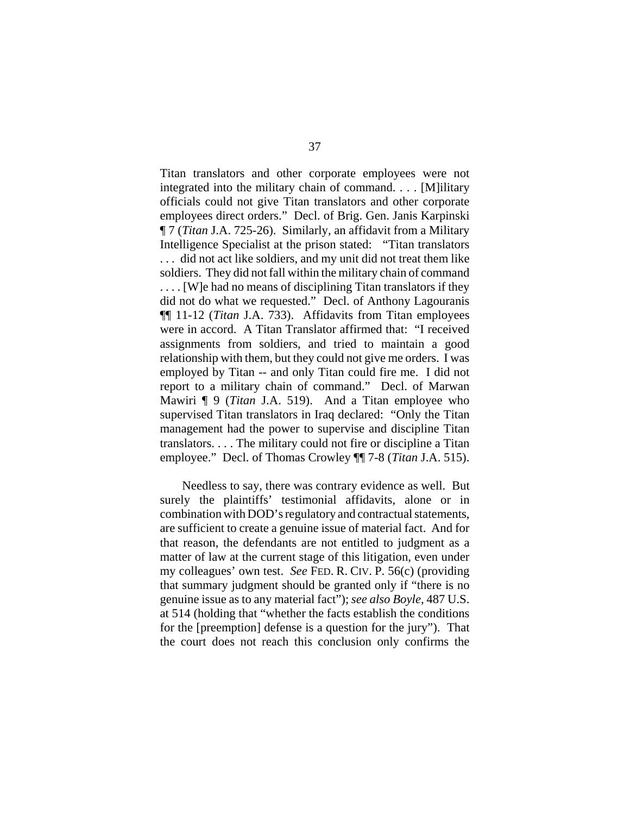Titan translators and other corporate employees were not integrated into the military chain of command. . . . [M]ilitary officials could not give Titan translators and other corporate employees direct orders." Decl. of Brig. Gen. Janis Karpinski ¶ 7 (*Titan* J.A. 725-26). Similarly, an affidavit from a Military Intelligence Specialist at the prison stated: "Titan translators . . . did not act like soldiers, and my unit did not treat them like soldiers. They did not fall within the military chain of command . . . . [W]e had no means of disciplining Titan translators if they did not do what we requested." Decl. of Anthony Lagouranis ¶¶ 11-12 (*Titan* J.A. 733). Affidavits from Titan employees were in accord. A Titan Translator affirmed that: "I received assignments from soldiers, and tried to maintain a good relationship with them, but they could not give me orders. I was employed by Titan -- and only Titan could fire me. I did not report to a military chain of command." Decl. of Marwan Mawiri ¶ 9 (*Titan* J.A. 519). And a Titan employee who supervised Titan translators in Iraq declared: "Only the Titan management had the power to supervise and discipline Titan translators. . . . The military could not fire or discipline a Titan employee." Decl. of Thomas Crowley ¶¶ 7-8 (*Titan* J.A. 515).

Needless to say, there was contrary evidence as well. But surely the plaintiffs' testimonial affidavits, alone or in combination with DOD's regulatory and contractual statements, are sufficient to create a genuine issue of material fact. And for that reason, the defendants are not entitled to judgment as a matter of law at the current stage of this litigation, even under my colleagues' own test. *See* FED. R. CIV. P. 56(c) (providing that summary judgment should be granted only if "there is no genuine issue as to any material fact"); *see also Boyle*, 487 U.S. at 514 (holding that "whether the facts establish the conditions for the [preemption] defense is a question for the jury"). That the court does not reach this conclusion only confirms the